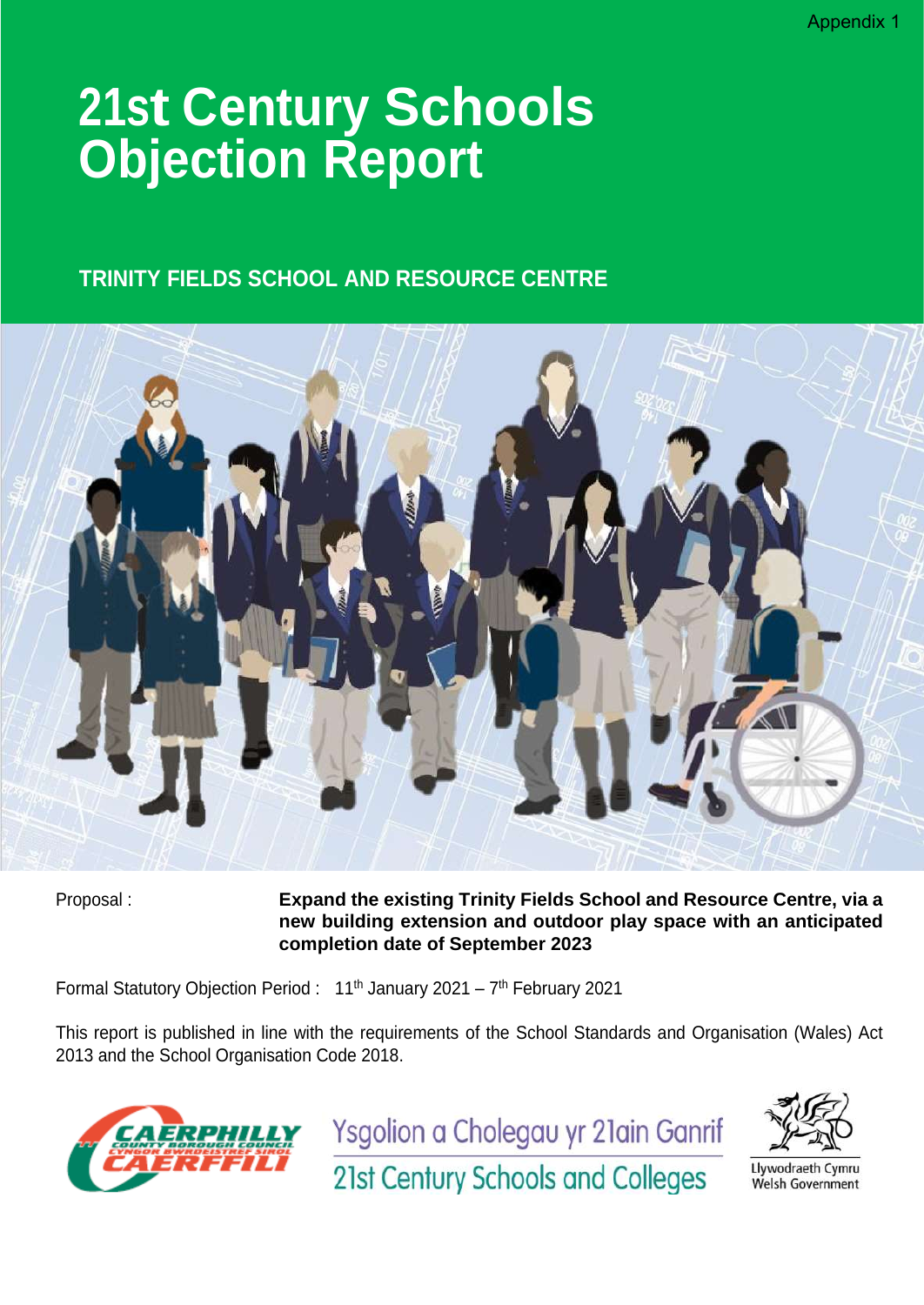# **21st Century Schools Objection Report**

#### **TRINITY FIELDS SCHOOL AND RESOURCE CENTRE**



Proposal : **Expand the existing Trinity Fields School and Resource Centre, via a new building extension and outdoor play space with an anticipated completion date of September 2023**

Formal Statutory Objection Period: 11<sup>th</sup> January 2021 – 7<sup>th</sup> February 2021

This report is published in line with the requirements of the School Standards and Organisation (Wales) Act 2013 and the School Organisation Code 2018.



Ysgolion a Cholegau yr 21ain Ganrif



Llywodraeth Cymru Welsh Government

21st Century Schools and Colleges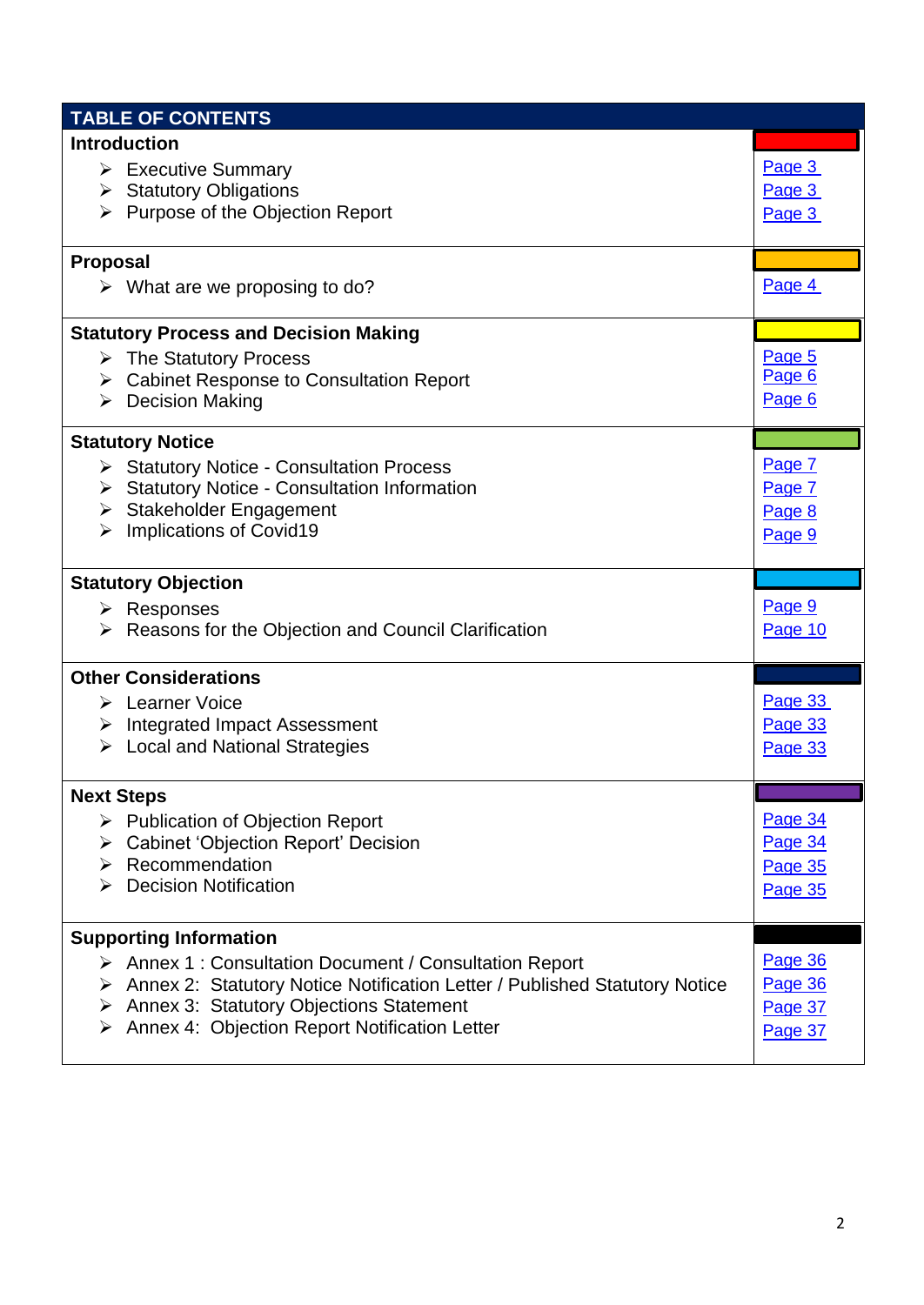| <b>TABLE OF CONTENTS</b>      |                                                                                                                                  |                            |
|-------------------------------|----------------------------------------------------------------------------------------------------------------------------------|----------------------------|
| <b>Introduction</b>           |                                                                                                                                  |                            |
|                               | $\triangleright$ Executive Summary<br>$\triangleright$ Statutory Obligations<br>$\triangleright$ Purpose of the Objection Report | Page 3<br>Page 3<br>Page 3 |
| <b>Proposal</b>               |                                                                                                                                  |                            |
|                               | $\triangleright$ What are we proposing to do?                                                                                    | Page 4                     |
|                               | <b>Statutory Process and Decision Making</b>                                                                                     |                            |
|                               | $\triangleright$ The Statutory Process                                                                                           | Page 5                     |
|                               | > Cabinet Response to Consultation Report                                                                                        | Page 6                     |
|                               | $\triangleright$ Decision Making                                                                                                 | Page 6                     |
| <b>Statutory Notice</b>       |                                                                                                                                  |                            |
|                               | Statutory Notice - Consultation Process                                                                                          | Page 7                     |
|                               | > Statutory Notice - Consultation Information                                                                                    | Page 7                     |
|                               | > Stakeholder Engagement                                                                                                         | Page 8                     |
| ≻                             | Implications of Covid19                                                                                                          | Page 9                     |
| <b>Statutory Objection</b>    |                                                                                                                                  |                            |
| $\triangleright$ Responses    |                                                                                                                                  | Page 9                     |
|                               | $\triangleright$ Reasons for the Objection and Council Clarification                                                             | Page 10                    |
| <b>Other Considerations</b>   |                                                                                                                                  |                            |
| > Learner Voice               |                                                                                                                                  | Page 33                    |
|                               | $\triangleright$ Integrated Impact Assessment                                                                                    | Page 33                    |
|                               | $\triangleright$ Local and National Strategies                                                                                   | Page 33                    |
| <b>Next Steps</b>             |                                                                                                                                  |                            |
|                               | $\triangleright$ Publication of Objection Report                                                                                 | Page 34                    |
| ≻                             | <b>Cabinet 'Objection Report' Decision</b>                                                                                       | Page 34                    |
| ≻                             | Recommendation                                                                                                                   | Page 35                    |
| ➤                             | <b>Decision Notification</b>                                                                                                     | Page 35                    |
| <b>Supporting Information</b> |                                                                                                                                  |                            |
|                               | > Annex 1 : Consultation Document / Consultation Report                                                                          | Page 36                    |
|                               | > Annex 2: Statutory Notice Notification Letter / Published Statutory Notice                                                     | Page 36                    |
|                               |                                                                                                                                  |                            |
|                               | > Annex 3: Statutory Objections Statement                                                                                        | Page 37                    |
| ➤                             | Annex 4: Objection Report Notification Letter                                                                                    | Page 37                    |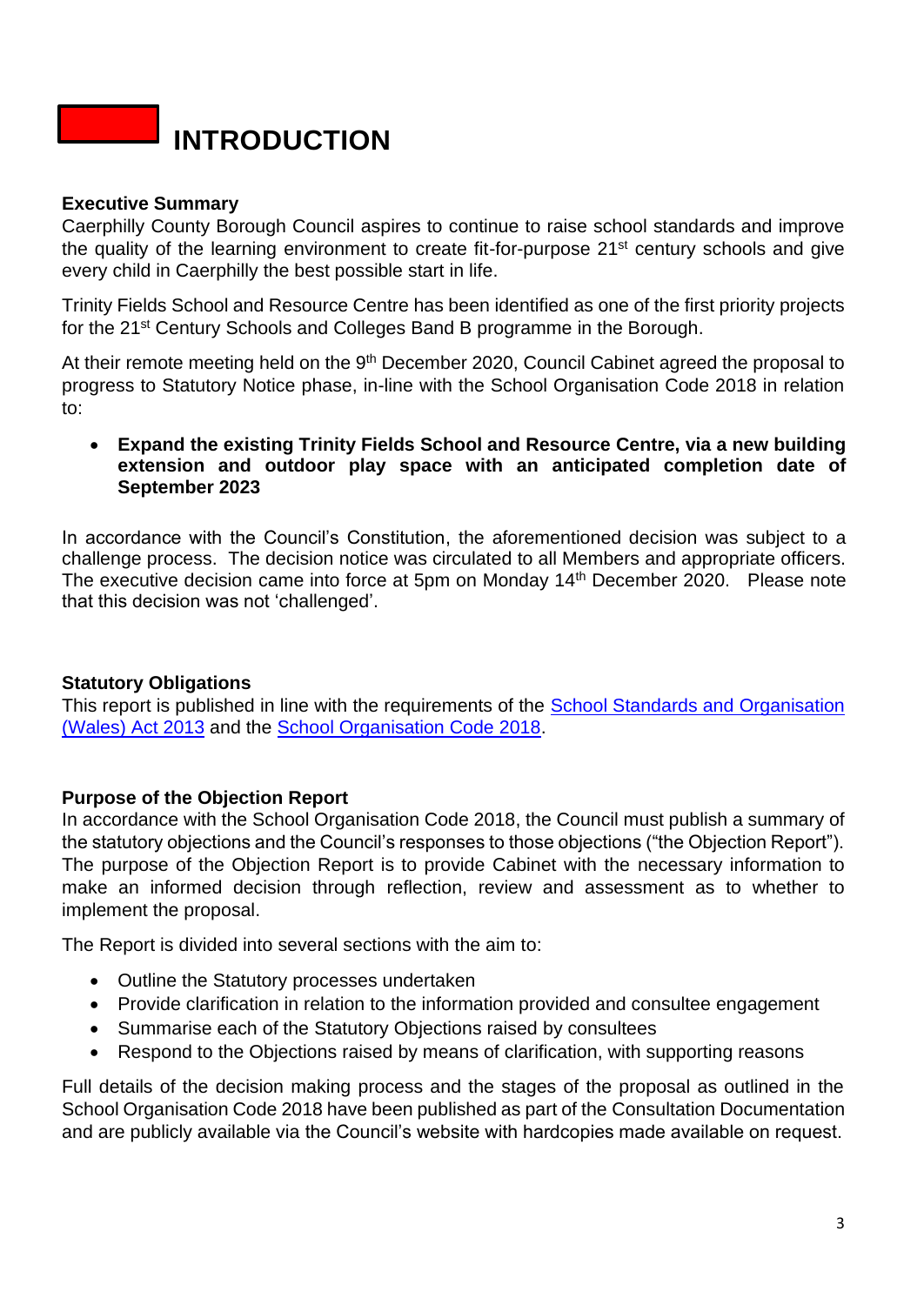

#### **Executive Summary**

Caerphilly County Borough Council aspires to continue to raise school standards and improve the quality of the learning environment to create fit-for-purpose 21<sup>st</sup> century schools and give every child in Caerphilly the best possible start in life.

Trinity Fields School and Resource Centre has been identified as one of the first priority projects for the 21<sup>st</sup> Century Schools and Colleges Band B programme in the Borough.

At their remote meeting held on the 9<sup>th</sup> December 2020, Council Cabinet agreed the proposal to progress to Statutory Notice phase, in-line with the School Organisation Code 2018 in relation to:

• **Expand the existing Trinity Fields School and Resource Centre, via a new building extension and outdoor play space with an anticipated completion date of September 2023**

In accordance with the Council's Constitution, the aforementioned decision was subject to a challenge process. The decision notice was circulated to all Members and appropriate officers. The executive decision came into force at 5pm on Monday 14<sup>th</sup> December 2020. Please note that this decision was not 'challenged'.

#### <span id="page-2-0"></span>**Statutory Obligations**

This report is published in line with the requirements of the School Standards and Organisation [\(Wales\) Act 2013](https://www.legislation.gov.uk/anaw/2013/1/contents/enacted) and the [School Organisation Code 2018.](https://gov.wales/sites/default/files/publications/2018-10/school-organisation-code-second-edition.pdf)

#### <span id="page-2-1"></span>**Purpose of the Objection Report**

In accordance with the School Organisation Code 2018, the Council must publish a summary of the statutory objections and the Council's responses to those objections ("the Objection Report"). The purpose of the Objection Report is to provide Cabinet with the necessary information to make an informed decision through reflection, review and assessment as to whether to implement the proposal.

The Report is divided into several sections with the aim to:

- Outline the Statutory processes undertaken
- Provide clarification in relation to the information provided and consultee engagement
- Summarise each of the Statutory Objections raised by consultees
- Respond to the Objections raised by means of clarification, with supporting reasons

Full details of the decision making process and the stages of the proposal as outlined in the School Organisation Code 2018 have been published as part of the Consultation Documentation and are publicly available via the Council's website with hardcopies made available on request.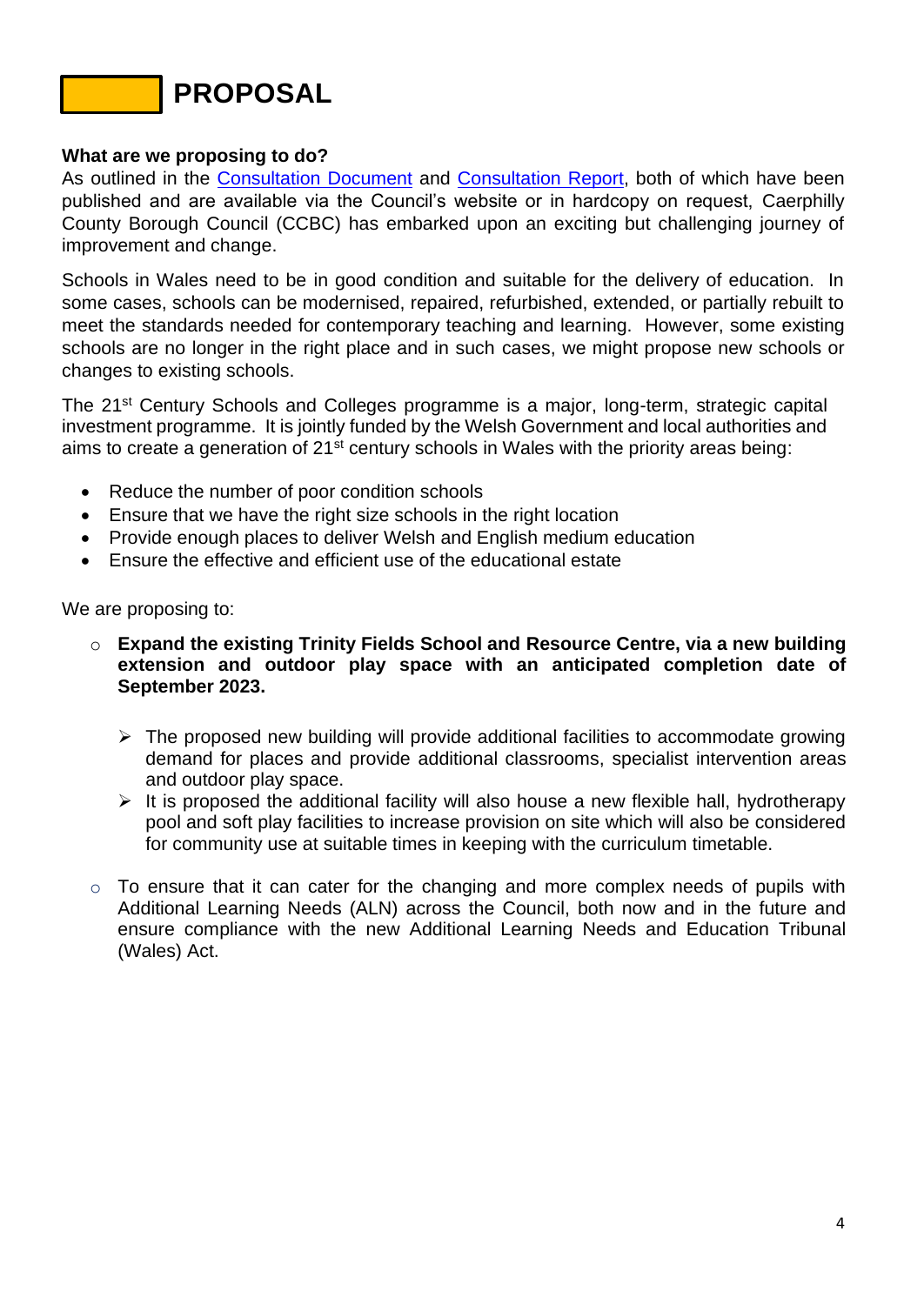### **PROPOSAL**

#### <span id="page-3-0"></span>**What are we proposing to do?**

As outlined in the [Consultation Document](https://www.caerphilly.gov.uk/CaerphillyDocs/Consultations/Consultation-Document-2020-(Trinity-Fields).aspx) and [Consultation Report,](https://www.caerphilly.gov.uk/CaerphillyDocs/Consultations/Trinity-Fields-Consultation-Report-2020.aspx) both of which have been published and are available via the Council's website or in hardcopy on request, Caerphilly County Borough Council (CCBC) has embarked upon an exciting but challenging journey of improvement and change.

Schools in Wales need to be in good condition and suitable for the delivery of education. In some cases, schools can be modernised, repaired, refurbished, extended, or partially rebuilt to meet the standards needed for contemporary teaching and learning. However, some existing schools are no longer in the right place and in such cases, we might propose new schools or changes to existing schools.

The 21<sup>st</sup> Century Schools and Colleges programme is a major, long-term, strategic capital investment programme. It is jointly funded by the Welsh Government and local authorities and aims to create a generation of 21<sup>st</sup> century schools in Wales with the priority areas being:

- Reduce the number of poor condition schools
- Ensure that we have the right size schools in the right location
- Provide enough places to deliver Welsh and English medium education
- Ensure the effective and efficient use of the educational estate

We are proposing to:

- o **Expand the existing Trinity Fields School and Resource Centre, via a new building extension and outdoor play space with an anticipated completion date of September 2023.**
	- $\triangleright$  The proposed new building will provide additional facilities to accommodate growing demand for places and provide additional classrooms, specialist intervention areas and outdoor play space.
	- $\triangleright$  It is proposed the additional facility will also house a new flexible hall, hydrotherapy pool and soft play facilities to increase provision on site which will also be considered for community use at suitable times in keeping with the curriculum timetable.
- $\circ$  To ensure that it can cater for the changing and more complex needs of pupils with Additional Learning Needs (ALN) across the Council, both now and in the future and ensure compliance with the new Additional Learning Needs and Education Tribunal (Wales) Act.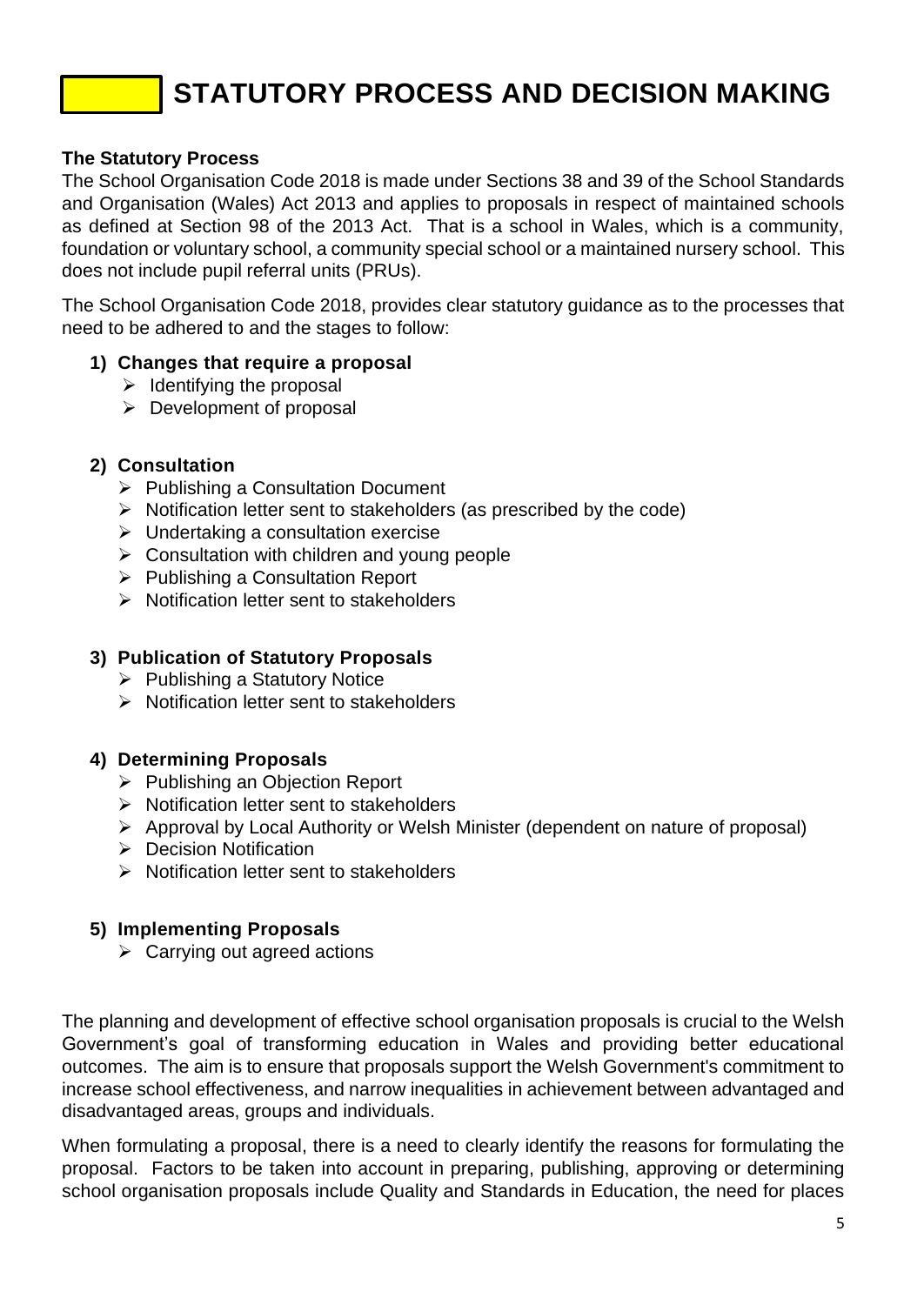## **STATUTORY PROCESS AND DECISION MAKING**

#### <span id="page-4-0"></span>**The Statutory Process**

The School Organisation Code 2018 is made under Sections 38 and 39 of the School Standards and Organisation (Wales) Act 2013 and applies to proposals in respect of maintained schools as defined at Section 98 of the 2013 Act. That is a school in Wales, which is a community, foundation or voluntary school, a community special school or a maintained nursery school. This does not include pupil referral units (PRUs).

The School Organisation Code 2018, provides clear statutory guidance as to the processes that need to be adhered to and the stages to follow:

#### **1) Changes that require a proposal**

- $\triangleright$  Identifying the proposal
- ➢ Development of proposal

#### **2) Consultation**

- ➢ Publishing a Consultation Document
- ➢ Notification letter sent to stakeholders (as prescribed by the code)
- ➢ Undertaking a consultation exercise
- ➢ Consultation with children and young people
- ➢ Publishing a Consultation Report
- ➢ Notification letter sent to stakeholders

#### **3) Publication of Statutory Proposals**

- ➢ Publishing a Statutory Notice
- ➢ Notification letter sent to stakeholders

#### **4) Determining Proposals**

- ➢ Publishing an Objection Report
- ➢ Notification letter sent to stakeholders
- ➢ Approval by Local Authority or Welsh Minister (dependent on nature of proposal)
- ➢ Decision Notification
- ➢ Notification letter sent to stakeholders

#### **5) Implementing Proposals**

➢ Carrying out agreed actions

The planning and development of effective school organisation proposals is crucial to the Welsh Government's goal of transforming education in Wales and providing better educational outcomes. The aim is to ensure that proposals support the Welsh Government's commitment to increase school effectiveness, and narrow inequalities in achievement between advantaged and disadvantaged areas, groups and individuals.

When formulating a proposal, there is a need to clearly identify the reasons for formulating the proposal. Factors to be taken into account in preparing, publishing, approving or determining school organisation proposals include Quality and Standards in Education, the need for places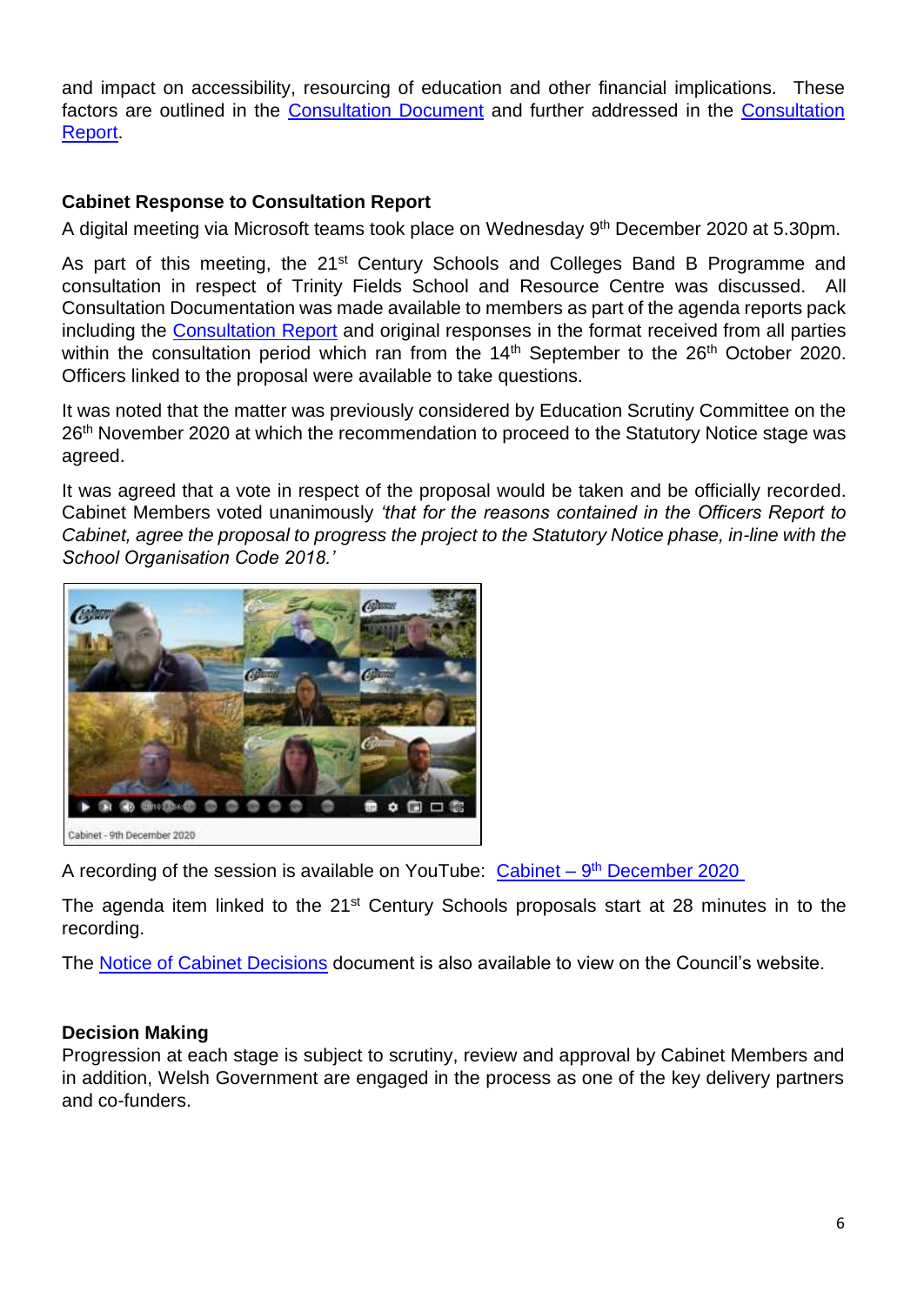and impact on accessibility, resourcing of education and other financial implications. These factors are outlined in the [Consultation Document](https://www.caerphilly.gov.uk/CaerphillyDocs/Consultations/Consultation-Document-2020-(Trinity-Fields).aspx) and further addressed in the Consultation [Report.](https://www.caerphilly.gov.uk/CaerphillyDocs/Consultations/Trinity-Fields-Consultation-Report-2020.aspx)

#### <span id="page-5-1"></span>**Cabinet Response to Consultation Report**

A digital meeting via Microsoft teams took place on Wednesday 9<sup>th</sup> December 2020 at 5.30pm.

As part of this meeting, the 21<sup>st</sup> Century Schools and Colleges Band B Programme and consultation in respect of Trinity Fields School and Resource Centre was discussed. All Consultation Documentation was made available to members as part of the agenda reports pack including the [Consultation Report](https://www.caerphilly.gov.uk/CaerphillyDocs/Consultations/Trinity-Fields-Consultation-Report-2020.aspx) and original responses in the format received from all parties within the consultation period which ran from the  $14<sup>th</sup>$  September to the  $26<sup>th</sup>$  October 2020. Officers linked to the proposal were available to take questions.

It was noted that the matter was previously considered by Education Scrutiny Committee on the 26<sup>th</sup> November 2020 at which the recommendation to proceed to the Statutory Notice stage was agreed.

It was agreed that a vote in respect of the proposal would be taken and be officially recorded. Cabinet Members voted unanimously *'that for the reasons contained in the Officers Report to Cabinet, agree the proposal to progress the project to the Statutory Notice phase, in-line with the School Organisation Code 2018.'*



A recording of the session is available on YouTube: Cabinet - 9<sup>th</sup> [December 2020](https://youtu.be/kGZt1YYvBtM)

The agenda item linked to the 21<sup>st</sup> Century Schools proposals start at 28 minutes in to the recording.

<span id="page-5-0"></span>The [Notice of Cabinet](https://democracy.caerphilly.gov.uk/documents/s33831/2020.12.09%20Cabinet%20Decision%20Notice.pdf?LLL=1) Decisions document is also available to view on the Council's website.

#### **Decision Making**

Progression at each stage is subject to scrutiny, review and approval by Cabinet Members and in addition, Welsh Government are engaged in the process as one of the key delivery partners and co-funders.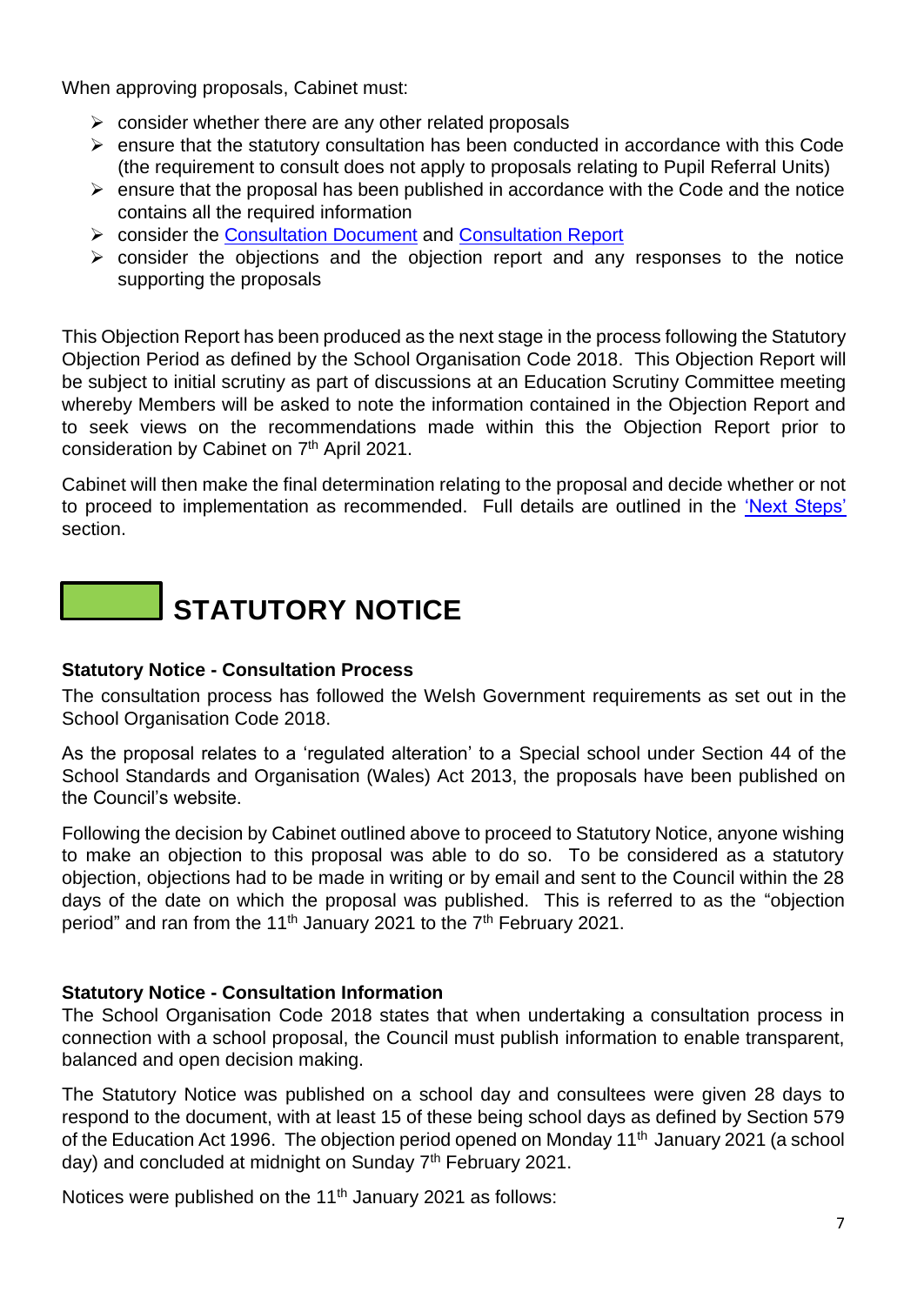When approving proposals, Cabinet must:

- $\triangleright$  consider whether there are any other related proposals
- ➢ ensure that the statutory consultation has been conducted in accordance with this Code (the requirement to consult does not apply to proposals relating to Pupil Referral Units)
- $\triangleright$  ensure that the proposal has been published in accordance with the Code and the notice contains all the required information
- ➢ consider the [Consultation Document](https://www.caerphilly.gov.uk/CaerphillyDocs/Consultations/Consultation-Document-2020-(Trinity-Fields).aspx) and [Consultation Report](https://www.caerphilly.gov.uk/CaerphillyDocs/Consultations/Trinity-Fields-Consultation-Report-2020.aspx)
- $\triangleright$  consider the objections and the objection report and any responses to the notice supporting the proposals

This Objection Report has been produced as the next stage in the process following the Statutory Objection Period as defined by the School Organisation Code 2018. This Objection Report will be subject to initial scrutiny as part of discussions at an Education Scrutiny Committee meeting whereby Members will be asked to note the information contained in the Objection Report and to seek views on the recommendations made within this the Objection Report prior to consideration by Cabinet on 7<sup>th</sup> April 2021.

Cabinet will then make the final determination relating to the proposal and decide whether or not to proceed to implementation as recommended. Full details are outlined in the ['Next Steps'](#page-33-1) section.

## **STATUTORY NOTICE**

#### <span id="page-6-0"></span>**Statutory Notice - Consultation Process**

The consultation process has followed the Welsh Government requirements as set out in the School Organisation Code 2018.

As the proposal relates to a 'regulated alteration' to a Special school under Section 44 of the School Standards and Organisation (Wales) Act 2013, the proposals have been published on the Council's website.

Following the decision by Cabinet outlined above to proceed to Statutory Notice, anyone wishing to make an objection to this proposal was able to do so. To be considered as a statutory objection, objections had to be made in writing or by email and sent to the Council within the 28 days of the date on which the proposal was published. This is referred to as the "objection period" and ran from the 11<sup>th</sup> January 2021 to the 7<sup>th</sup> February 2021.

#### <span id="page-6-1"></span>**Statutory Notice - Consultation Information**

The School Organisation Code 2018 states that when undertaking a consultation process in connection with a school proposal, the Council must publish information to enable transparent, balanced and open decision making.

The Statutory Notice was published on a school day and consultees were given 28 days to respond to the document, with at least 15 of these being school days as defined by Section 579 of the Education Act 1996. The objection period opened on Monday 11<sup>th</sup> January 2021 (a school day) and concluded at midnight on Sunday 7<sup>th</sup> February 2021.

Notices were published on the 11<sup>th</sup> January 2021 as follows: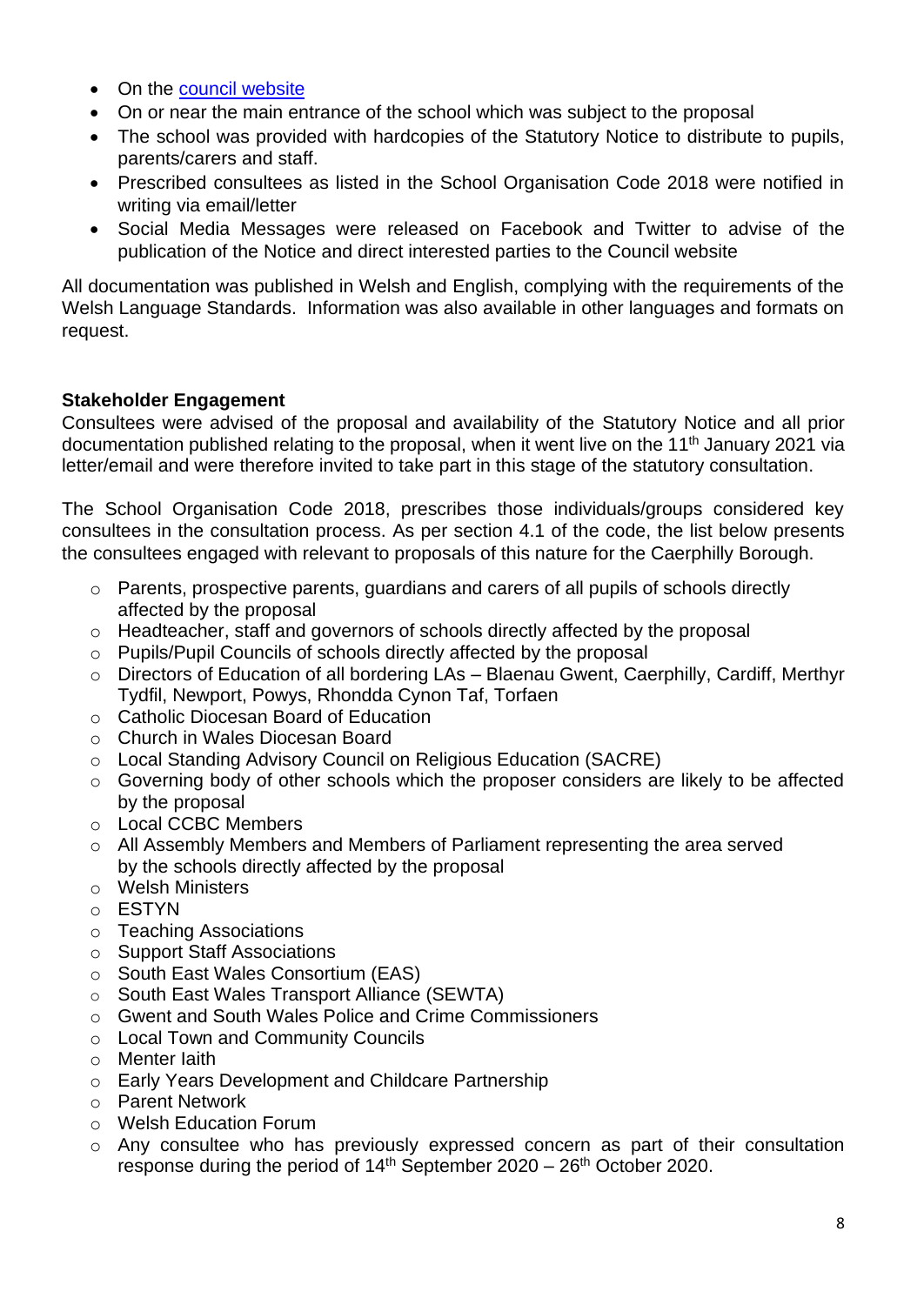- On the [council website](https://www.caerphilly.gov.uk/involved/Consultations/21st-Century-Schools-consultation)
- On or near the main entrance of the school which was subject to the proposal
- The school was provided with hardcopies of the Statutory Notice to distribute to pupils, parents/carers and staff.
- Prescribed consultees as listed in the School Organisation Code 2018 were notified in writing via email/letter
- Social Media Messages were released on Facebook and Twitter to advise of the publication of the Notice and direct interested parties to the Council website

All documentation was published in Welsh and English, complying with the requirements of the Welsh Language Standards. Information was also available in other languages and formats on request.

#### <span id="page-7-0"></span>**Stakeholder Engagement**

Consultees were advised of the proposal and availability of the Statutory Notice and all prior documentation published relating to the proposal, when it went live on the 11<sup>th</sup> January 2021 via letter/email and were therefore invited to take part in this stage of the statutory consultation.

The School Organisation Code 2018, prescribes those individuals/groups considered key consultees in the consultation process. As per section 4.1 of the code, the list below presents the consultees engaged with relevant to proposals of this nature for the Caerphilly Borough.

- o Parents, prospective parents, guardians and carers of all pupils of schools directly affected by the proposal
- $\circ$  Headteacher, staff and governors of schools directly affected by the proposal
- o Pupils/Pupil Councils of schools directly affected by the proposal
- o Directors of Education of all bordering LAs Blaenau Gwent, Caerphilly, Cardiff, Merthyr Tydfil, Newport, Powys, Rhondda Cynon Taf, Torfaen
- o Catholic Diocesan Board of Education
- o Church in Wales Diocesan Board
- o Local Standing Advisory Council on Religious Education (SACRE)
- o Governing body of other schools which the proposer considers are likely to be affected by the proposal
- o Local CCBC Members
- o All Assembly Members and Members of Parliament representing the area served by the schools directly affected by the proposal
- o Welsh Ministers
- o ESTYN
- o Teaching Associations
- o Support Staff Associations
- o South East Wales Consortium (EAS)
- o South East Wales Transport Alliance (SEWTA)
- o Gwent and South Wales Police and Crime Commissioners
- o Local Town and Community Councils
- o Menter Iaith
- o Early Years Development and Childcare Partnership
- o Parent Network
- o Welsh Education Forum
- o Any consultee who has previously expressed concern as part of their consultation response during the period of  $14<sup>th</sup>$  September 2020 – 26<sup>th</sup> October 2020.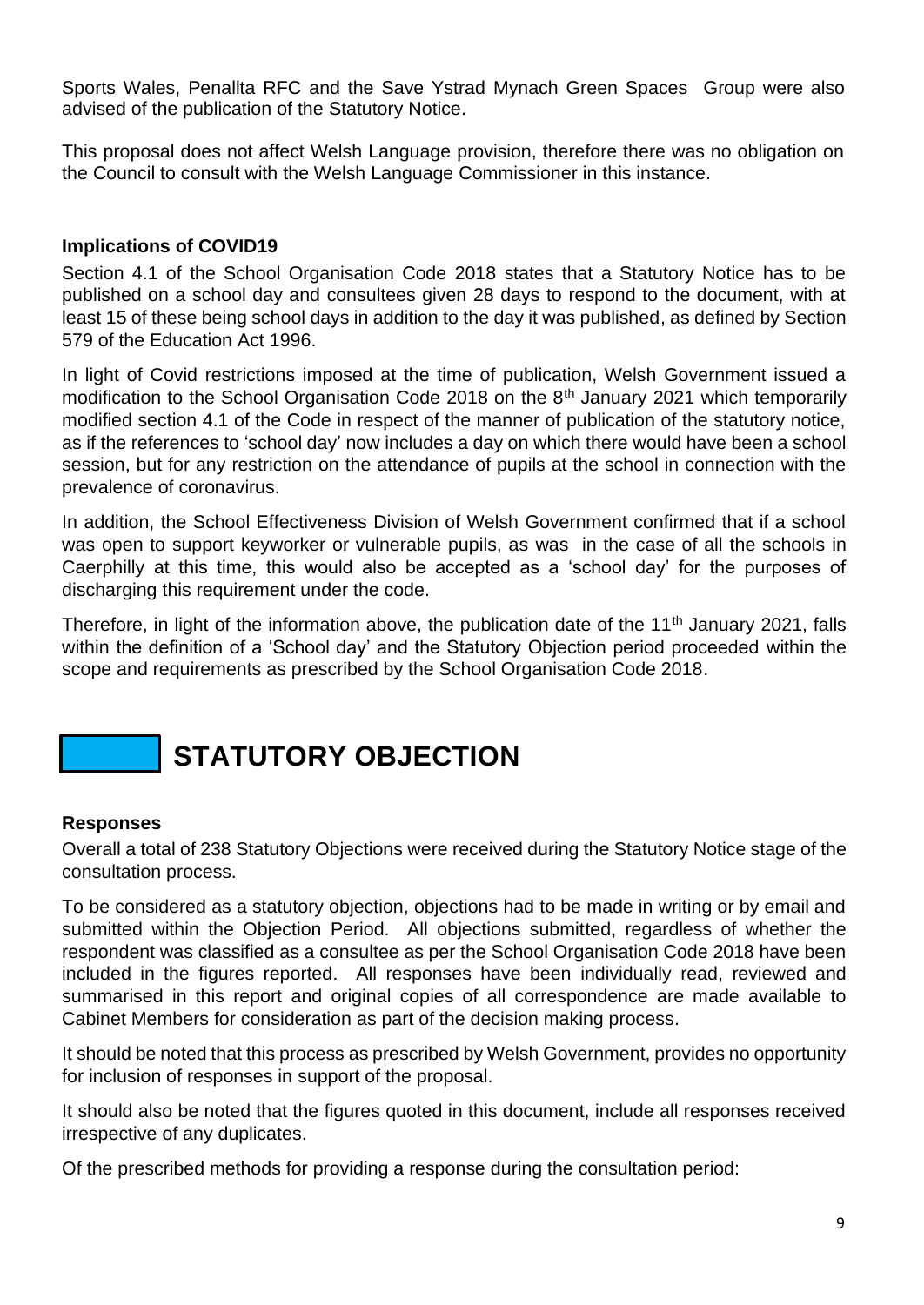Sports Wales, Penallta RFC and the Save Ystrad Mynach Green Spaces Group were also advised of the publication of the Statutory Notice.

This proposal does not affect Welsh Language provision, therefore there was no obligation on the Council to consult with the Welsh Language Commissioner in this instance.

#### <span id="page-8-0"></span>**Implications of COVID19**

Section 4.1 of the School Organisation Code 2018 states that a Statutory Notice has to be published on a school day and consultees given 28 days to respond to the document, with at least 15 of these being school days in addition to the day it was published, as defined by Section 579 of the Education Act 1996.

In light of Covid restrictions imposed at the time of publication, Welsh Government issued a modification to the School Organisation Code 2018 on the  $8<sup>th</sup>$  January 2021 which temporarily modified section 4.1 of the Code in respect of the manner of publication of the statutory notice, as if the references to 'school day' now includes a day on which there would have been a school session, but for any restriction on the attendance of pupils at the school in connection with the prevalence of coronavirus.

In addition, the School Effectiveness Division of Welsh Government confirmed that if a school was open to support keyworker or vulnerable pupils, as was in the case of all the schools in Caerphilly at this time, this would also be accepted as a 'school day' for the purposes of discharging this requirement under the code.

Therefore, in light of the information above, the publication date of the 11<sup>th</sup> January 2021, falls within the definition of a 'School day' and the Statutory Objection period proceeded within the scope and requirements as prescribed by the School Organisation Code 2018.

## **STATUTORY OBJECTION**

#### <span id="page-8-1"></span>**Responses**

Overall a total of 238 Statutory Objections were received during the Statutory Notice stage of the consultation process.

To be considered as a statutory objection, objections had to be made in writing or by email and submitted within the Objection Period. All objections submitted, regardless of whether the respondent was classified as a consultee as per the School Organisation Code 2018 have been included in the figures reported. All responses have been individually read, reviewed and summarised in this report and original copies of all correspondence are made available to Cabinet Members for consideration as part of the decision making process.

It should be noted that this process as prescribed by Welsh Government, provides no opportunity for inclusion of responses in support of the proposal.

It should also be noted that the figures quoted in this document, include all responses received irrespective of any duplicates.

Of the prescribed methods for providing a response during the consultation period: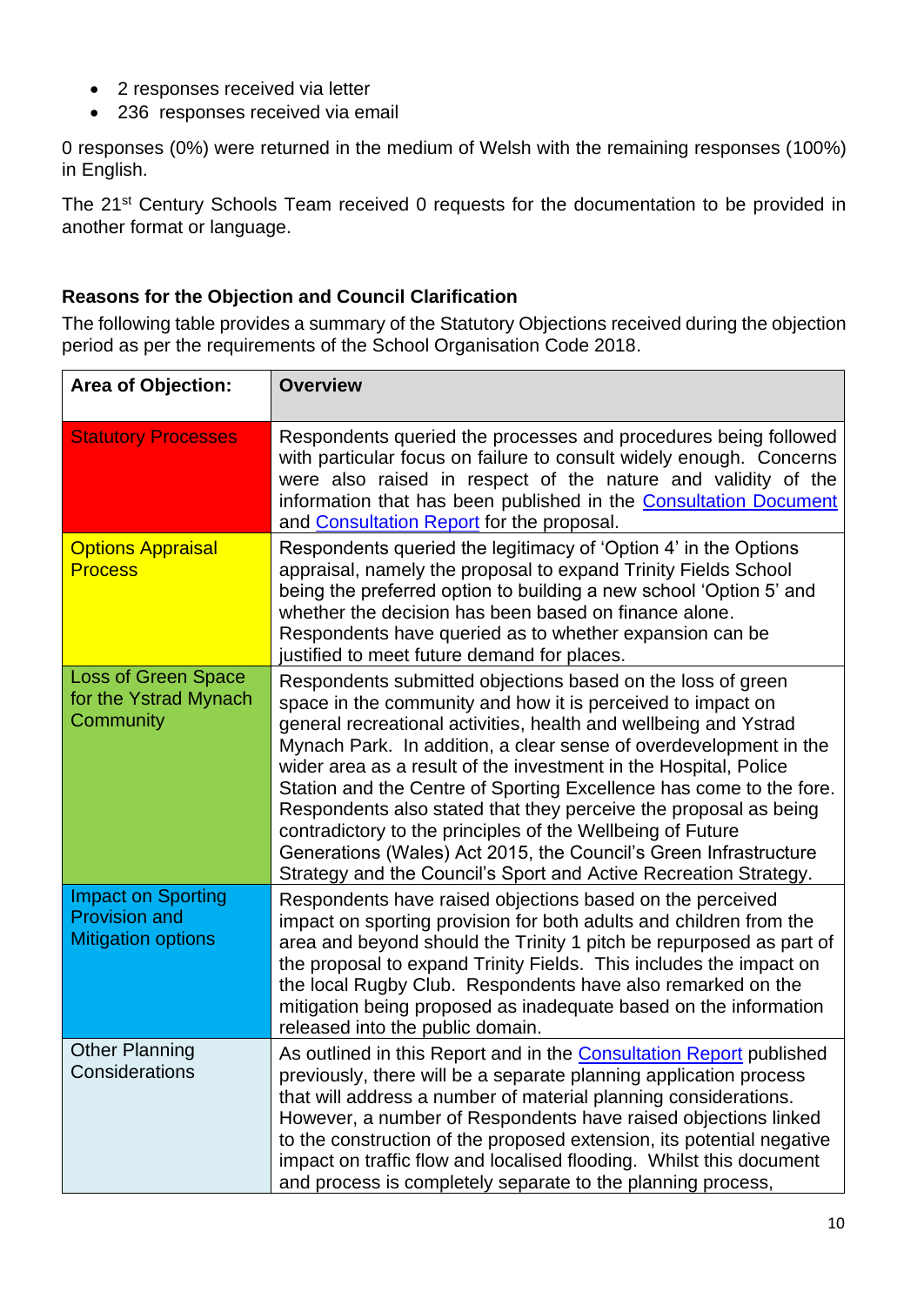- 2 responses received via letter
- 236 responses received via email

0 responses (0%) were returned in the medium of Welsh with the remaining responses (100%) in English.

The 21<sup>st</sup> Century Schools Team received 0 requests for the documentation to be provided in another format or language.

#### <span id="page-9-0"></span>**Reasons for the Objection and Council Clarification**

The following table provides a summary of the Statutory Objections received during the objection period as per the requirements of the School Organisation Code 2018.

| <b>Area of Objection:</b>                                                      | <b>Overview</b>                                                                                                                                                                                                                                                                                                                                                                                                                                                                                                                                                                                                                                                                          |  |
|--------------------------------------------------------------------------------|------------------------------------------------------------------------------------------------------------------------------------------------------------------------------------------------------------------------------------------------------------------------------------------------------------------------------------------------------------------------------------------------------------------------------------------------------------------------------------------------------------------------------------------------------------------------------------------------------------------------------------------------------------------------------------------|--|
| <b>Statutory Processes</b>                                                     | Respondents queried the processes and procedures being followed<br>with particular focus on failure to consult widely enough. Concerns<br>were also raised in respect of the nature and validity of the<br>information that has been published in the Consultation Document<br>and <b>Consultation Report</b> for the proposal.                                                                                                                                                                                                                                                                                                                                                          |  |
| <b>Options Appraisal</b><br><b>Process</b>                                     | Respondents queried the legitimacy of 'Option 4' in the Options<br>appraisal, namely the proposal to expand Trinity Fields School<br>being the preferred option to building a new school 'Option 5' and<br>whether the decision has been based on finance alone.<br>Respondents have queried as to whether expansion can be<br>justified to meet future demand for places.                                                                                                                                                                                                                                                                                                               |  |
| <b>Loss of Green Space</b><br>for the Ystrad Mynach<br>Community               | Respondents submitted objections based on the loss of green<br>space in the community and how it is perceived to impact on<br>general recreational activities, health and wellbeing and Ystrad<br>Mynach Park. In addition, a clear sense of overdevelopment in the<br>wider area as a result of the investment in the Hospital, Police<br>Station and the Centre of Sporting Excellence has come to the fore.<br>Respondents also stated that they perceive the proposal as being<br>contradictory to the principles of the Wellbeing of Future<br>Generations (Wales) Act 2015, the Council's Green Infrastructure<br>Strategy and the Council's Sport and Active Recreation Strategy. |  |
| <b>Impact on Sporting</b><br><b>Provision and</b><br><b>Mitigation options</b> | Respondents have raised objections based on the perceived<br>impact on sporting provision for both adults and children from the<br>area and beyond should the Trinity 1 pitch be repurposed as part of<br>the proposal to expand Trinity Fields. This includes the impact on<br>the local Rugby Club. Respondents have also remarked on the<br>mitigation being proposed as inadequate based on the information<br>released into the public domain.                                                                                                                                                                                                                                      |  |
| <b>Other Planning</b><br>Considerations                                        | As outlined in this Report and in the <b>Consultation Report</b> published<br>previously, there will be a separate planning application process<br>that will address a number of material planning considerations.<br>However, a number of Respondents have raised objections linked<br>to the construction of the proposed extension, its potential negative<br>impact on traffic flow and localised flooding. Whilst this document<br>and process is completely separate to the planning process,                                                                                                                                                                                      |  |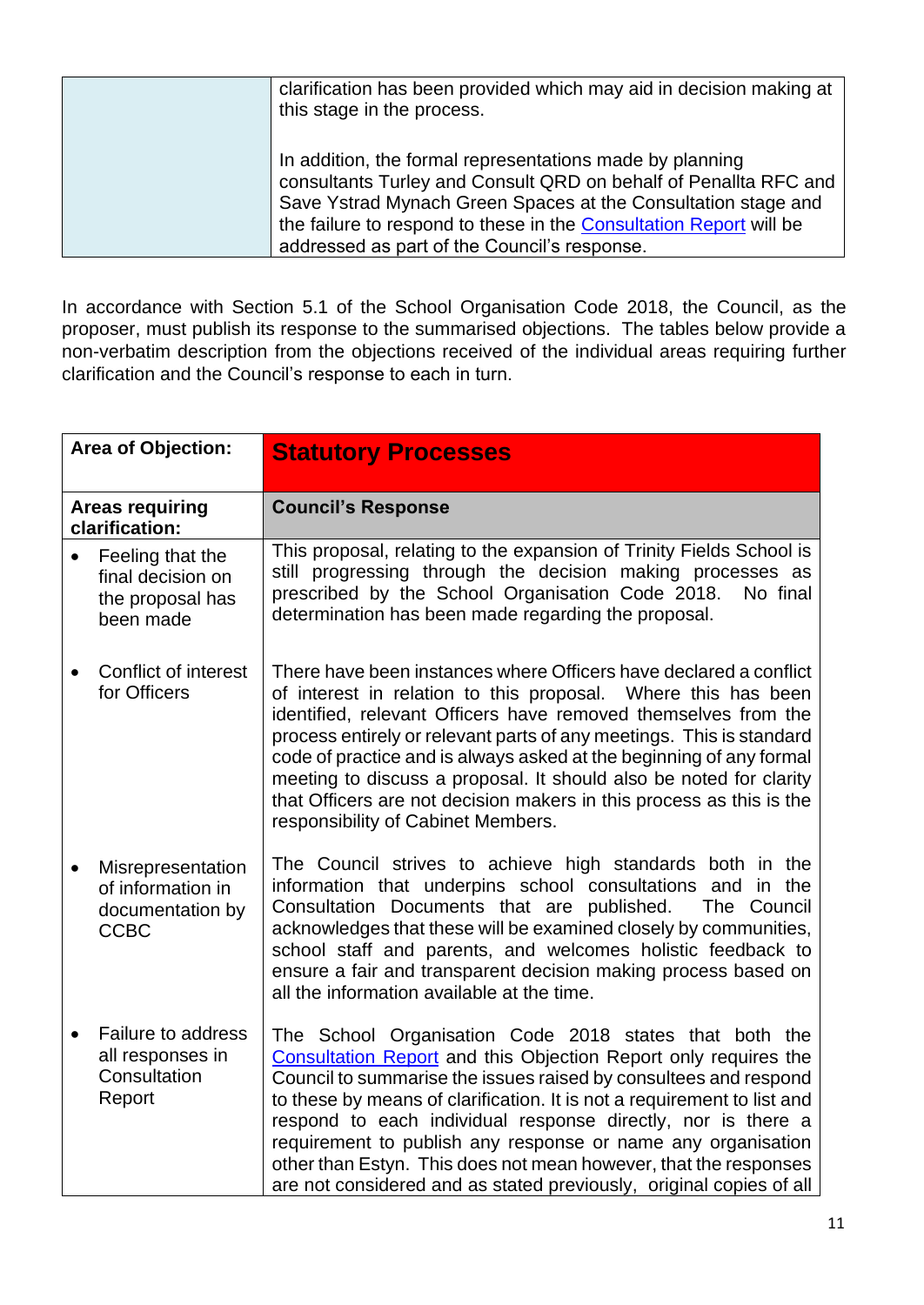| clarification has been provided which may aid in decision making at |
|---------------------------------------------------------------------|
| this stage in the process.                                          |
|                                                                     |
| In addition, the formal representations made by planning            |
| consultants Turley and Consult QRD on behalf of Penallta RFC and    |
| Save Ystrad Mynach Green Spaces at the Consultation stage and       |
| the failure to respond to these in the Consultation Report will be  |
| addressed as part of the Council's response.                        |

In accordance with Section 5.1 of the School Organisation Code 2018, the Council, as the proposer, must publish its response to the summarised objections. The tables below provide a non-verbatim description from the objections received of the individual areas requiring further clarification and the Council's response to each in turn.

<span id="page-10-0"></span>

| <b>Area of Objection:</b> |                                                                           | <b>Statutory Processes</b>                                                                                                                                                                                                                                                                                                                                                                                                                                                                                                                          |  |
|---------------------------|---------------------------------------------------------------------------|-----------------------------------------------------------------------------------------------------------------------------------------------------------------------------------------------------------------------------------------------------------------------------------------------------------------------------------------------------------------------------------------------------------------------------------------------------------------------------------------------------------------------------------------------------|--|
|                           | <b>Areas requiring</b><br>clarification:                                  | <b>Council's Response</b>                                                                                                                                                                                                                                                                                                                                                                                                                                                                                                                           |  |
|                           | Feeling that the<br>final decision on<br>the proposal has<br>been made    | This proposal, relating to the expansion of Trinity Fields School is<br>still progressing through the decision making processes as<br>prescribed by the School Organisation Code 2018.<br>No final<br>determination has been made regarding the proposal.                                                                                                                                                                                                                                                                                           |  |
|                           | Conflict of interest<br>for Officers                                      | There have been instances where Officers have declared a conflict<br>of interest in relation to this proposal. Where this has been<br>identified, relevant Officers have removed themselves from the<br>process entirely or relevant parts of any meetings. This is standard<br>code of practice and is always asked at the beginning of any formal<br>meeting to discuss a proposal. It should also be noted for clarity<br>that Officers are not decision makers in this process as this is the<br>responsibility of Cabinet Members.             |  |
|                           | Misrepresentation<br>of information in<br>documentation by<br><b>CCBC</b> | The Council strives to achieve high standards both in the<br>information that underpins school consultations and<br>in the<br>Consultation Documents that are published.<br>The Council<br>acknowledges that these will be examined closely by communities,<br>school staff and parents, and welcomes holistic feedback to<br>ensure a fair and transparent decision making process based on<br>all the information available at the time.                                                                                                          |  |
|                           | Failure to address<br>all responses in<br>Consultation<br>Report          | The School Organisation Code 2018 states that both the<br>Consultation Report and this Objection Report only requires the<br>Council to summarise the issues raised by consultees and respond<br>to these by means of clarification. It is not a requirement to list and<br>respond to each individual response directly, nor is there a<br>requirement to publish any response or name any organisation<br>other than Estyn. This does not mean however, that the responses<br>are not considered and as stated previously, original copies of all |  |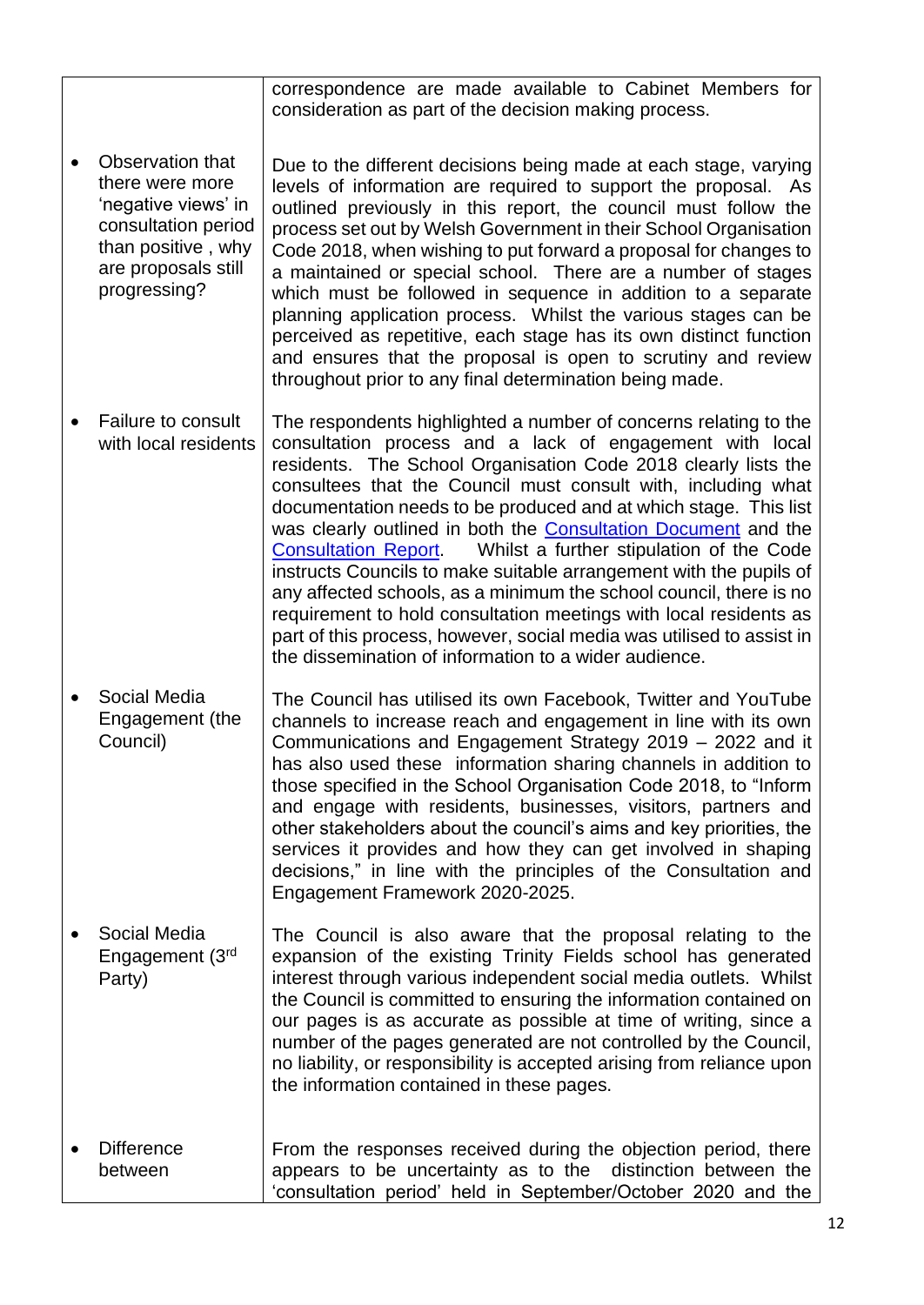|                                                                                                                                                | correspondence are made available to Cabinet Members for<br>consideration as part of the decision making process.                                                                                                                                                                                                                                                                                                                                                                                                                                                                                                                                                                                                                                                                                                                          |
|------------------------------------------------------------------------------------------------------------------------------------------------|--------------------------------------------------------------------------------------------------------------------------------------------------------------------------------------------------------------------------------------------------------------------------------------------------------------------------------------------------------------------------------------------------------------------------------------------------------------------------------------------------------------------------------------------------------------------------------------------------------------------------------------------------------------------------------------------------------------------------------------------------------------------------------------------------------------------------------------------|
| Observation that<br>there were more<br>'negative views' in<br>consultation period<br>than positive, why<br>are proposals still<br>progressing? | Due to the different decisions being made at each stage, varying<br>levels of information are required to support the proposal. As<br>outlined previously in this report, the council must follow the<br>process set out by Welsh Government in their School Organisation<br>Code 2018, when wishing to put forward a proposal for changes to<br>a maintained or special school. There are a number of stages<br>which must be followed in sequence in addition to a separate<br>planning application process. Whilst the various stages can be<br>perceived as repetitive, each stage has its own distinct function<br>and ensures that the proposal is open to scrutiny and review<br>throughout prior to any final determination being made.                                                                                            |
| Failure to consult<br>with local residents                                                                                                     | The respondents highlighted a number of concerns relating to the<br>consultation process and a lack of engagement with local<br>residents. The School Organisation Code 2018 clearly lists the<br>consultees that the Council must consult with, including what<br>documentation needs to be produced and at which stage. This list<br>was clearly outlined in both the <b>Consultation Document</b> and the<br>Whilst a further stipulation of the Code<br><b>Consultation Report.</b><br>instructs Councils to make suitable arrangement with the pupils of<br>any affected schools, as a minimum the school council, there is no<br>requirement to hold consultation meetings with local residents as<br>part of this process, however, social media was utilised to assist in<br>the dissemination of information to a wider audience. |
| Social Media<br>Engagement (the<br>Council)                                                                                                    | The Council has utilised its own Facebook, Twitter and YouTube<br>channels to increase reach and engagement in line with its own<br>Communications and Engagement Strategy 2019 - 2022 and it<br>has also used these information sharing channels in addition to<br>those specified in the School Organisation Code 2018, to "Inform<br>and engage with residents, businesses, visitors, partners and<br>other stakeholders about the council's aims and key priorities, the<br>services it provides and how they can get involved in shaping<br>decisions," in line with the principles of the Consultation and<br>Engagement Framework 2020-2025.                                                                                                                                                                                        |
| Social Media<br>Engagement (3rd<br>Party)                                                                                                      | The Council is also aware that the proposal relating to the<br>expansion of the existing Trinity Fields school has generated<br>interest through various independent social media outlets. Whilst<br>the Council is committed to ensuring the information contained on<br>our pages is as accurate as possible at time of writing, since a<br>number of the pages generated are not controlled by the Council,<br>no liability, or responsibility is accepted arising from reliance upon<br>the information contained in these pages.                                                                                                                                                                                                                                                                                                      |
| <b>Difference</b><br>between                                                                                                                   | From the responses received during the objection period, there<br>appears to be uncertainty as to the distinction between the<br>'consultation period' held in September/October 2020 and the                                                                                                                                                                                                                                                                                                                                                                                                                                                                                                                                                                                                                                              |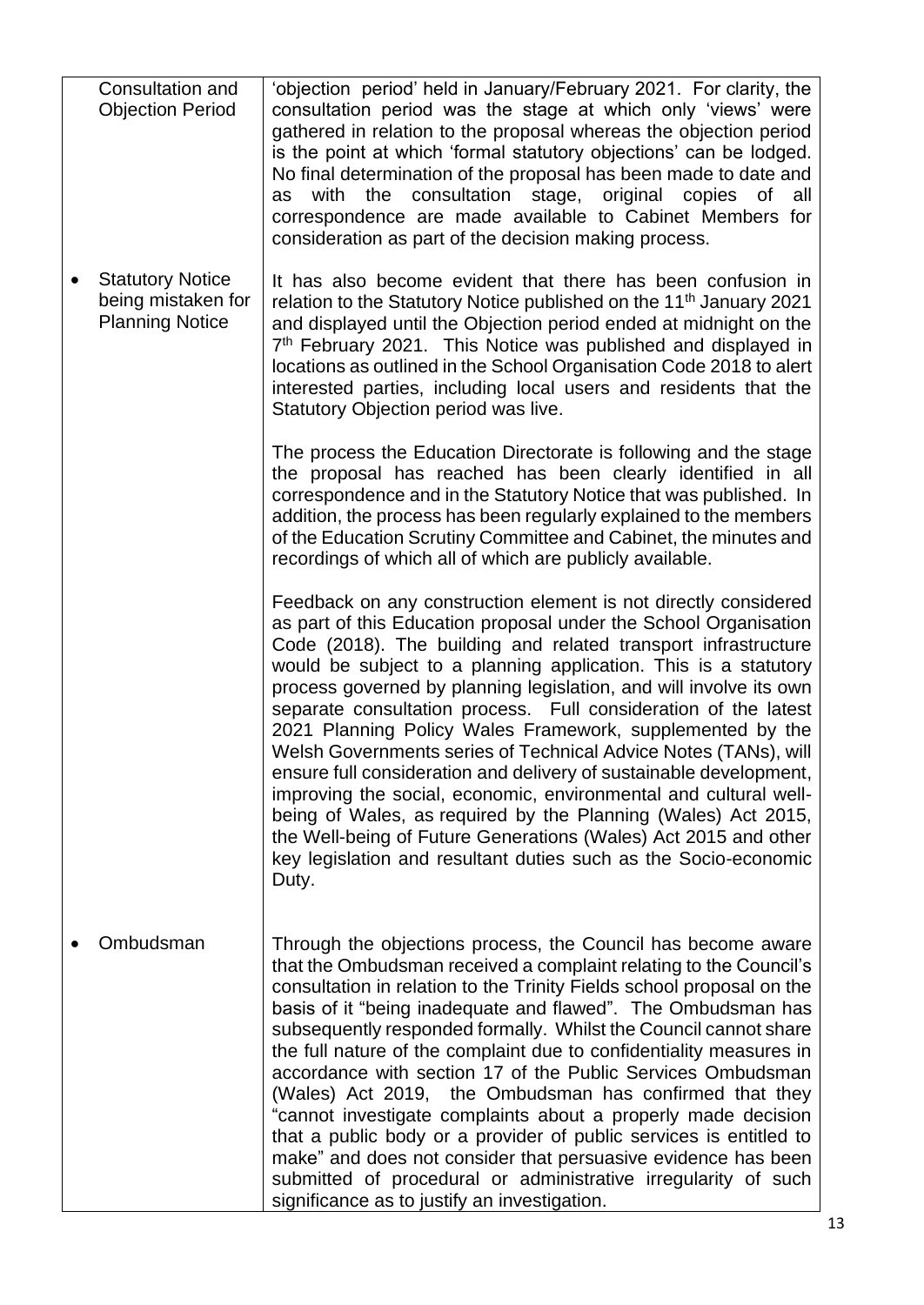| Consultation and<br><b>Objection Period</b>                             | 'objection period' held in January/February 2021. For clarity, the<br>consultation period was the stage at which only 'views' were<br>gathered in relation to the proposal whereas the objection period<br>is the point at which 'formal statutory objections' can be lodged.<br>No final determination of the proposal has been made to date and<br>with<br>consultation<br>the<br>stage, original<br>copies<br>0f<br>all<br>as<br>correspondence are made available to Cabinet Members for<br>consideration as part of the decision making process.                                                                                                                                                                                                                                                                                                                                                       |  |
|-------------------------------------------------------------------------|-------------------------------------------------------------------------------------------------------------------------------------------------------------------------------------------------------------------------------------------------------------------------------------------------------------------------------------------------------------------------------------------------------------------------------------------------------------------------------------------------------------------------------------------------------------------------------------------------------------------------------------------------------------------------------------------------------------------------------------------------------------------------------------------------------------------------------------------------------------------------------------------------------------|--|
| <b>Statutory Notice</b><br>being mistaken for<br><b>Planning Notice</b> | It has also become evident that there has been confusion in<br>relation to the Statutory Notice published on the 11 <sup>th</sup> January 2021<br>and displayed until the Objection period ended at midnight on the<br>7 <sup>th</sup> February 2021. This Notice was published and displayed in<br>locations as outlined in the School Organisation Code 2018 to alert<br>interested parties, including local users and residents that the<br>Statutory Objection period was live.                                                                                                                                                                                                                                                                                                                                                                                                                         |  |
|                                                                         | The process the Education Directorate is following and the stage<br>the proposal has reached has been clearly identified in all<br>correspondence and in the Statutory Notice that was published. In<br>addition, the process has been regularly explained to the members<br>of the Education Scrutiny Committee and Cabinet, the minutes and<br>recordings of which all of which are publicly available.                                                                                                                                                                                                                                                                                                                                                                                                                                                                                                   |  |
|                                                                         | Feedback on any construction element is not directly considered<br>as part of this Education proposal under the School Organisation<br>Code (2018). The building and related transport infrastructure<br>would be subject to a planning application. This is a statutory<br>process governed by planning legislation, and will involve its own<br>separate consultation process. Full consideration of the latest<br>2021 Planning Policy Wales Framework, supplemented by the<br>Welsh Governments series of Technical Advice Notes (TANs), will<br>ensure full consideration and delivery of sustainable development,<br>improving the social, economic, environmental and cultural well-<br>being of Wales, as required by the Planning (Wales) Act 2015,<br>the Well-being of Future Generations (Wales) Act 2015 and other<br>key legislation and resultant duties such as the Socio-economic<br>Duty. |  |
| Ombudsman                                                               | Through the objections process, the Council has become aware<br>that the Ombudsman received a complaint relating to the Council's<br>consultation in relation to the Trinity Fields school proposal on the<br>basis of it "being inadequate and flawed". The Ombudsman has<br>subsequently responded formally. Whilst the Council cannot share<br>the full nature of the complaint due to confidentiality measures in<br>accordance with section 17 of the Public Services Ombudsman<br>(Wales) Act 2019, the Ombudsman has confirmed that they<br>"cannot investigate complaints about a properly made decision<br>that a public body or a provider of public services is entitled to<br>make" and does not consider that persuasive evidence has been<br>submitted of procedural or administrative irregularity of such<br>significance as to justify an investigation.                                   |  |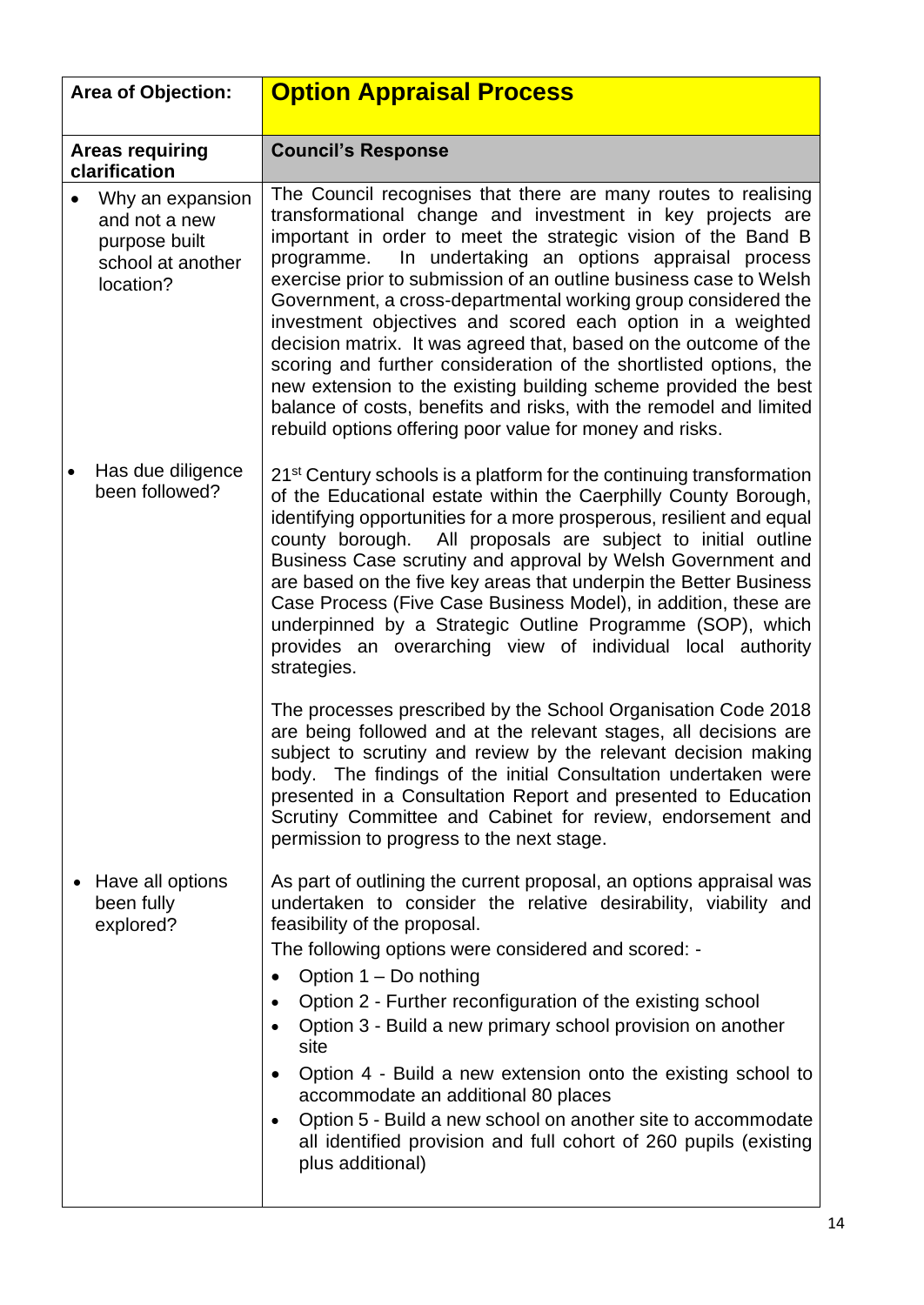<span id="page-13-0"></span>

| <b>Area of Objection:</b> |                                                                                      | <b>Option Appraisal Process</b>                                                                                                                                                                                                                                                                                                                                                                                                                                                                                                                                                                                                                                                                                                                                                                              |  |
|---------------------------|--------------------------------------------------------------------------------------|--------------------------------------------------------------------------------------------------------------------------------------------------------------------------------------------------------------------------------------------------------------------------------------------------------------------------------------------------------------------------------------------------------------------------------------------------------------------------------------------------------------------------------------------------------------------------------------------------------------------------------------------------------------------------------------------------------------------------------------------------------------------------------------------------------------|--|
|                           | <b>Areas requiring</b><br>clarification                                              | <b>Council's Response</b>                                                                                                                                                                                                                                                                                                                                                                                                                                                                                                                                                                                                                                                                                                                                                                                    |  |
|                           | Why an expansion<br>and not a new<br>purpose built<br>school at another<br>location? | The Council recognises that there are many routes to realising<br>transformational change and investment in key projects are<br>important in order to meet the strategic vision of the Band B<br>In undertaking an options appraisal process<br>programme.<br>exercise prior to submission of an outline business case to Welsh<br>Government, a cross-departmental working group considered the<br>investment objectives and scored each option in a weighted<br>decision matrix. It was agreed that, based on the outcome of the<br>scoring and further consideration of the shortlisted options, the<br>new extension to the existing building scheme provided the best<br>balance of costs, benefits and risks, with the remodel and limited<br>rebuild options offering poor value for money and risks. |  |
|                           | Has due diligence<br>been followed?                                                  | 21 <sup>st</sup> Century schools is a platform for the continuing transformation<br>of the Educational estate within the Caerphilly County Borough,<br>identifying opportunities for a more prosperous, resilient and equal<br>All proposals are subject to initial outline<br>county borough.<br>Business Case scrutiny and approval by Welsh Government and<br>are based on the five key areas that underpin the Better Business<br>Case Process (Five Case Business Model), in addition, these are<br>underpinned by a Strategic Outline Programme (SOP), which<br>provides an overarching view of individual local authority<br>strategies.                                                                                                                                                              |  |
|                           |                                                                                      | The processes prescribed by the School Organisation Code 2018<br>are being followed and at the relevant stages, all decisions are<br>subject to scrutiny and review by the relevant decision making<br>body. The findings of the initial Consultation undertaken were<br>presented in a Consultation Report and presented to Education<br>Scrutiny Committee and Cabinet for review, endorsement and<br>permission to progress to the next stage.                                                                                                                                                                                                                                                                                                                                                            |  |
| ٠                         | Have all options<br>been fully<br>explored?                                          | As part of outlining the current proposal, an options appraisal was<br>undertaken to consider the relative desirability, viability and<br>feasibility of the proposal.<br>The following options were considered and scored: -<br>Option $1 - Do$ nothing<br>$\bullet$<br>Option 2 - Further reconfiguration of the existing school<br>Option 3 - Build a new primary school provision on another<br>site<br>Option 4 - Build a new extension onto the existing school to<br>accommodate an additional 80 places<br>Option 5 - Build a new school on another site to accommodate<br>all identified provision and full cohort of 260 pupils (existing<br>plus additional)                                                                                                                                      |  |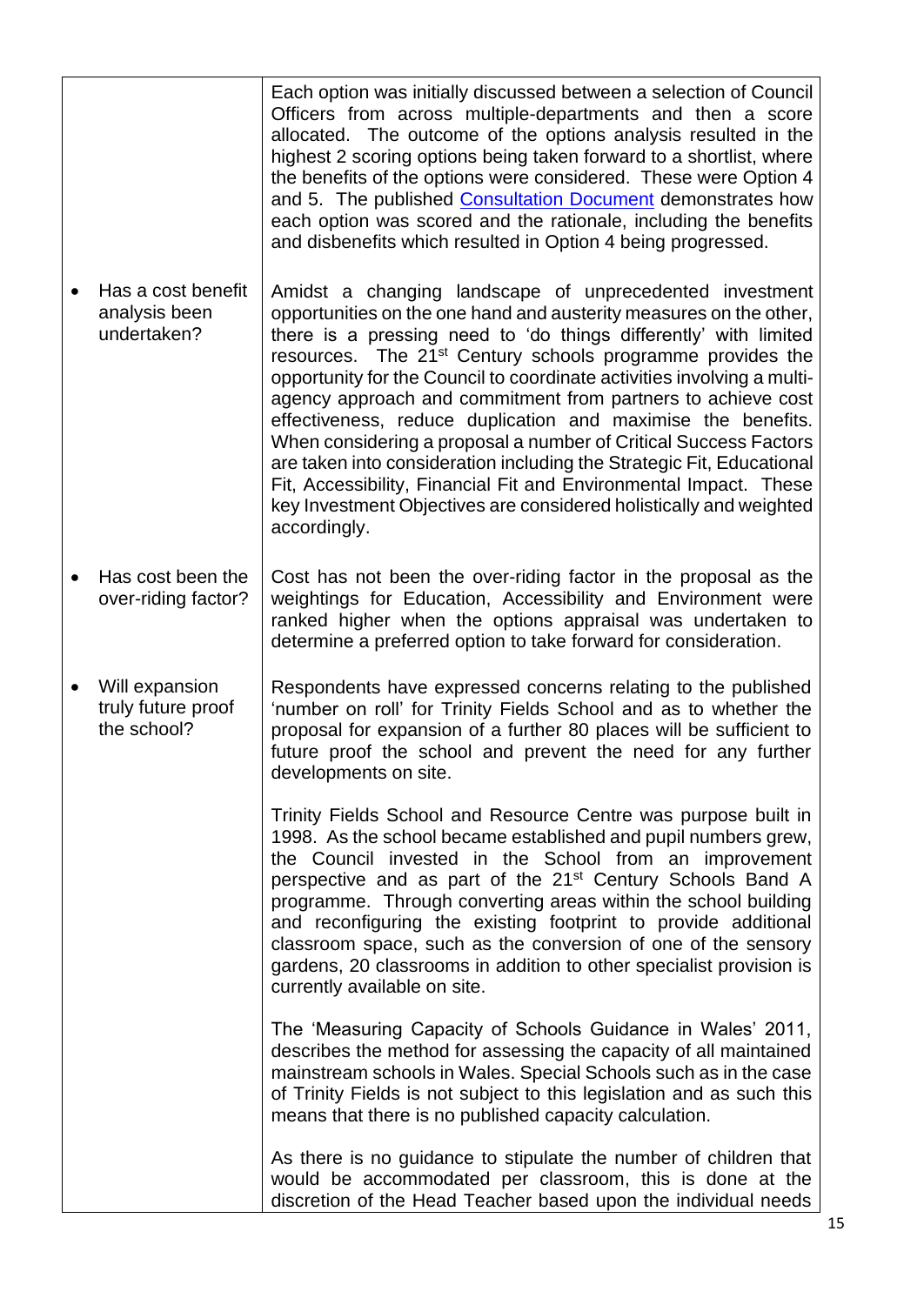|                                                     | Each option was initially discussed between a selection of Council<br>Officers from across multiple-departments and then a score<br>allocated. The outcome of the options analysis resulted in the<br>highest 2 scoring options being taken forward to a shortlist, where<br>the benefits of the options were considered. These were Option 4<br>and 5. The published Consultation Document demonstrates how<br>each option was scored and the rationale, including the benefits<br>and disbenefits which resulted in Option 4 being progressed.                                                                                                                                                                                                                                               |
|-----------------------------------------------------|------------------------------------------------------------------------------------------------------------------------------------------------------------------------------------------------------------------------------------------------------------------------------------------------------------------------------------------------------------------------------------------------------------------------------------------------------------------------------------------------------------------------------------------------------------------------------------------------------------------------------------------------------------------------------------------------------------------------------------------------------------------------------------------------|
| Has a cost benefit<br>analysis been<br>undertaken?  | Amidst a changing landscape of unprecedented investment<br>opportunities on the one hand and austerity measures on the other,<br>there is a pressing need to 'do things differently' with limited<br>resources. The 21 <sup>st</sup> Century schools programme provides the<br>opportunity for the Council to coordinate activities involving a multi-<br>agency approach and commitment from partners to achieve cost<br>effectiveness, reduce duplication and maximise the benefits.<br>When considering a proposal a number of Critical Success Factors<br>are taken into consideration including the Strategic Fit, Educational<br>Fit, Accessibility, Financial Fit and Environmental Impact. These<br>key Investment Objectives are considered holistically and weighted<br>accordingly. |
| Has cost been the<br>over-riding factor?            | Cost has not been the over-riding factor in the proposal as the<br>weightings for Education, Accessibility and Environment were<br>ranked higher when the options appraisal was undertaken to<br>determine a preferred option to take forward for consideration.                                                                                                                                                                                                                                                                                                                                                                                                                                                                                                                               |
| Will expansion<br>truly future proof<br>the school? | Respondents have expressed concerns relating to the published<br>'number on roll' for Trinity Fields School and as to whether the<br>proposal for expansion of a further 80 places will be sufficient to<br>future proof the school and prevent the need for any further<br>developments on site.                                                                                                                                                                                                                                                                                                                                                                                                                                                                                              |
|                                                     | Trinity Fields School and Resource Centre was purpose built in<br>1998. As the school became established and pupil numbers grew,<br>the Council invested in the School from an improvement<br>perspective and as part of the 21 <sup>st</sup> Century Schools Band A<br>programme. Through converting areas within the school building<br>and reconfiguring the existing footprint to provide additional<br>classroom space, such as the conversion of one of the sensory<br>gardens, 20 classrooms in addition to other specialist provision is<br>currently available on site.                                                                                                                                                                                                               |
|                                                     | The 'Measuring Capacity of Schools Guidance in Wales' 2011,<br>describes the method for assessing the capacity of all maintained<br>mainstream schools in Wales. Special Schools such as in the case<br>of Trinity Fields is not subject to this legislation and as such this<br>means that there is no published capacity calculation.                                                                                                                                                                                                                                                                                                                                                                                                                                                        |
|                                                     | As there is no guidance to stipulate the number of children that<br>would be accommodated per classroom, this is done at the<br>discretion of the Head Teacher based upon the individual needs                                                                                                                                                                                                                                                                                                                                                                                                                                                                                                                                                                                                 |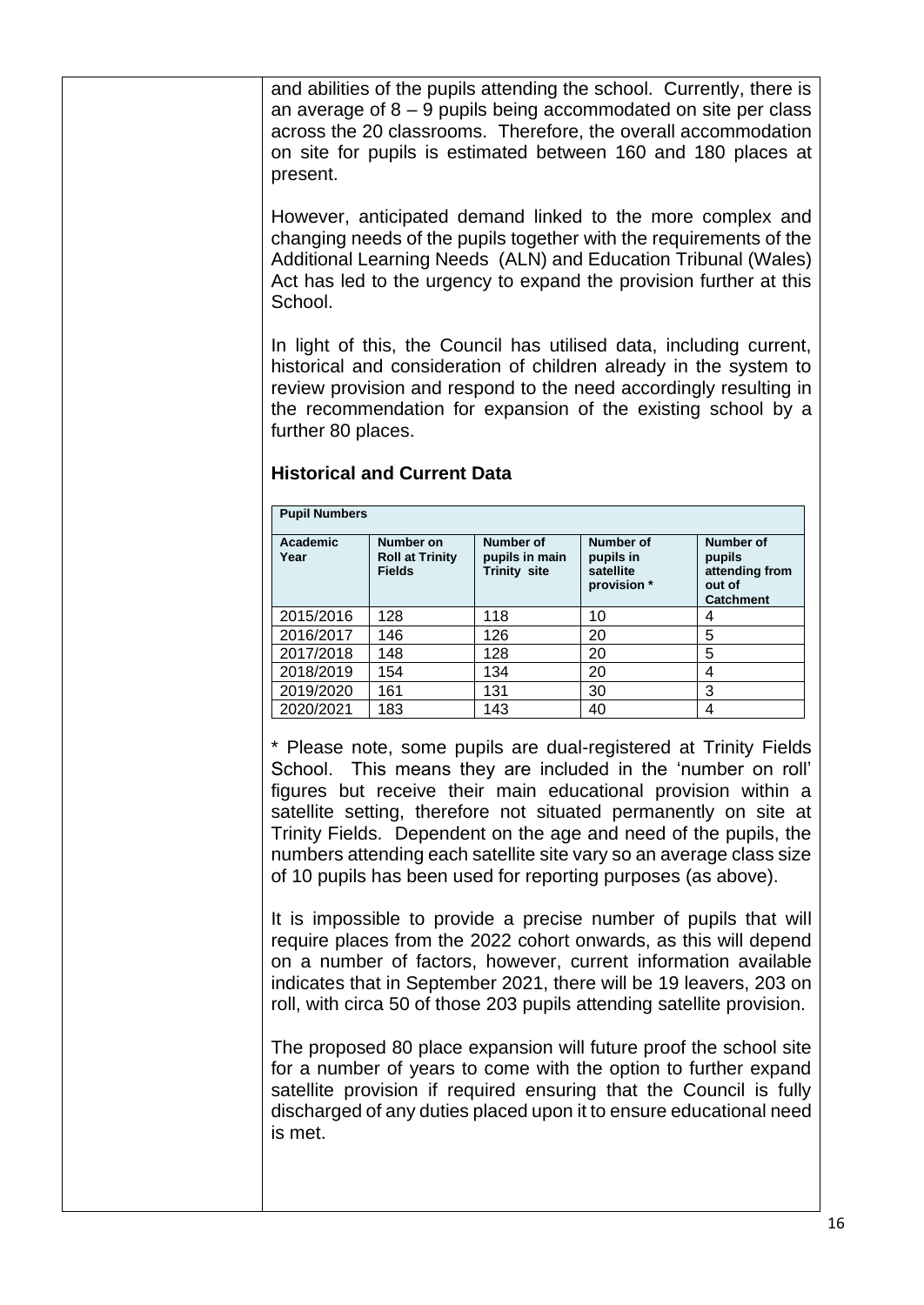and abilities of the pupils attending the school. Currently, there is an average of 8 – 9 pupils being accommodated on site per class across the 20 classrooms. Therefore, the overall accommodation on site for pupils is estimated between 160 and 180 places at present.

However, anticipated demand linked to the more complex and changing needs of the pupils together with the requirements of the Additional Learning Needs (ALN) and Education Tribunal (Wales) Act has led to the urgency to expand the provision further at this School.

In light of this, the Council has utilised data, including current, historical and consideration of children already in the system to review provision and respond to the need accordingly resulting in the recommendation for expansion of the existing school by a further 80 places.

| <b>Pupil Numbers</b> |                                                      |                                             |                                                           |                                                                     |
|----------------------|------------------------------------------------------|---------------------------------------------|-----------------------------------------------------------|---------------------------------------------------------------------|
| Academic<br>Year     | Number on<br><b>Roll at Trinity</b><br><b>Fields</b> | Number of<br>pupils in main<br>Trinity site | <b>Number of</b><br>pupils in<br>satellite<br>provision * | Number of<br>pupils<br>attending from<br>out of<br><b>Catchment</b> |
| 2015/2016            | 128                                                  | 118                                         | 10                                                        | 4                                                                   |
| 2016/2017            | 146                                                  | 126                                         | 20                                                        | 5                                                                   |
| 2017/2018            | 148                                                  | 128                                         | 20                                                        | 5                                                                   |
| 2018/2019            | 154                                                  | 134                                         | 20                                                        | 4                                                                   |
| 2019/2020            | 161                                                  | 131                                         | 30                                                        | 3                                                                   |
| 2020/2021            | 183                                                  | 143                                         | 40                                                        | 4                                                                   |

#### **Historical and Current Data**

\* Please note, some pupils are dual-registered at Trinity Fields School. This means they are included in the 'number on roll' figures but receive their main educational provision within a satellite setting, therefore not situated permanently on site at Trinity Fields. Dependent on the age and need of the pupils, the numbers attending each satellite site vary so an average class size of 10 pupils has been used for reporting purposes (as above).

It is impossible to provide a precise number of pupils that will require places from the 2022 cohort onwards, as this will depend on a number of factors, however, current information available indicates that in September 2021, there will be 19 leavers, 203 on roll, with circa 50 of those 203 pupils attending satellite provision.

The proposed 80 place expansion will future proof the school site for a number of years to come with the option to further expand satellite provision if required ensuring that the Council is fully discharged of any duties placed upon it to ensure educational need is met.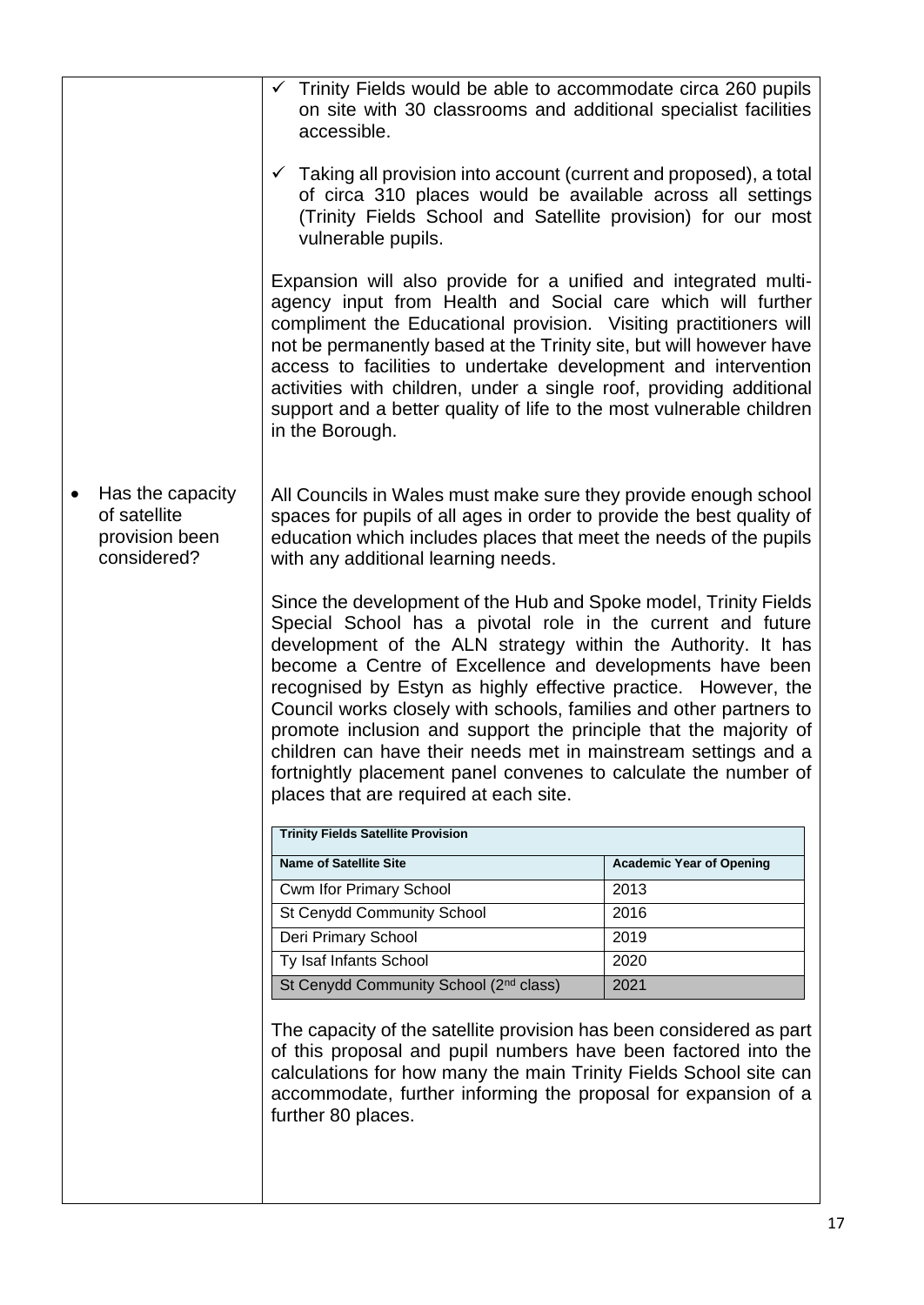|                                                                   | $\checkmark$ Trinity Fields would be able to accommodate circa 260 pupils<br>on site with 30 classrooms and additional specialist facilities<br>accessible.                                                                                                                                                                                                                                                                                                                                                                                                                                                                                            |                                 |
|-------------------------------------------------------------------|--------------------------------------------------------------------------------------------------------------------------------------------------------------------------------------------------------------------------------------------------------------------------------------------------------------------------------------------------------------------------------------------------------------------------------------------------------------------------------------------------------------------------------------------------------------------------------------------------------------------------------------------------------|---------------------------------|
|                                                                   | $\checkmark$ Taking all provision into account (current and proposed), a total<br>of circa 310 places would be available across all settings<br>(Trinity Fields School and Satellite provision) for our most<br>vulnerable pupils.                                                                                                                                                                                                                                                                                                                                                                                                                     |                                 |
|                                                                   | Expansion will also provide for a unified and integrated multi-<br>agency input from Health and Social care which will further<br>compliment the Educational provision. Visiting practitioners will<br>not be permanently based at the Trinity site, but will however have<br>access to facilities to undertake development and intervention<br>activities with children, under a single roof, providing additional<br>support and a better quality of life to the most vulnerable children<br>in the Borough.                                                                                                                                         |                                 |
| Has the capacity<br>of satellite<br>provision been<br>considered? | All Councils in Wales must make sure they provide enough school<br>spaces for pupils of all ages in order to provide the best quality of<br>education which includes places that meet the needs of the pupils<br>with any additional learning needs.                                                                                                                                                                                                                                                                                                                                                                                                   |                                 |
|                                                                   | Since the development of the Hub and Spoke model, Trinity Fields<br>Special School has a pivotal role in the current and future<br>development of the ALN strategy within the Authority. It has<br>become a Centre of Excellence and developments have been<br>recognised by Estyn as highly effective practice. However, the<br>Council works closely with schools, families and other partners to<br>promote inclusion and support the principle that the majority of<br>children can have their needs met in mainstream settings and a<br>fortnightly placement panel convenes to calculate the number of<br>places that are required at each site. |                                 |
|                                                                   | <b>Trinity Fields Satellite Provision</b>                                                                                                                                                                                                                                                                                                                                                                                                                                                                                                                                                                                                              |                                 |
|                                                                   | <b>Name of Satellite Site</b>                                                                                                                                                                                                                                                                                                                                                                                                                                                                                                                                                                                                                          | <b>Academic Year of Opening</b> |
|                                                                   | Cwm Ifor Primary School                                                                                                                                                                                                                                                                                                                                                                                                                                                                                                                                                                                                                                | 2013                            |
|                                                                   | St Cenydd Community School                                                                                                                                                                                                                                                                                                                                                                                                                                                                                                                                                                                                                             | 2016                            |
|                                                                   | Deri Primary School                                                                                                                                                                                                                                                                                                                                                                                                                                                                                                                                                                                                                                    | 2019                            |
|                                                                   | Ty Isaf Infants School                                                                                                                                                                                                                                                                                                                                                                                                                                                                                                                                                                                                                                 | 2020                            |
|                                                                   | St Cenydd Community School (2 <sup>nd</sup> class)                                                                                                                                                                                                                                                                                                                                                                                                                                                                                                                                                                                                     | 2021                            |
|                                                                   | The capacity of the satellite provision has been considered as part<br>of this proposal and pupil numbers have been factored into the<br>calculations for how many the main Trinity Fields School site can<br>accommodate, further informing the proposal for expansion of a<br>further 80 places.                                                                                                                                                                                                                                                                                                                                                     |                                 |
|                                                                   |                                                                                                                                                                                                                                                                                                                                                                                                                                                                                                                                                                                                                                                        |                                 |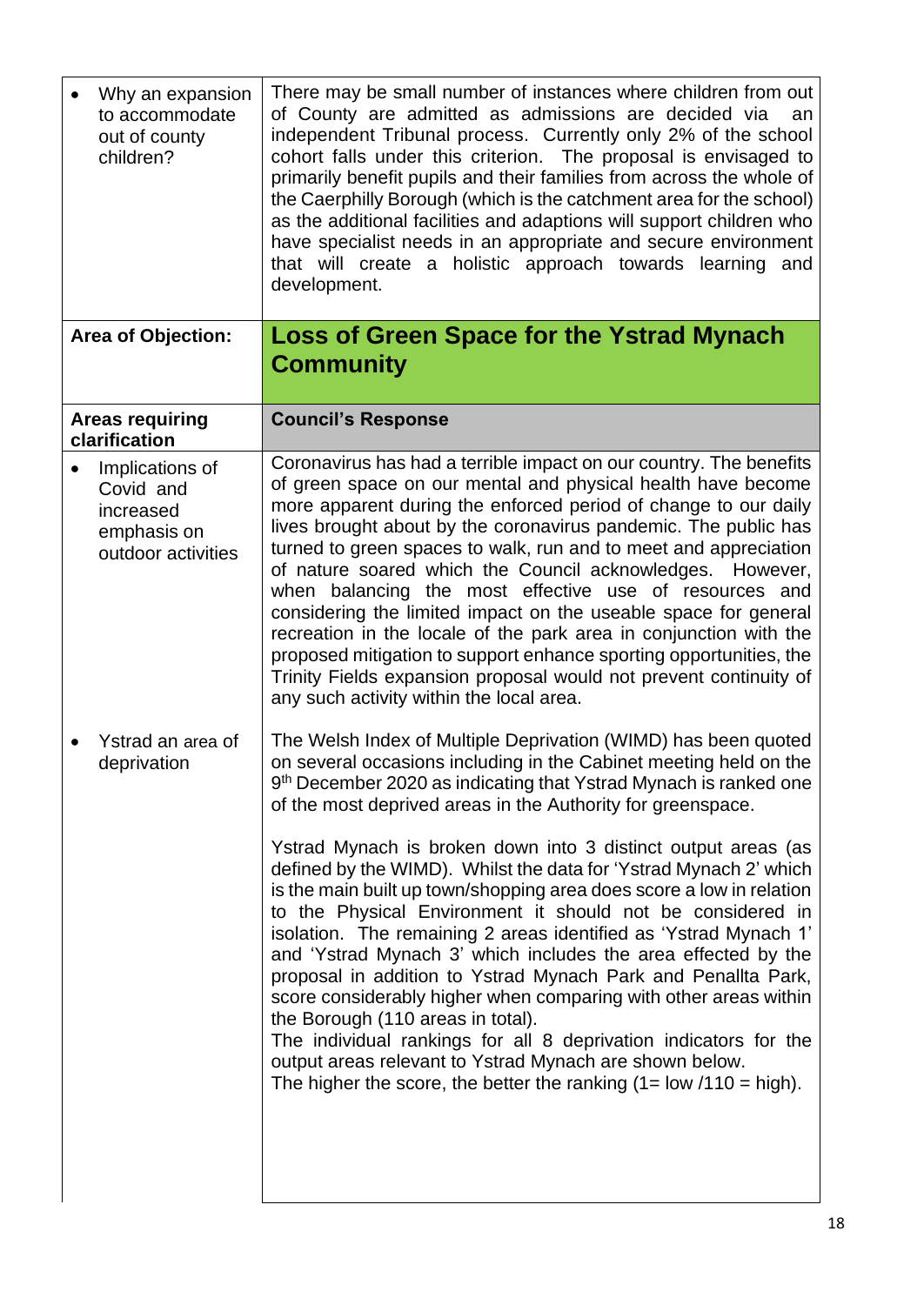<span id="page-17-0"></span>

| Why an expansion<br>to accommodate<br>out of county<br>children?               | There may be small number of instances where children from out<br>of County are admitted as admissions are decided via<br>an<br>independent Tribunal process. Currently only 2% of the school<br>cohort falls under this criterion. The proposal is envisaged to<br>primarily benefit pupils and their families from across the whole of<br>the Caerphilly Borough (which is the catchment area for the school)<br>as the additional facilities and adaptions will support children who<br>have specialist needs in an appropriate and secure environment<br>that will create a holistic approach towards learning<br>and<br>development.                                                                                                                                                                       |
|--------------------------------------------------------------------------------|-----------------------------------------------------------------------------------------------------------------------------------------------------------------------------------------------------------------------------------------------------------------------------------------------------------------------------------------------------------------------------------------------------------------------------------------------------------------------------------------------------------------------------------------------------------------------------------------------------------------------------------------------------------------------------------------------------------------------------------------------------------------------------------------------------------------|
| <b>Area of Objection:</b>                                                      | <b>Loss of Green Space for the Ystrad Mynach</b><br><b>Community</b>                                                                                                                                                                                                                                                                                                                                                                                                                                                                                                                                                                                                                                                                                                                                            |
| <b>Areas requiring</b><br>clarification                                        | <b>Council's Response</b>                                                                                                                                                                                                                                                                                                                                                                                                                                                                                                                                                                                                                                                                                                                                                                                       |
| Implications of<br>Covid and<br>increased<br>emphasis on<br>outdoor activities | Coronavirus has had a terrible impact on our country. The benefits<br>of green space on our mental and physical health have become<br>more apparent during the enforced period of change to our daily<br>lives brought about by the coronavirus pandemic. The public has<br>turned to green spaces to walk, run and to meet and appreciation<br>of nature soared which the Council acknowledges. However,<br>when balancing the most effective use of resources and<br>considering the limited impact on the useable space for general<br>recreation in the locale of the park area in conjunction with the<br>proposed mitigation to support enhance sporting opportunities, the<br>Trinity Fields expansion proposal would not prevent continuity of<br>any such activity within the local area.              |
| Ystrad an area of<br>deprivation                                               | The Welsh Index of Multiple Deprivation (WIMD) has been quoted<br>on several occasions including in the Cabinet meeting held on the<br>9 <sup>th</sup> December 2020 as indicating that Ystrad Mynach is ranked one<br>of the most deprived areas in the Authority for greenspace.                                                                                                                                                                                                                                                                                                                                                                                                                                                                                                                              |
|                                                                                | Ystrad Mynach is broken down into 3 distinct output areas (as<br>defined by the WIMD). Whilst the data for 'Ystrad Mynach 2' which<br>is the main built up town/shopping area does score a low in relation<br>to the Physical Environment it should not be considered in<br>isolation. The remaining 2 areas identified as 'Ystrad Mynach 1'<br>and 'Ystrad Mynach 3' which includes the area effected by the<br>proposal in addition to Ystrad Mynach Park and Penallta Park,<br>score considerably higher when comparing with other areas within<br>the Borough (110 areas in total).<br>The individual rankings for all 8 deprivation indicators for the<br>output areas relevant to Ystrad Mynach are shown below.<br>The higher the score, the better the ranking $(1 = \text{low } / 110 = \text{high}).$ |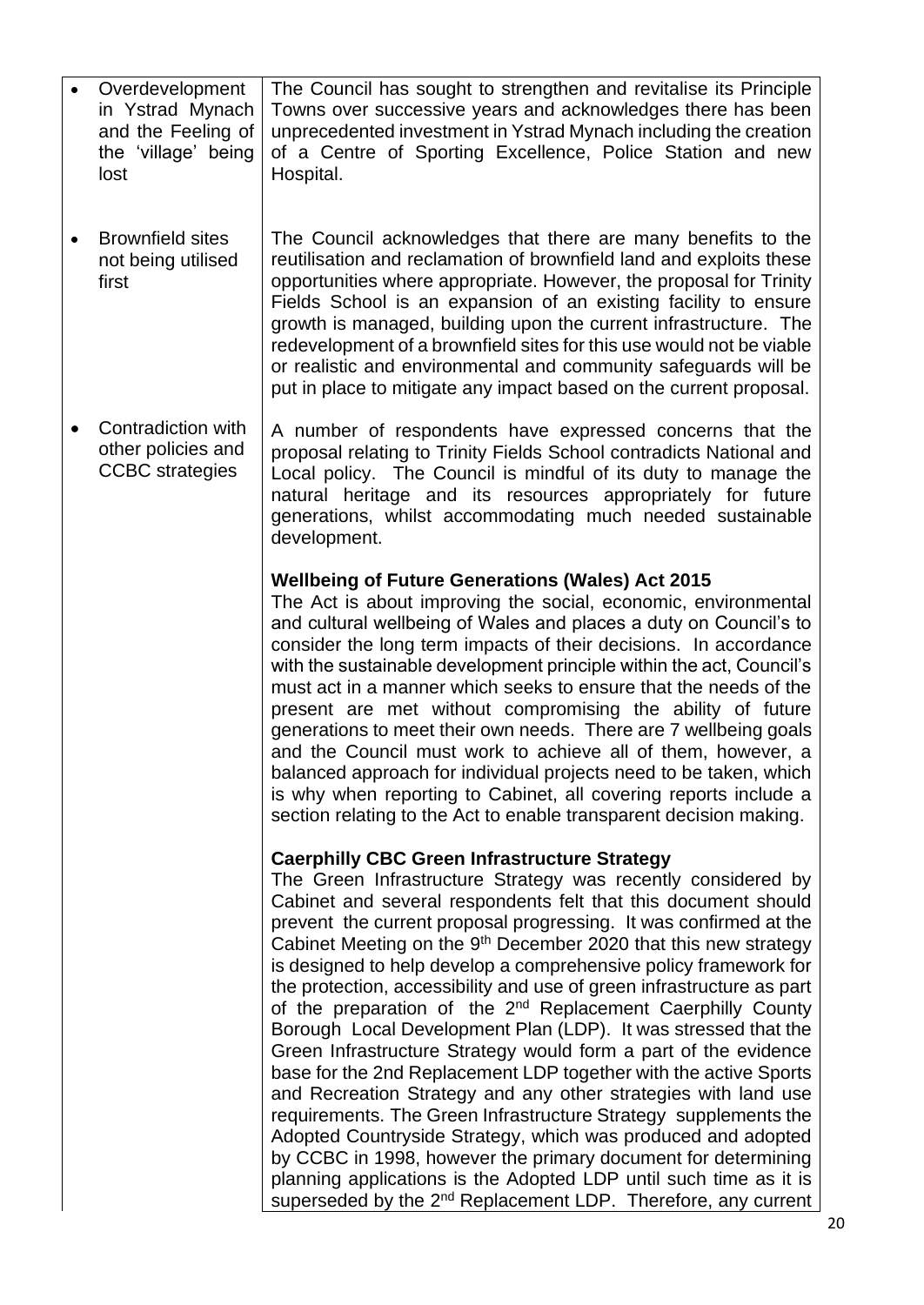| Overdevelopment<br>in Ystrad Mynach<br>and the Feeling of<br>the 'village' being<br>lost | The Council has sought to strengthen and revitalise its Principle<br>Towns over successive years and acknowledges there has been<br>unprecedented investment in Ystrad Mynach including the creation<br>of a Centre of Sporting Excellence, Police Station and new<br>Hospital.                                                                                                                                                                                                                                                                                                                                                                                                                                                                                                                                                                                                                                                                                                                                                                                                                                                                                                                    |
|------------------------------------------------------------------------------------------|----------------------------------------------------------------------------------------------------------------------------------------------------------------------------------------------------------------------------------------------------------------------------------------------------------------------------------------------------------------------------------------------------------------------------------------------------------------------------------------------------------------------------------------------------------------------------------------------------------------------------------------------------------------------------------------------------------------------------------------------------------------------------------------------------------------------------------------------------------------------------------------------------------------------------------------------------------------------------------------------------------------------------------------------------------------------------------------------------------------------------------------------------------------------------------------------------|
| <b>Brownfield sites</b><br>not being utilised<br>first                                   | The Council acknowledges that there are many benefits to the<br>reutilisation and reclamation of brownfield land and exploits these<br>opportunities where appropriate. However, the proposal for Trinity<br>Fields School is an expansion of an existing facility to ensure<br>growth is managed, building upon the current infrastructure. The<br>redevelopment of a brownfield sites for this use would not be viable<br>or realistic and environmental and community safeguards will be<br>put in place to mitigate any impact based on the current proposal.                                                                                                                                                                                                                                                                                                                                                                                                                                                                                                                                                                                                                                  |
| Contradiction with<br>other policies and<br><b>CCBC</b> strategies                       | A number of respondents have expressed concerns that the<br>proposal relating to Trinity Fields School contradicts National and<br>Local policy. The Council is mindful of its duty to manage the<br>natural heritage and its resources appropriately for future<br>generations, whilst accommodating much needed sustainable<br>development.                                                                                                                                                                                                                                                                                                                                                                                                                                                                                                                                                                                                                                                                                                                                                                                                                                                      |
|                                                                                          | <b>Wellbeing of Future Generations (Wales) Act 2015</b><br>The Act is about improving the social, economic, environmental<br>and cultural wellbeing of Wales and places a duty on Council's to<br>consider the long term impacts of their decisions. In accordance<br>with the sustainable development principle within the act, Council's<br>must act in a manner which seeks to ensure that the needs of the<br>present are met without compromising the ability of future<br>generations to meet their own needs. There are 7 wellbeing goals<br>and the Council must work to achieve all of them, however, a<br>balanced approach for individual projects need to be taken, which<br>is why when reporting to Cabinet, all covering reports include a<br>section relating to the Act to enable transparent decision making.                                                                                                                                                                                                                                                                                                                                                                    |
|                                                                                          | <b>Caerphilly CBC Green Infrastructure Strategy</b><br>The Green Infrastructure Strategy was recently considered by<br>Cabinet and several respondents felt that this document should<br>prevent the current proposal progressing. It was confirmed at the<br>Cabinet Meeting on the 9 <sup>th</sup> December 2020 that this new strategy<br>is designed to help develop a comprehensive policy framework for<br>the protection, accessibility and use of green infrastructure as part<br>of the preparation of the 2 <sup>nd</sup> Replacement Caerphilly County<br>Borough Local Development Plan (LDP). It was stressed that the<br>Green Infrastructure Strategy would form a part of the evidence<br>base for the 2nd Replacement LDP together with the active Sports<br>and Recreation Strategy and any other strategies with land use<br>requirements. The Green Infrastructure Strategy supplements the<br>Adopted Countryside Strategy, which was produced and adopted<br>by CCBC in 1998, however the primary document for determining<br>planning applications is the Adopted LDP until such time as it is<br>superseded by the 2 <sup>nd</sup> Replacement LDP. Therefore, any current |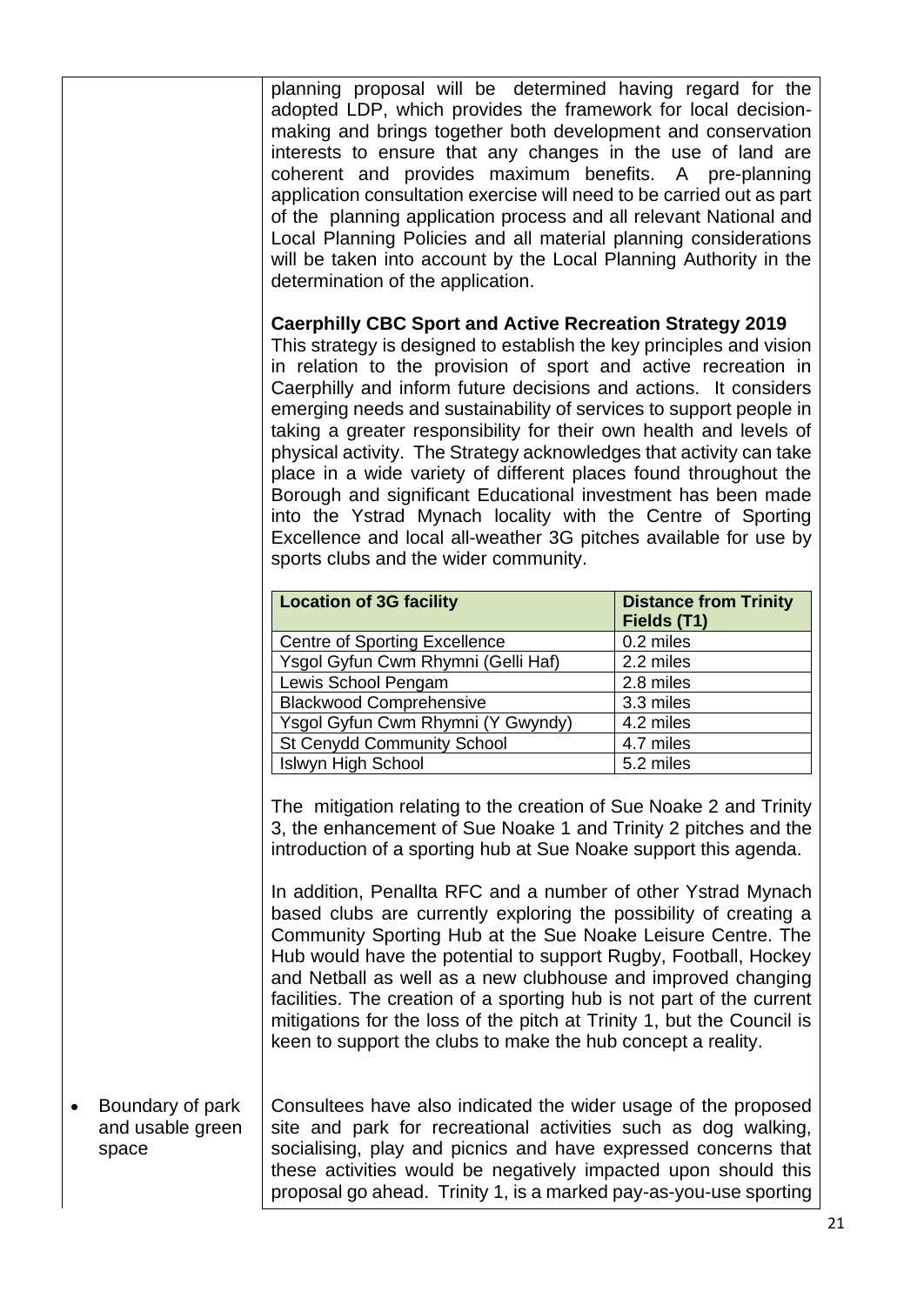planning proposal will be determined having regard for the adopted LDP, which provides the framework for local decisionmaking and brings together both development and conservation interests to ensure that any changes in the use of land are coherent and provides maximum benefits. A pre-planning application consultation exercise will need to be carried out as part of the planning application process and all relevant National and Local Planning Policies and all material planning considerations will be taken into account by the Local Planning Authority in the determination of the application. **Caerphilly CBC Sport and Active Recreation Strategy 2019** This strategy is designed to establish the key principles and vision in relation to the provision of sport and active recreation in Caerphilly and inform future decisions and actions. It considers emerging needs and sustainability of services to support people in taking a greater responsibility for their own health and levels of physical activity. The Strategy acknowledges that activity can take place in a wide variety of different places found throughout the Borough and significant Educational investment has been made into the Ystrad Mynach locality with the Centre of Sporting Excellence and local all-weather 3G pitches available for use by sports clubs and the wider community. **Location of 3G facility**  Distance from Trinity **Fields (T1)** Centre of Sporting Excellence | 0.2 miles Ysgol Gyfun Cwm Rhymni (Gelli Haf) 2.2 miles Lewis School Pengam 2.8 miles Blackwood Comprehensive 3.3 miles Ysgol Gyfun Cwm Rhymni (Y Gwyndy) 4.2 miles St Cenydd Community School | 4.7 miles Islwyn High School 5.2 miles The mitigation relating to the creation of Sue Noake 2 and Trinity 3, the enhancement of Sue Noake 1 and Trinity 2 pitches and the introduction of a sporting hub at Sue Noake support this agenda. In addition, Penallta RFC and a number of other Ystrad Mynach based clubs are currently exploring the possibility of creating a Community Sporting Hub at the Sue Noake Leisure Centre. The Hub would have the potential to support Rugby, Football, Hockey

and Netball as well as a new clubhouse and improved changing facilities. The creation of a sporting hub is not part of the current mitigations for the loss of the pitch at Trinity 1, but the Council is keen to support the clubs to make the hub concept a reality.

• Boundary of park and usable green space Consultees have also indicated the wider usage of the proposed site and park for recreational activities such as dog walking, socialising, play and picnics and have expressed concerns that these activities would be negatively impacted upon should this proposal go ahead. Trinity 1, is a marked pay-as-you-use sporting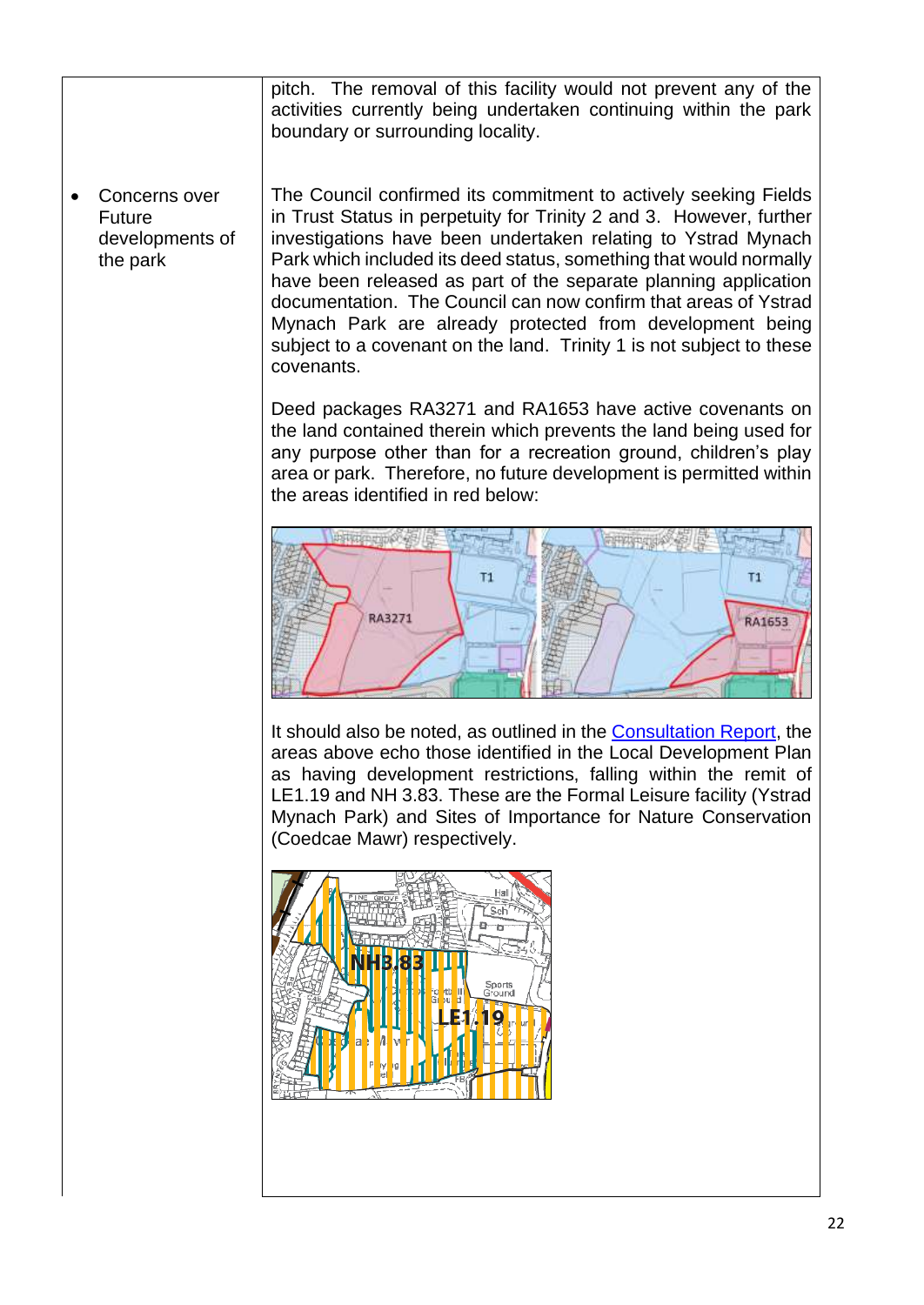| pitch. The removal of this facility would not prevent any of the |
|------------------------------------------------------------------|
| activities currently being undertaken continuing within the park |
| boundary or surrounding locality.                                |
|                                                                  |

Concerns over Future developments of the park

The Council confirmed its commitment to actively seeking Fields in Trust Status in perpetuity for Trinity 2 and 3. However, further investigations have been undertaken relating to Ystrad Mynach Park which included its deed status, something that would normally have been released as part of the separate planning application documentation. The Council can now confirm that areas of Ystrad Mynach Park are already protected from development being subject to a covenant on the land. Trinity 1 is not subject to these covenants.

Deed packages RA3271 and RA1653 have active covenants on the land contained therein which prevents the land being used for any purpose other than for a recreation ground, children's play area or park. Therefore, no future development is permitted within the areas identified in red below:



It should also be noted, as outlined in the [Consultation Report,](https://www.caerphilly.gov.uk/CaerphillyDocs/Consultations/Trinity-Fields-Consultation-Report-2020.aspx) the areas above echo those identified in the Local Development Plan as having development restrictions, falling within the remit of LE1.19 and NH 3.83. These are the Formal Leisure facility (Ystrad Mynach Park) and Sites of Importance for Nature Conservation (Coedcae Mawr) respectively.

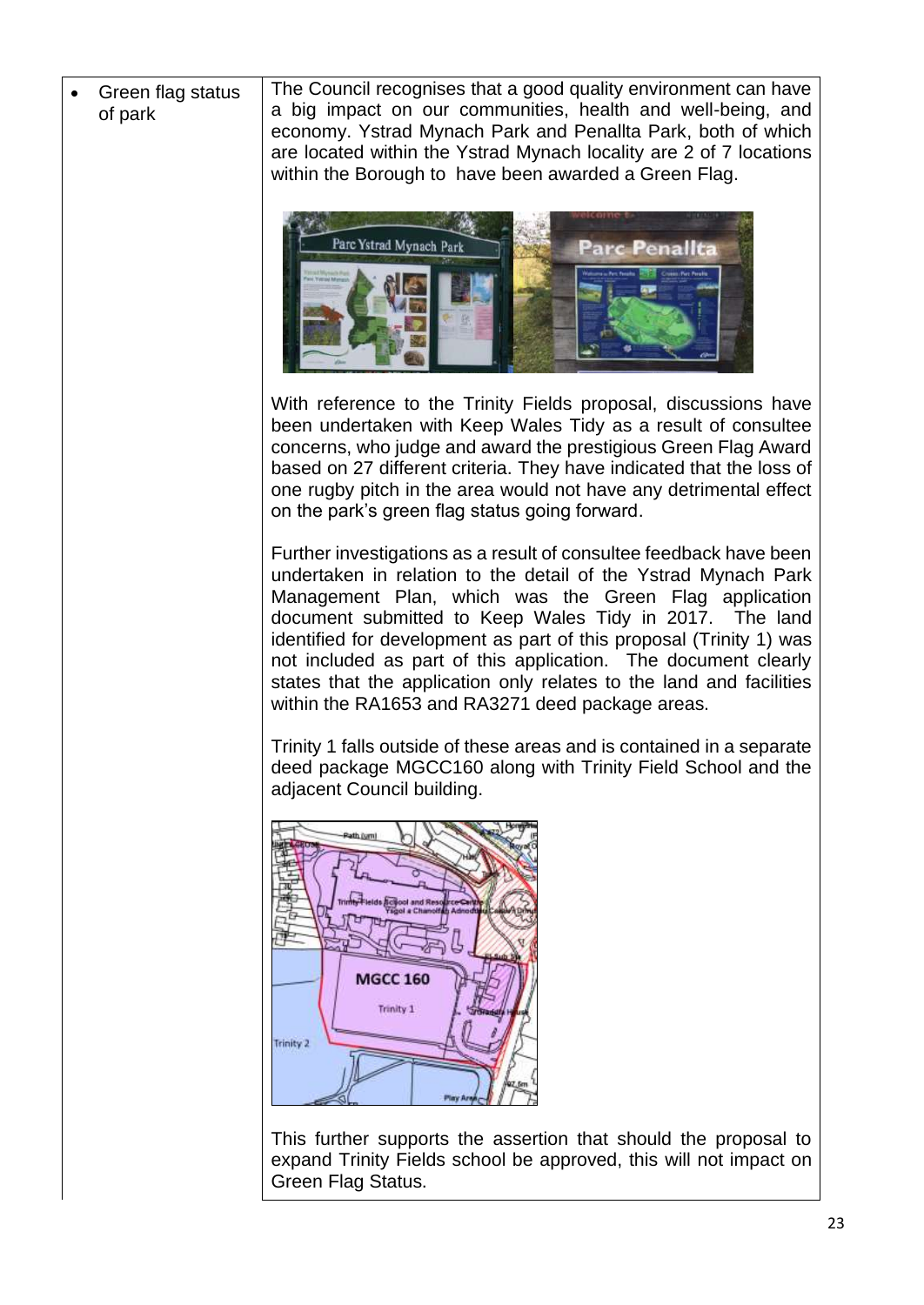The Council recognises that a good quality environment can have Green flag status a big impact on our communities, health and well-being, and of park economy. Ystrad Mynach Park and Penallta Park, both of which are located within the Ystrad Mynach locality are 2 of 7 locations within the Borough to have been awarded a Green Flag. Parc Ystrad Mynach Park Parc Penallta With reference to the Trinity Fields proposal, discussions have been undertaken with Keep Wales Tidy as a result of consultee concerns, who judge and award the prestigious Green Flag Award based on 27 different criteria. They have indicated that the loss of one rugby pitch in the area would not have any detrimental effect on the park's green flag status going forward. Further investigations as a result of consultee feedback have been undertaken in relation to the detail of the Ystrad Mynach Park Management Plan, which was the Green Flag application document submitted to Keep Wales Tidy in 2017. The land identified for development as part of this proposal (Trinity 1) was not included as part of this application. The document clearly states that the application only relates to the land and facilities within the RA1653 and RA3271 deed package areas. Trinity 1 falls outside of these areas and is contained in a separate deed package MGCC160 along with Trinity Field School and the adjacent Council building. **MGCC 160** Trinity 1 Trinity 2 This further supports the assertion that should the proposal to expand Trinity Fields school be approved, this will not impact on Green Flag Status.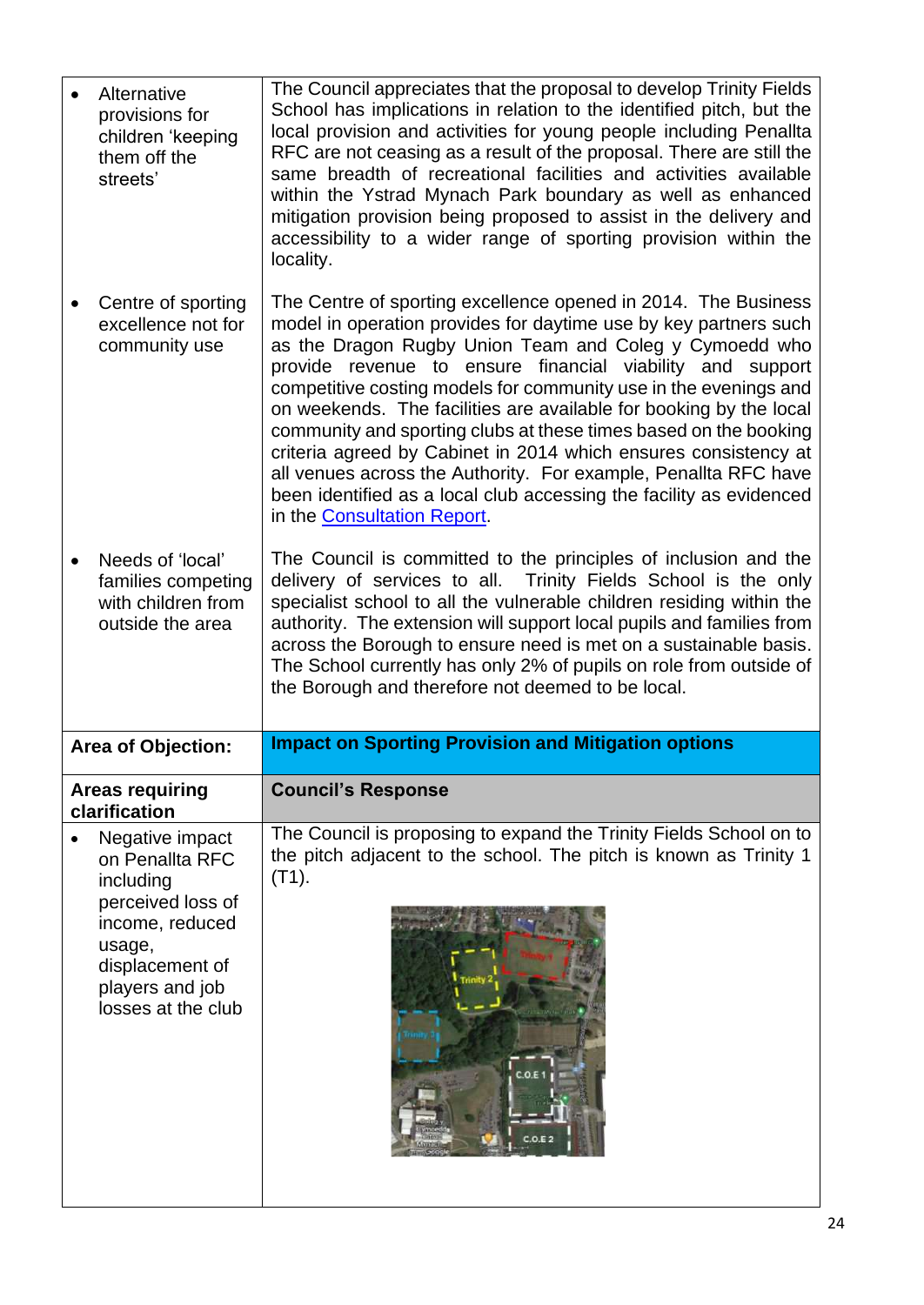<span id="page-23-0"></span>

| Alternative<br>provisions for<br>children 'keeping<br>them off the<br>streets'   | The Council appreciates that the proposal to develop Trinity Fields<br>School has implications in relation to the identified pitch, but the<br>local provision and activities for young people including Penallta<br>RFC are not ceasing as a result of the proposal. There are still the<br>same breadth of recreational facilities and activities available<br>within the Ystrad Mynach Park boundary as well as enhanced<br>mitigation provision being proposed to assist in the delivery and<br>accessibility to a wider range of sporting provision within the<br>locality.                                                                                                                                            |
|----------------------------------------------------------------------------------|-----------------------------------------------------------------------------------------------------------------------------------------------------------------------------------------------------------------------------------------------------------------------------------------------------------------------------------------------------------------------------------------------------------------------------------------------------------------------------------------------------------------------------------------------------------------------------------------------------------------------------------------------------------------------------------------------------------------------------|
| Centre of sporting<br>excellence not for<br>community use                        | The Centre of sporting excellence opened in 2014. The Business<br>model in operation provides for daytime use by key partners such<br>as the Dragon Rugby Union Team and Coleg y Cymoedd who<br>provide revenue to ensure financial viability and support<br>competitive costing models for community use in the evenings and<br>on weekends. The facilities are available for booking by the local<br>community and sporting clubs at these times based on the booking<br>criteria agreed by Cabinet in 2014 which ensures consistency at<br>all venues across the Authority. For example, Penallta RFC have<br>been identified as a local club accessing the facility as evidenced<br>in the <b>Consultation Report</b> . |
| Needs of 'local'<br>families competing<br>with children from<br>outside the area | The Council is committed to the principles of inclusion and the<br>delivery of services to all. Trinity Fields School is the only<br>specialist school to all the vulnerable children residing within the<br>authority. The extension will support local pupils and families from<br>across the Borough to ensure need is met on a sustainable basis.<br>The School currently has only 2% of pupils on role from outside of<br>the Borough and therefore not deemed to be local.                                                                                                                                                                                                                                            |
|                                                                                  |                                                                                                                                                                                                                                                                                                                                                                                                                                                                                                                                                                                                                                                                                                                             |
| <b>Area of Objection:</b>                                                        | <b>Impact on Sporting Provision and Mitigation options</b>                                                                                                                                                                                                                                                                                                                                                                                                                                                                                                                                                                                                                                                                  |
| <b>Areas requiring</b><br>clarification                                          | <b>Council's Response</b><br>The Council is proposing to expand the Trinity Fields School on to                                                                                                                                                                                                                                                                                                                                                                                                                                                                                                                                                                                                                             |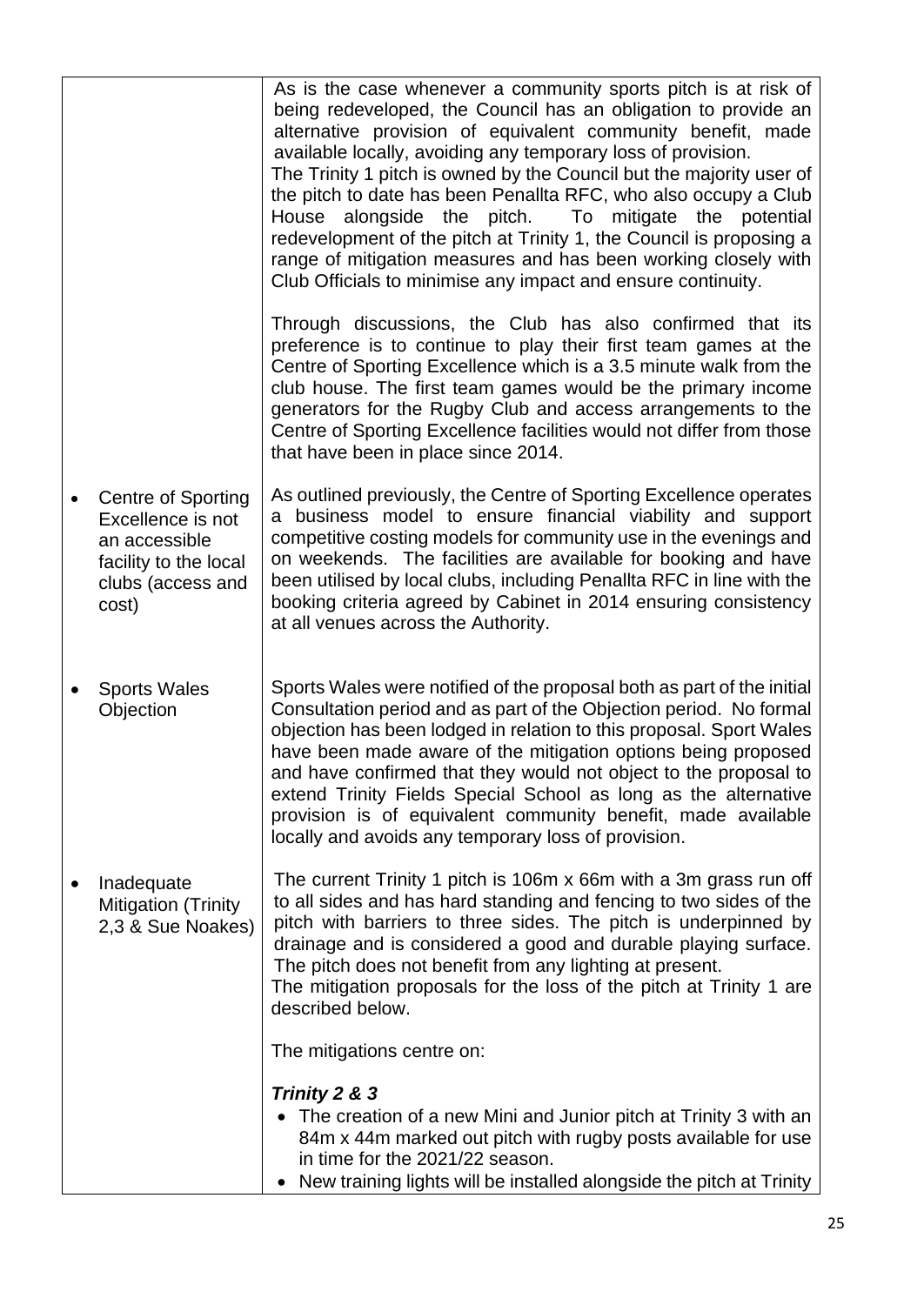|                                                                                                                        | As is the case whenever a community sports pitch is at risk of<br>being redeveloped, the Council has an obligation to provide an<br>alternative provision of equivalent community benefit, made<br>available locally, avoiding any temporary loss of provision.<br>The Trinity 1 pitch is owned by the Council but the majority user of<br>the pitch to date has been Penallta RFC, who also occupy a Club<br>alongside the pitch.<br>House<br>To mitigate the potential<br>redevelopment of the pitch at Trinity 1, the Council is proposing a<br>range of mitigation measures and has been working closely with<br>Club Officials to minimise any impact and ensure continuity. |
|------------------------------------------------------------------------------------------------------------------------|-----------------------------------------------------------------------------------------------------------------------------------------------------------------------------------------------------------------------------------------------------------------------------------------------------------------------------------------------------------------------------------------------------------------------------------------------------------------------------------------------------------------------------------------------------------------------------------------------------------------------------------------------------------------------------------|
|                                                                                                                        | Through discussions, the Club has also confirmed that its<br>preference is to continue to play their first team games at the<br>Centre of Sporting Excellence which is a 3.5 minute walk from the<br>club house. The first team games would be the primary income<br>generators for the Rugby Club and access arrangements to the<br>Centre of Sporting Excellence facilities would not differ from those<br>that have been in place since 2014.                                                                                                                                                                                                                                  |
| <b>Centre of Sporting</b><br>Excellence is not<br>an accessible<br>facility to the local<br>clubs (access and<br>cost) | As outlined previously, the Centre of Sporting Excellence operates<br>a business model to ensure financial viability and support<br>competitive costing models for community use in the evenings and<br>on weekends. The facilities are available for booking and have<br>been utilised by local clubs, including Penallta RFC in line with the<br>booking criteria agreed by Cabinet in 2014 ensuring consistency<br>at all venues across the Authority.                                                                                                                                                                                                                         |
| <b>Sports Wales</b><br>Objection                                                                                       | Sports Wales were notified of the proposal both as part of the initial<br>Consultation period and as part of the Objection period. No formal<br>objection has been lodged in relation to this proposal. Sport Wales<br>have been made aware of the mitigation options being proposed<br>and have confirmed that they would not object to the proposal to<br>extend Trinity Fields Special School as long as the alternative<br>provision is of equivalent community benefit, made available<br>locally and avoids any temporary loss of provision.                                                                                                                                |
| Inadequate<br><b>Mitigation (Trinity</b><br>2,3 & Sue Noakes)                                                          | The current Trinity 1 pitch is 106m x 66m with a 3m grass run off<br>to all sides and has hard standing and fencing to two sides of the<br>pitch with barriers to three sides. The pitch is underpinned by<br>drainage and is considered a good and durable playing surface.<br>The pitch does not benefit from any lighting at present.<br>The mitigation proposals for the loss of the pitch at Trinity 1 are<br>described below.                                                                                                                                                                                                                                               |
|                                                                                                                        | The mitigations centre on:                                                                                                                                                                                                                                                                                                                                                                                                                                                                                                                                                                                                                                                        |
|                                                                                                                        | Trinity 2 & 3<br>The creation of a new Mini and Junior pitch at Trinity 3 with an<br>84m x 44m marked out pitch with rugby posts available for use<br>in time for the 2021/22 season.<br>New training lights will be installed alongside the pitch at Trinity<br>$\bullet$                                                                                                                                                                                                                                                                                                                                                                                                        |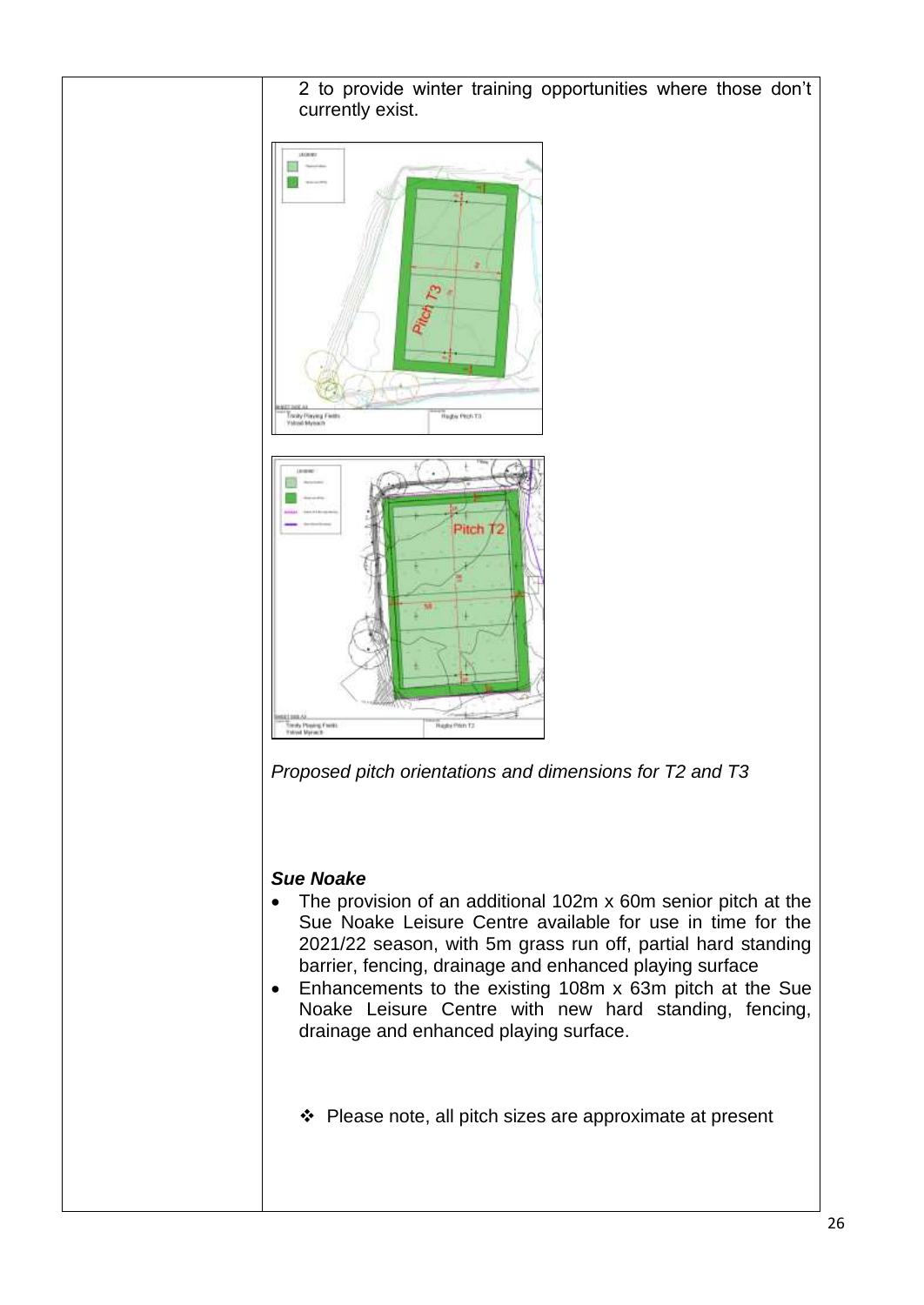2 to provide winter training opportunities where those don't currently exist.







#### *Sue Noake*

- The provision of an additional 102m x 60m senior pitch at the Sue Noake Leisure Centre available for use in time for the 2021/22 season, with 5m grass run off, partial hard standing barrier, fencing, drainage and enhanced playing surface
- Enhancements to the existing 108m x 63m pitch at the Sue Noake Leisure Centre with new hard standing, fencing, drainage and enhanced playing surface.
	- ❖ Please note, all pitch sizes are approximate at present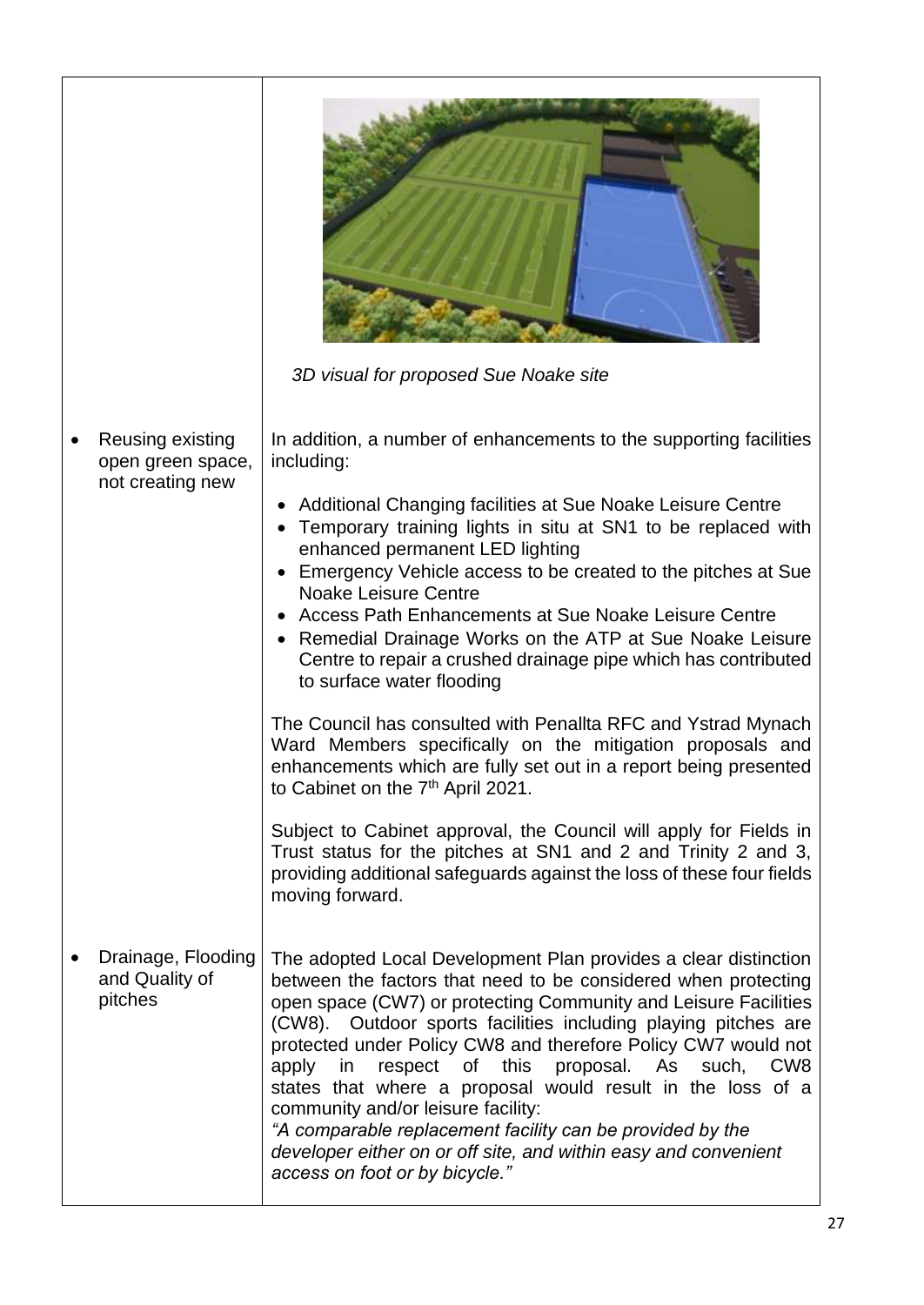|                                                 | 3D visual for proposed Sue Noake site                                                                                                                                                                                                                                                                                                                                                                                                                                                                                                                                                                                                                                              |
|-------------------------------------------------|------------------------------------------------------------------------------------------------------------------------------------------------------------------------------------------------------------------------------------------------------------------------------------------------------------------------------------------------------------------------------------------------------------------------------------------------------------------------------------------------------------------------------------------------------------------------------------------------------------------------------------------------------------------------------------|
| Reusing existing<br>open green space,           | In addition, a number of enhancements to the supporting facilities<br>including:                                                                                                                                                                                                                                                                                                                                                                                                                                                                                                                                                                                                   |
| not creating new                                | Additional Changing facilities at Sue Noake Leisure Centre<br>Temporary training lights in situ at SN1 to be replaced with<br>enhanced permanent LED lighting<br>Emergency Vehicle access to be created to the pitches at Sue<br><b>Noake Leisure Centre</b><br>Access Path Enhancements at Sue Noake Leisure Centre<br>Remedial Drainage Works on the ATP at Sue Noake Leisure<br>Centre to repair a crushed drainage pipe which has contributed<br>to surface water flooding                                                                                                                                                                                                     |
|                                                 | The Council has consulted with Penallta RFC and Ystrad Mynach<br>Ward Members specifically on the mitigation proposals and<br>enhancements which are fully set out in a report being presented<br>to Cabinet on the 7 <sup>th</sup> April 2021.                                                                                                                                                                                                                                                                                                                                                                                                                                    |
|                                                 | Subject to Cabinet approval, the Council will apply for Fields in<br>Trust status for the pitches at SN1 and 2 and Trinity 2 and 3,<br>providing additional safeguards against the loss of these four fields<br>moving forward.                                                                                                                                                                                                                                                                                                                                                                                                                                                    |
| Drainage, Flooding<br>and Quality of<br>pitches | The adopted Local Development Plan provides a clear distinction<br>between the factors that need to be considered when protecting<br>open space (CW7) or protecting Community and Leisure Facilities<br>(CW8). Outdoor sports facilities including playing pitches are<br>protected under Policy CW8 and therefore Policy CW7 would not<br>respect of this proposal. As such,<br>apply in<br>CW <sub>8</sub><br>states that where a proposal would result in the loss of a<br>community and/or leisure facility:<br>"A comparable replacement facility can be provided by the<br>developer either on or off site, and within easy and convenient<br>access on foot or by bicycle." |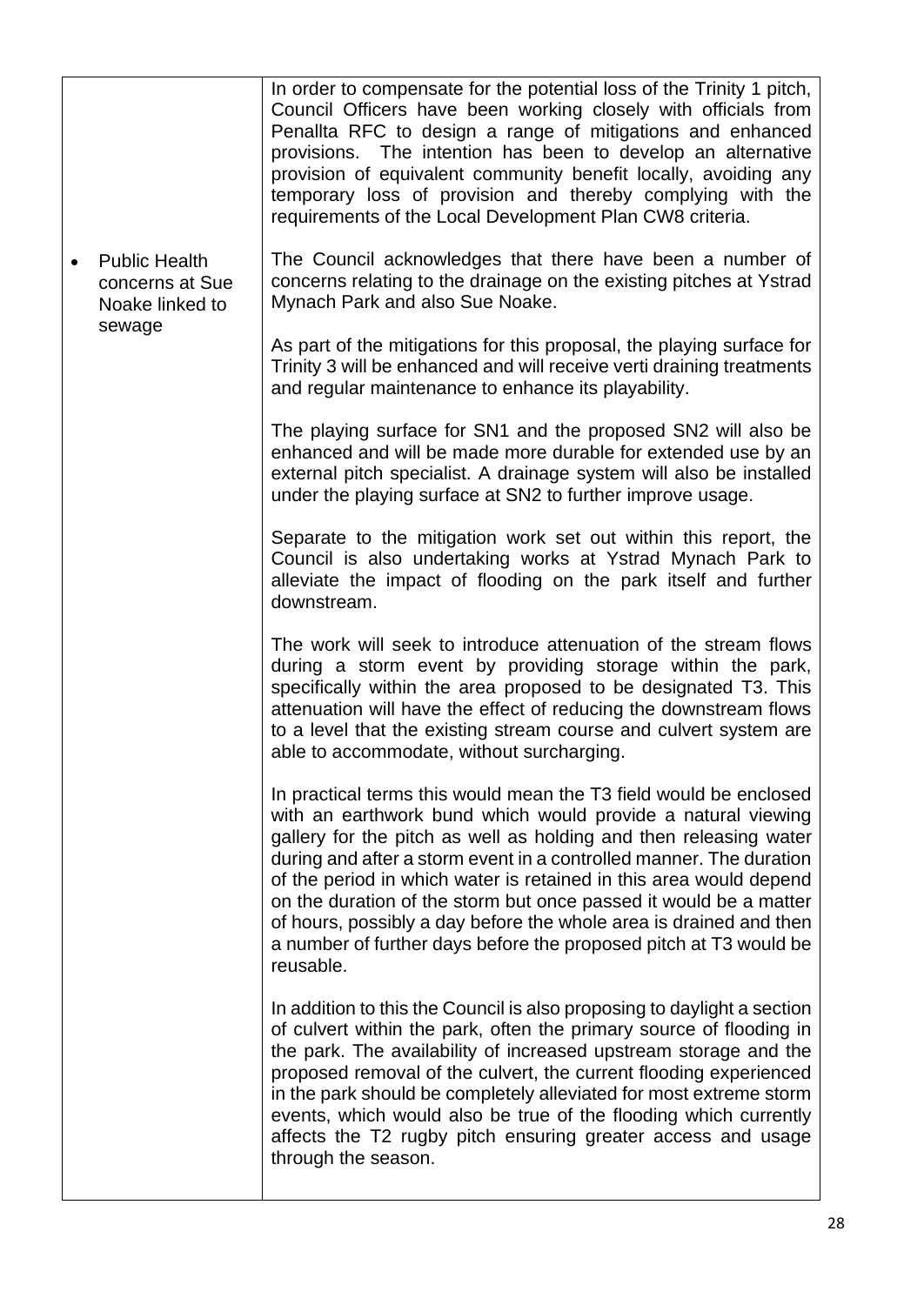|           |                                                            | In order to compensate for the potential loss of the Trinity 1 pitch,<br>Council Officers have been working closely with officials from<br>Penallta RFC to design a range of mitigations and enhanced<br>provisions. The intention has been to develop an alternative<br>provision of equivalent community benefit locally, avoiding any<br>temporary loss of provision and thereby complying with the<br>requirements of the Local Development Plan CW8 criteria.                                                                                                               |
|-----------|------------------------------------------------------------|----------------------------------------------------------------------------------------------------------------------------------------------------------------------------------------------------------------------------------------------------------------------------------------------------------------------------------------------------------------------------------------------------------------------------------------------------------------------------------------------------------------------------------------------------------------------------------|
| $\bullet$ | <b>Public Health</b><br>concerns at Sue<br>Noake linked to | The Council acknowledges that there have been a number of<br>concerns relating to the drainage on the existing pitches at Ystrad<br>Mynach Park and also Sue Noake.                                                                                                                                                                                                                                                                                                                                                                                                              |
|           | sewage                                                     | As part of the mitigations for this proposal, the playing surface for<br>Trinity 3 will be enhanced and will receive verti draining treatments<br>and regular maintenance to enhance its playability.                                                                                                                                                                                                                                                                                                                                                                            |
|           |                                                            | The playing surface for SN1 and the proposed SN2 will also be<br>enhanced and will be made more durable for extended use by an<br>external pitch specialist. A drainage system will also be installed<br>under the playing surface at SN2 to further improve usage.                                                                                                                                                                                                                                                                                                              |
|           |                                                            | Separate to the mitigation work set out within this report, the<br>Council is also undertaking works at Ystrad Mynach Park to<br>alleviate the impact of flooding on the park itself and further<br>downstream.                                                                                                                                                                                                                                                                                                                                                                  |
|           |                                                            | The work will seek to introduce attenuation of the stream flows<br>during a storm event by providing storage within the park,<br>specifically within the area proposed to be designated T3. This<br>attenuation will have the effect of reducing the downstream flows<br>to a level that the existing stream course and culvert system are<br>able to accommodate, without surcharging.                                                                                                                                                                                          |
|           |                                                            | In practical terms this would mean the T3 field would be enclosed<br>with an earthwork bund which would provide a natural viewing<br>gallery for the pitch as well as holding and then releasing water<br>during and after a storm event in a controlled manner. The duration<br>of the period in which water is retained in this area would depend<br>on the duration of the storm but once passed it would be a matter<br>of hours, possibly a day before the whole area is drained and then<br>a number of further days before the proposed pitch at T3 would be<br>reusable. |
|           |                                                            | In addition to this the Council is also proposing to daylight a section<br>of culvert within the park, often the primary source of flooding in<br>the park. The availability of increased upstream storage and the<br>proposed removal of the culvert, the current flooding experienced<br>in the park should be completely alleviated for most extreme storm<br>events, which would also be true of the flooding which currently<br>affects the T2 rugby pitch ensuring greater access and usage<br>through the season.                                                         |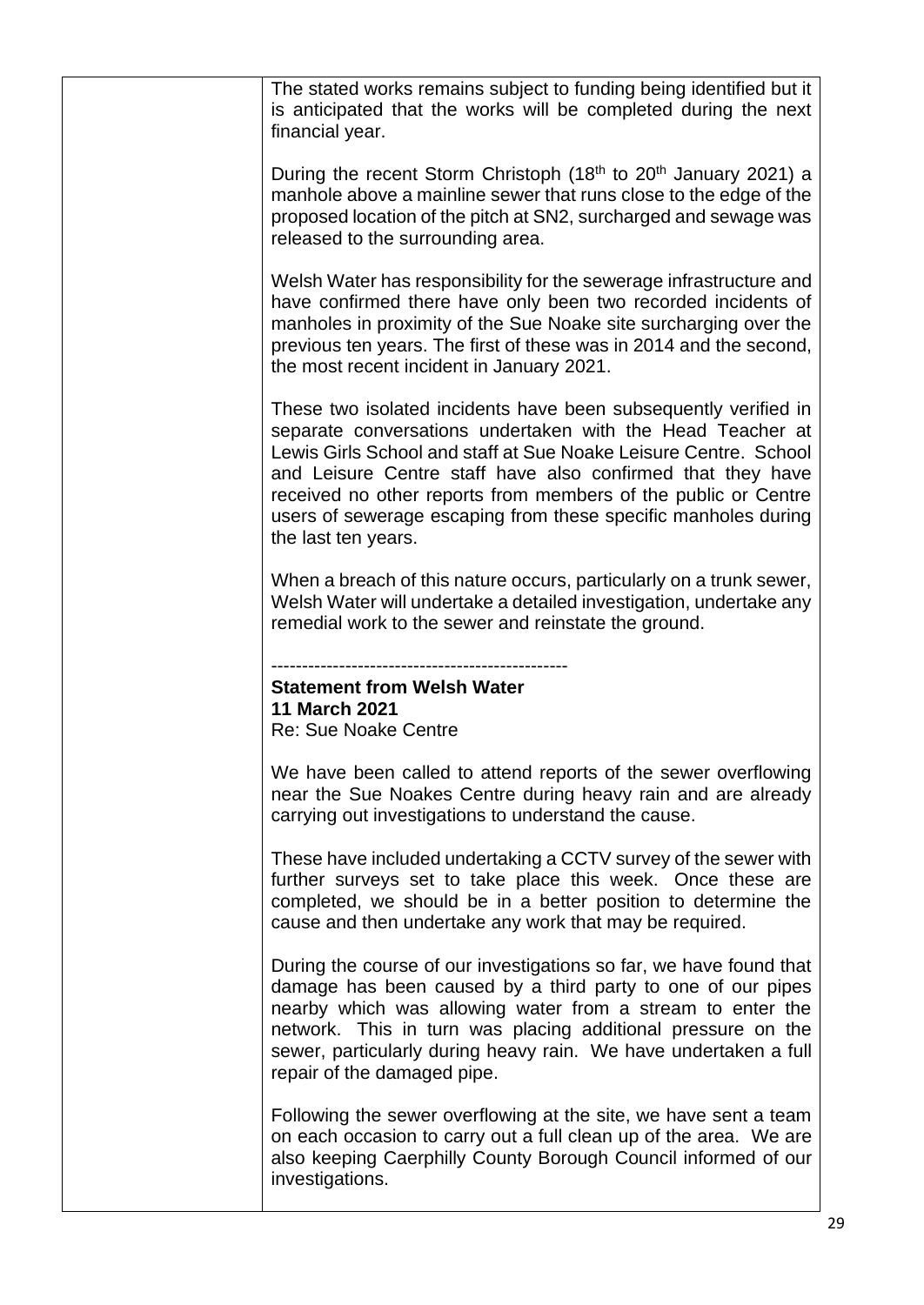| The stated works remains subject to funding being identified but it<br>is anticipated that the works will be completed during the next<br>financial year.                                                                                                                                                                                                                                                                   |
|-----------------------------------------------------------------------------------------------------------------------------------------------------------------------------------------------------------------------------------------------------------------------------------------------------------------------------------------------------------------------------------------------------------------------------|
| During the recent Storm Christoph (18 <sup>th</sup> to 20 <sup>th</sup> January 2021) a<br>manhole above a mainline sewer that runs close to the edge of the<br>proposed location of the pitch at SN2, surcharged and sewage was<br>released to the surrounding area.                                                                                                                                                       |
| Welsh Water has responsibility for the sewerage infrastructure and<br>have confirmed there have only been two recorded incidents of<br>manholes in proximity of the Sue Noake site surcharging over the<br>previous ten years. The first of these was in 2014 and the second,<br>the most recent incident in January 2021.                                                                                                  |
| These two isolated incidents have been subsequently verified in<br>separate conversations undertaken with the Head Teacher at<br>Lewis Girls School and staff at Sue Noake Leisure Centre. School<br>and Leisure Centre staff have also confirmed that they have<br>received no other reports from members of the public or Centre<br>users of sewerage escaping from these specific manholes during<br>the last ten years. |
| When a breach of this nature occurs, particularly on a trunk sewer,<br>Welsh Water will undertake a detailed investigation, undertake any<br>remedial work to the sewer and reinstate the ground.                                                                                                                                                                                                                           |
|                                                                                                                                                                                                                                                                                                                                                                                                                             |
| <b>Statement from Welsh Water</b><br><b>11 March 2021</b>                                                                                                                                                                                                                                                                                                                                                                   |
| <b>Re: Sue Noake Centre</b>                                                                                                                                                                                                                                                                                                                                                                                                 |
| We have been called to attend reports of the sewer overflowing<br>near the Sue Noakes Centre during heavy rain and are already<br>carrying out investigations to understand the cause.                                                                                                                                                                                                                                      |
| These have included undertaking a CCTV survey of the sewer with<br>further surveys set to take place this week. Once these are<br>completed, we should be in a better position to determine the<br>cause and then undertake any work that may be required.                                                                                                                                                                  |
| During the course of our investigations so far, we have found that<br>damage has been caused by a third party to one of our pipes<br>nearby which was allowing water from a stream to enter the<br>network. This in turn was placing additional pressure on the<br>sewer, particularly during heavy rain. We have undertaken a full<br>repair of the damaged pipe.                                                          |
| Following the sewer overflowing at the site, we have sent a team<br>on each occasion to carry out a full clean up of the area. We are<br>also keeping Caerphilly County Borough Council informed of our<br>investigations.                                                                                                                                                                                                  |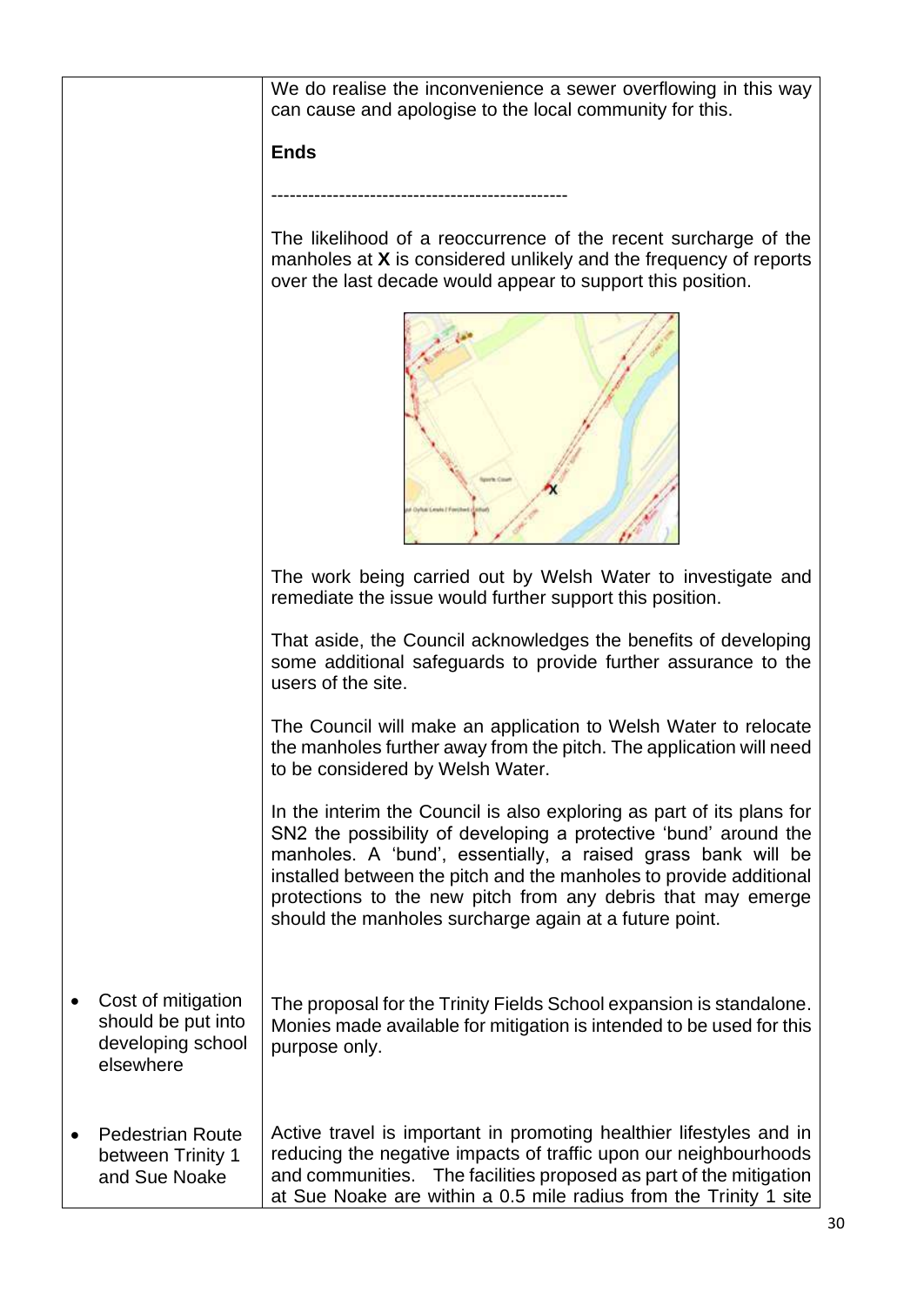|                                                                            | We do realise the inconvenience a sewer overflowing in this way<br>can cause and apologise to the local community for this.                                                                                                                                                                                                                                                                               |
|----------------------------------------------------------------------------|-----------------------------------------------------------------------------------------------------------------------------------------------------------------------------------------------------------------------------------------------------------------------------------------------------------------------------------------------------------------------------------------------------------|
|                                                                            | <b>Ends</b>                                                                                                                                                                                                                                                                                                                                                                                               |
|                                                                            |                                                                                                                                                                                                                                                                                                                                                                                                           |
|                                                                            | The likelihood of a reoccurrence of the recent surcharge of the<br>manholes at X is considered unlikely and the frequency of reports<br>over the last decade would appear to support this position.                                                                                                                                                                                                       |
|                                                                            |                                                                                                                                                                                                                                                                                                                                                                                                           |
|                                                                            | The work being carried out by Welsh Water to investigate and<br>remediate the issue would further support this position.                                                                                                                                                                                                                                                                                  |
|                                                                            | That aside, the Council acknowledges the benefits of developing<br>some additional safeguards to provide further assurance to the<br>users of the site.                                                                                                                                                                                                                                                   |
|                                                                            | The Council will make an application to Welsh Water to relocate<br>the manholes further away from the pitch. The application will need<br>to be considered by Welsh Water.                                                                                                                                                                                                                                |
|                                                                            | In the interim the Council is also exploring as part of its plans for<br>SN2 the possibility of developing a protective 'bund' around the<br>manholes. A 'bund', essentially, a raised grass bank will be<br>installed between the pitch and the manholes to provide additional<br>protections to the new pitch from any debris that may emerge<br>should the manholes surcharge again at a future point. |
| Cost of mitigation<br>should be put into<br>developing school<br>elsewhere | The proposal for the Trinity Fields School expansion is standalone.<br>Monies made available for mitigation is intended to be used for this<br>purpose only.                                                                                                                                                                                                                                              |
| <b>Pedestrian Route</b><br>between Trinity 1<br>and Sue Noake              | Active travel is important in promoting healthier lifestyles and in<br>reducing the negative impacts of traffic upon our neighbourhoods<br>The facilities proposed as part of the mitigation<br>and communities.<br>at Sue Noake are within a 0.5 mile radius from the Trinity 1 site                                                                                                                     |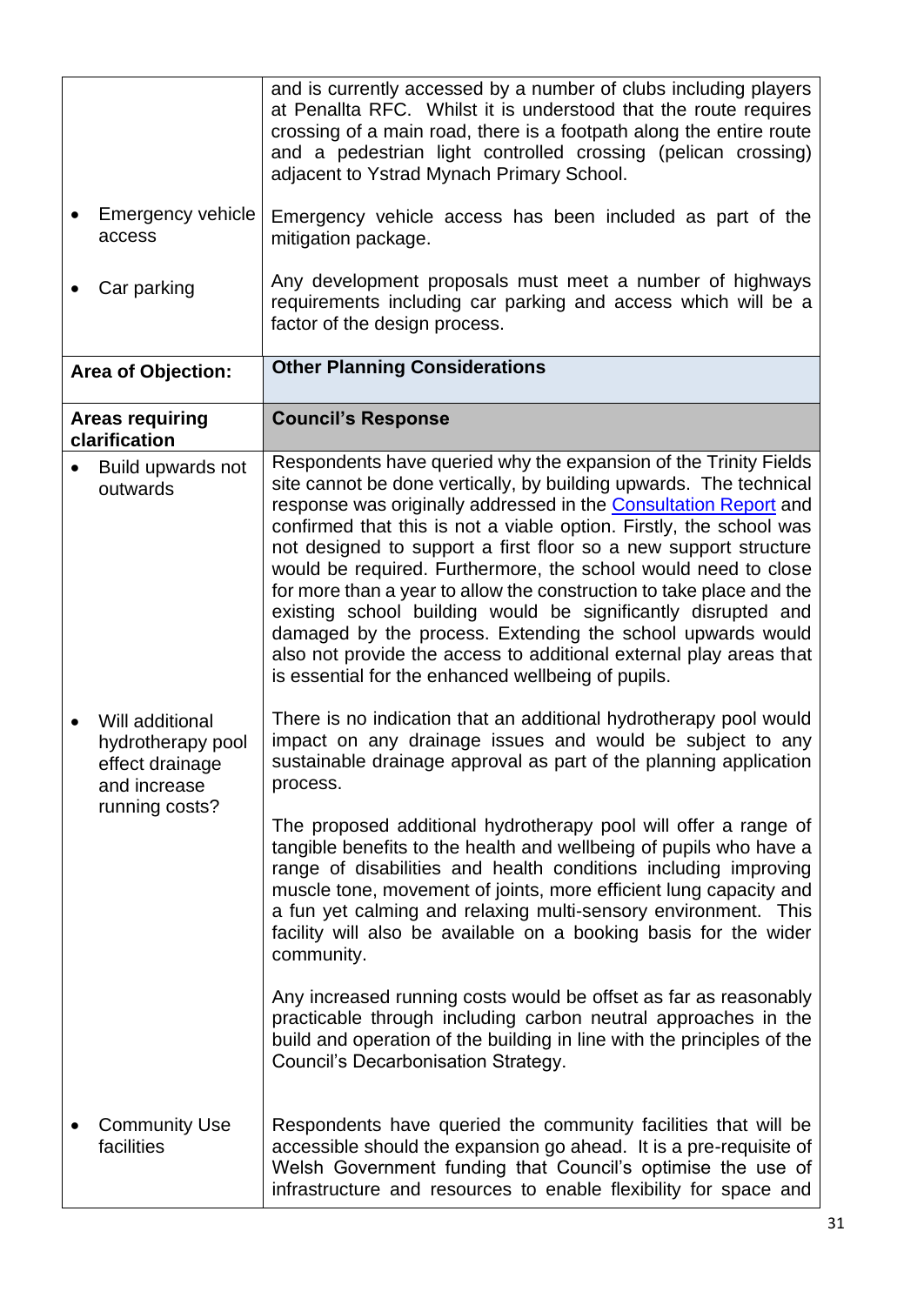<span id="page-30-0"></span>

|                                                                                           | and is currently accessed by a number of clubs including players<br>at Penallta RFC. Whilst it is understood that the route requires<br>crossing of a main road, there is a footpath along the entire route<br>and a pedestrian light controlled crossing (pelican crossing)<br>adjacent to Ystrad Mynach Primary School.                                                                                                                                                                                                                                                                                                                                                                                                                                  |
|-------------------------------------------------------------------------------------------|------------------------------------------------------------------------------------------------------------------------------------------------------------------------------------------------------------------------------------------------------------------------------------------------------------------------------------------------------------------------------------------------------------------------------------------------------------------------------------------------------------------------------------------------------------------------------------------------------------------------------------------------------------------------------------------------------------------------------------------------------------|
| Emergency vehicle<br>access                                                               | Emergency vehicle access has been included as part of the<br>mitigation package.                                                                                                                                                                                                                                                                                                                                                                                                                                                                                                                                                                                                                                                                           |
| Car parking                                                                               | Any development proposals must meet a number of highways<br>requirements including car parking and access which will be a<br>factor of the design process.                                                                                                                                                                                                                                                                                                                                                                                                                                                                                                                                                                                                 |
| <b>Area of Objection:</b>                                                                 | <b>Other Planning Considerations</b>                                                                                                                                                                                                                                                                                                                                                                                                                                                                                                                                                                                                                                                                                                                       |
| <b>Areas requiring</b><br>clarification                                                   | <b>Council's Response</b>                                                                                                                                                                                                                                                                                                                                                                                                                                                                                                                                                                                                                                                                                                                                  |
| Build upwards not<br>outwards                                                             | Respondents have queried why the expansion of the Trinity Fields<br>site cannot be done vertically, by building upwards. The technical<br>response was originally addressed in the Consultation Report and<br>confirmed that this is not a viable option. Firstly, the school was<br>not designed to support a first floor so a new support structure<br>would be required. Furthermore, the school would need to close<br>for more than a year to allow the construction to take place and the<br>existing school building would be significantly disrupted and<br>damaged by the process. Extending the school upwards would<br>also not provide the access to additional external play areas that<br>is essential for the enhanced wellbeing of pupils. |
| Will additional<br>hydrotherapy pool<br>effect drainage<br>and increase<br>running costs? | There is no indication that an additional hydrotherapy pool would<br>impact on any drainage issues and would be subject to any<br>sustainable drainage approval as part of the planning application<br>process.                                                                                                                                                                                                                                                                                                                                                                                                                                                                                                                                            |
|                                                                                           | The proposed additional hydrotherapy pool will offer a range of<br>tangible benefits to the health and wellbeing of pupils who have a<br>range of disabilities and health conditions including improving<br>muscle tone, movement of joints, more efficient lung capacity and<br>a fun yet calming and relaxing multi-sensory environment. This<br>facility will also be available on a booking basis for the wider<br>community.                                                                                                                                                                                                                                                                                                                          |
|                                                                                           | Any increased running costs would be offset as far as reasonably<br>practicable through including carbon neutral approaches in the<br>build and operation of the building in line with the principles of the<br>Council's Decarbonisation Strategy.                                                                                                                                                                                                                                                                                                                                                                                                                                                                                                        |
| <b>Community Use</b><br>facilities                                                        | Respondents have queried the community facilities that will be<br>accessible should the expansion go ahead. It is a pre-requisite of<br>Welsh Government funding that Council's optimise the use of<br>infrastructure and resources to enable flexibility for space and                                                                                                                                                                                                                                                                                                                                                                                                                                                                                    |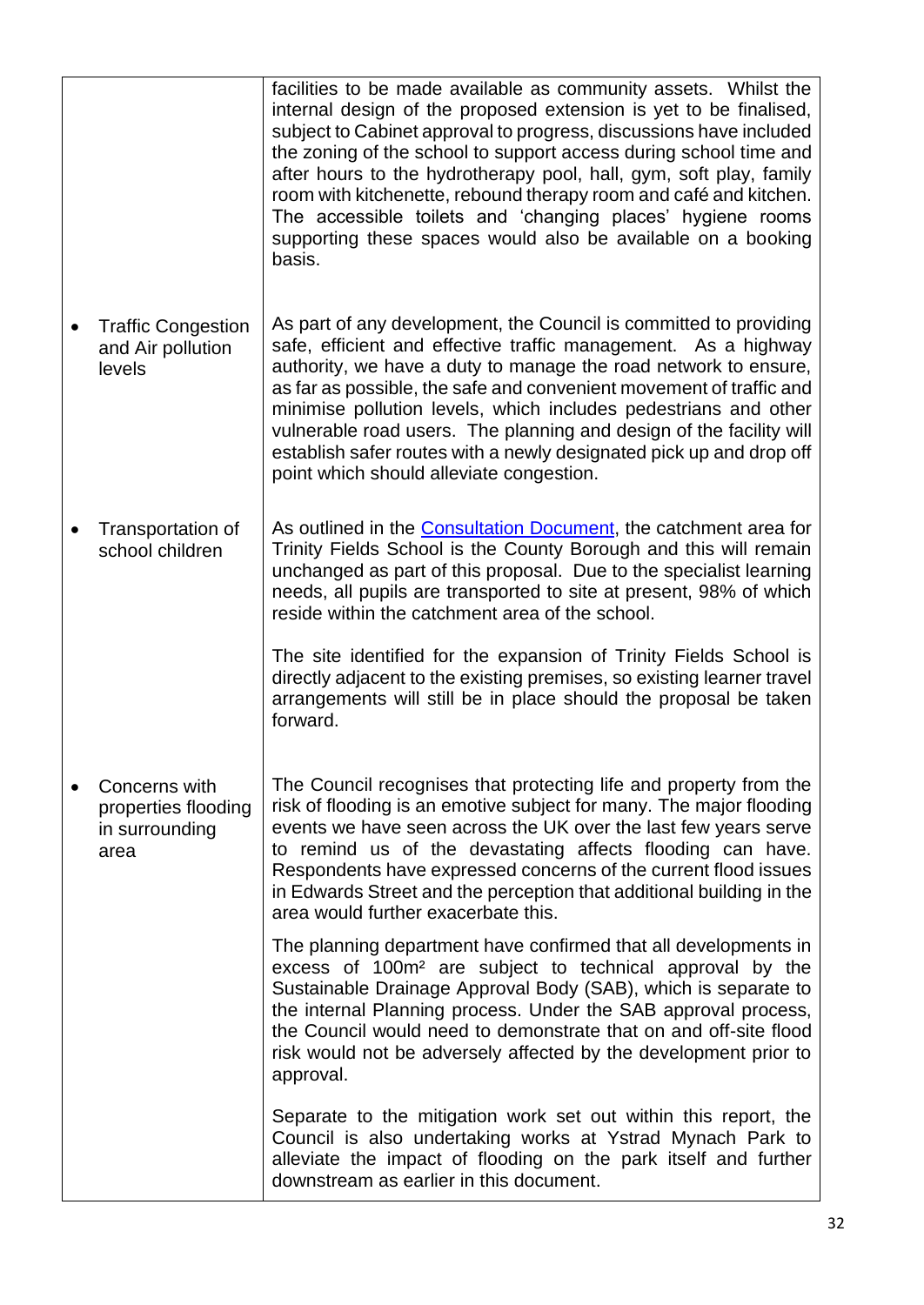|                                                                | facilities to be made available as community assets. Whilst the<br>internal design of the proposed extension is yet to be finalised,<br>subject to Cabinet approval to progress, discussions have included<br>the zoning of the school to support access during school time and<br>after hours to the hydrotherapy pool, hall, gym, soft play, family<br>room with kitchenette, rebound therapy room and café and kitchen.<br>The accessible toilets and 'changing places' hygiene rooms<br>supporting these spaces would also be available on a booking<br>basis. |
|----------------------------------------------------------------|--------------------------------------------------------------------------------------------------------------------------------------------------------------------------------------------------------------------------------------------------------------------------------------------------------------------------------------------------------------------------------------------------------------------------------------------------------------------------------------------------------------------------------------------------------------------|
| <b>Traffic Congestion</b><br>and Air pollution<br>levels       | As part of any development, the Council is committed to providing<br>safe, efficient and effective traffic management. As a highway<br>authority, we have a duty to manage the road network to ensure,<br>as far as possible, the safe and convenient movement of traffic and<br>minimise pollution levels, which includes pedestrians and other<br>vulnerable road users. The planning and design of the facility will<br>establish safer routes with a newly designated pick up and drop off<br>point which should alleviate congestion.                         |
| Transportation of<br>school children                           | As outlined in the <b>Consultation Document</b> , the catchment area for<br>Trinity Fields School is the County Borough and this will remain<br>unchanged as part of this proposal. Due to the specialist learning<br>needs, all pupils are transported to site at present, 98% of which<br>reside within the catchment area of the school.<br>The site identified for the expansion of Trinity Fields School is                                                                                                                                                   |
|                                                                | directly adjacent to the existing premises, so existing learner travel<br>arrangements will still be in place should the proposal be taken<br>forward.                                                                                                                                                                                                                                                                                                                                                                                                             |
| Concerns with<br>properties flooding<br>in surrounding<br>area | The Council recognises that protecting life and property from the<br>risk of flooding is an emotive subject for many. The major flooding<br>events we have seen across the UK over the last few years serve<br>to remind us of the devastating affects flooding can have.<br>Respondents have expressed concerns of the current flood issues<br>in Edwards Street and the perception that additional building in the<br>area would further exacerbate this.                                                                                                        |
|                                                                | The planning department have confirmed that all developments in<br>excess of 100m <sup>2</sup> are subject to technical approval by the<br>Sustainable Drainage Approval Body (SAB), which is separate to<br>the internal Planning process. Under the SAB approval process,<br>the Council would need to demonstrate that on and off-site flood<br>risk would not be adversely affected by the development prior to<br>approval.                                                                                                                                   |
|                                                                | Separate to the mitigation work set out within this report, the<br>Council is also undertaking works at Ystrad Mynach Park to<br>alleviate the impact of flooding on the park itself and further<br>downstream as earlier in this document.                                                                                                                                                                                                                                                                                                                        |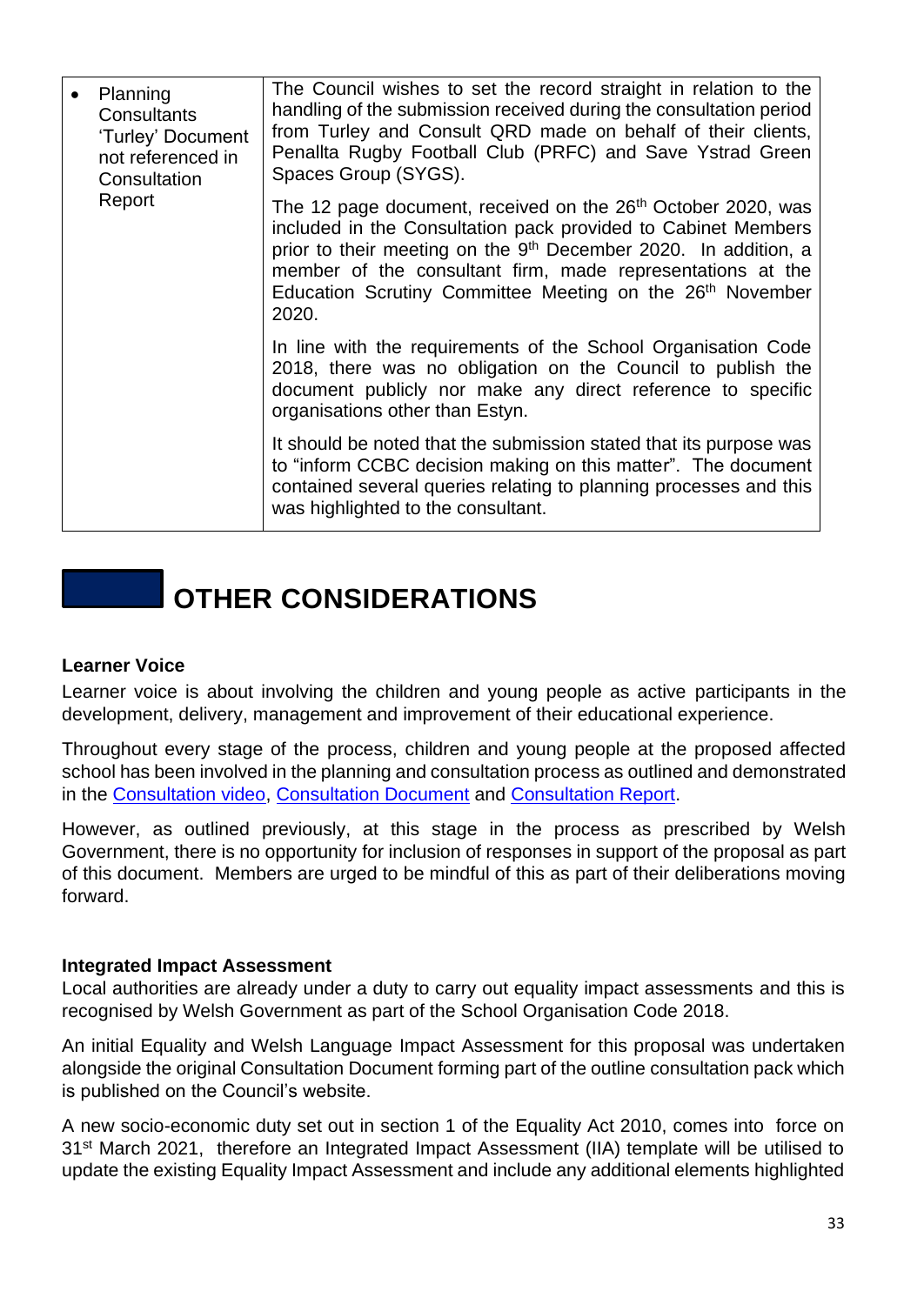|  | Planning<br>Consultants<br>'Turley' Document<br>not referenced in<br>Consultation<br>Report | The Council wishes to set the record straight in relation to the<br>handling of the submission received during the consultation period<br>from Turley and Consult QRD made on behalf of their clients,<br>Penallta Rugby Football Club (PRFC) and Save Ystrad Green<br>Spaces Group (SYGS).                                                                              |
|--|---------------------------------------------------------------------------------------------|--------------------------------------------------------------------------------------------------------------------------------------------------------------------------------------------------------------------------------------------------------------------------------------------------------------------------------------------------------------------------|
|  |                                                                                             | The 12 page document, received on the 26 <sup>th</sup> October 2020, was<br>included in the Consultation pack provided to Cabinet Members<br>prior to their meeting on the 9 <sup>th</sup> December 2020. In addition, a<br>member of the consultant firm, made representations at the<br>Education Scrutiny Committee Meeting on the 26 <sup>th</sup> November<br>2020. |
|  |                                                                                             | In line with the requirements of the School Organisation Code<br>2018, there was no obligation on the Council to publish the<br>document publicly nor make any direct reference to specific<br>organisations other than Estyn.                                                                                                                                           |
|  |                                                                                             | It should be noted that the submission stated that its purpose was<br>to "inform CCBC decision making on this matter". The document<br>contained several queries relating to planning processes and this<br>was highlighted to the consultant.                                                                                                                           |

## **OTHER CONSIDERATIONS**

#### <span id="page-32-0"></span>**Learner Voice**

Learner voice is about involving the children and young people as active participants in the development, delivery, management and improvement of their educational experience.

Throughout every stage of the process, children and young people at the proposed affected school has been involved in the planning and consultation process as outlined and demonstrated in the [Consultation video,](https://www.youtube.com/watch?v=VqbuS9IYxlg&feature=youtu.be) [Consultation Document](https://www.caerphilly.gov.uk/CaerphillyDocs/Consultations/Consultation-Document-2020-(Trinity-Fields).aspx) and [Consultation Report.](https://www.caerphilly.gov.uk/CaerphillyDocs/Consultations/Trinity-Fields-Consultation-Report-2020.aspx)

<span id="page-32-2"></span>However, as outlined previously, at this stage in the process as prescribed by Welsh Government, there is no opportunity for inclusion of responses in support of the proposal as part of this document. Members are urged to be mindful of this as part of their deliberations moving forward.

#### <span id="page-32-1"></span>**Integrated Impact Assessment**

Local authorities are already under a duty to carry out equality impact assessments and this is recognised by Welsh Government as part of the School Organisation Code 2018.

An initial Equality and Welsh Language Impact Assessment for this proposal was undertaken alongside the original Consultation Document forming part of the outline consultation pack which is published on the Council's website.

A new socio-economic duty set out in section 1 of the Equality Act 2010, comes into force on 31<sup>st</sup> March 2021, therefore an Integrated Impact Assessment (IIA) template will be utilised to update the existing Equality Impact Assessment and include any additional elements highlighted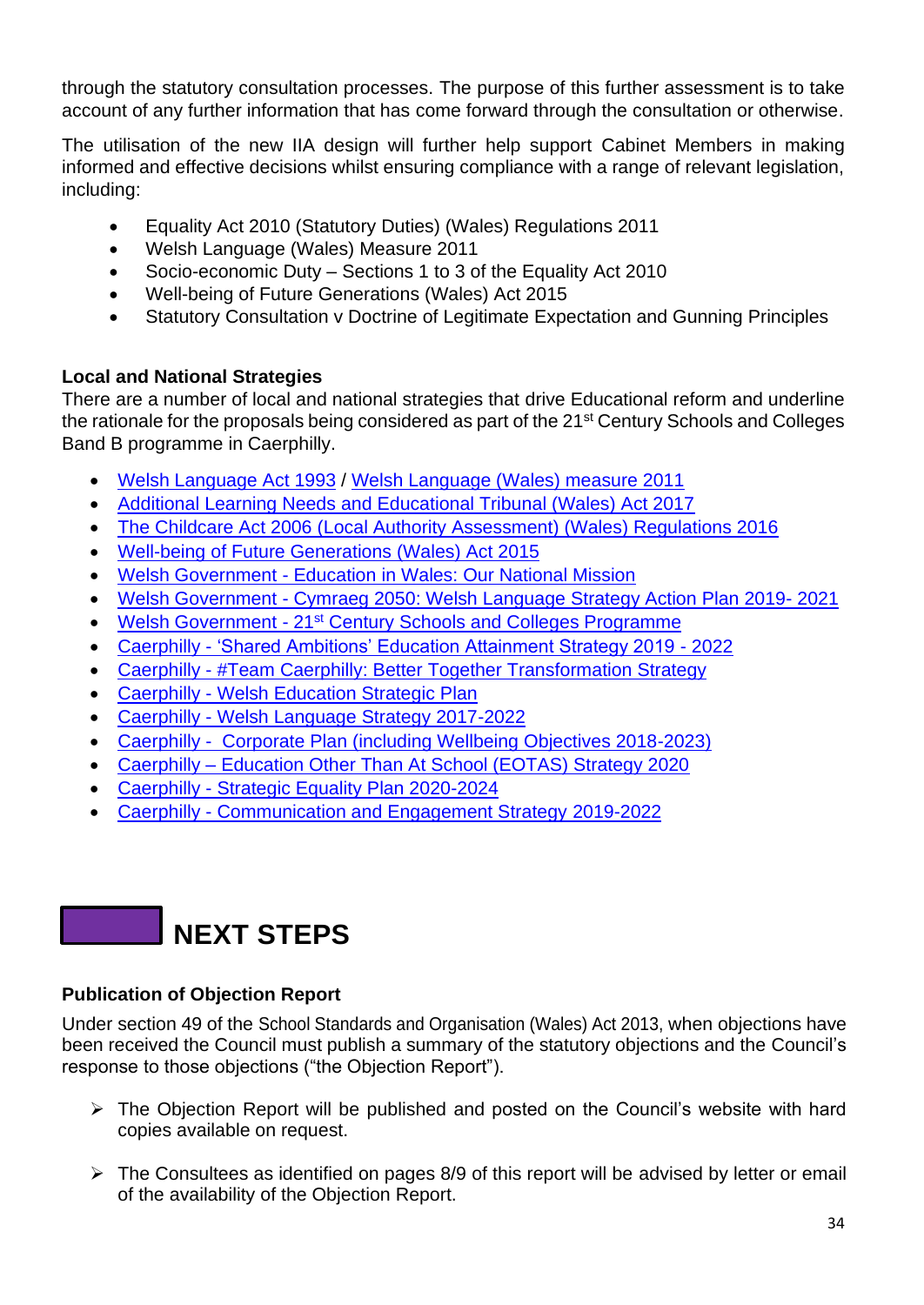through the statutory consultation processes. The purpose of this further assessment is to take account of any further information that has come forward through the consultation or otherwise.

The utilisation of the new IIA design will further help support Cabinet Members in making informed and effective decisions whilst ensuring compliance with a range of relevant legislation, including:

- Equality Act 2010 (Statutory Duties) (Wales) Regulations 2011
- Welsh Language (Wales) Measure 2011
- Socio-economic Duty Sections 1 to 3 of the Equality Act 2010
- Well-being of Future Generations (Wales) Act 2015
- Statutory Consultation v Doctrine of Legitimate Expectation and Gunning Principles

#### **Local and National Strategies**

There are a number of local and national strategies that drive Educational reform and underline the rationale for the proposals being considered as part of the 21<sup>st</sup> Century Schools and Colleges Band B programme in Caerphilly.

- [Welsh Language Act 1993](https://www.legislation.gov.uk/ukpga/1993/38/contents?lang=en) / [Welsh Language \(Wales\) measure 2011](https://www.legislation.gov.uk/mwa/2011/1/contents?lang=en)
- [Additional Learning Needs and Educational Tribunal \(Wales\) Act 2017](https://gov.wales/additional-learning-needs-and-education-tribunal-wales-act)
- [The Childcare Act 2006 \(Local Authority Assessment\) \(Wales\) Regulations 2016](https://www.legislation.gov.uk/wsi/2016/88/schedule/made)
- [Well-being of Future Generations \(Wales\) Act 2015](https://www.legislation.gov.uk/anaw/2015/2/contents/enacted)
- Welsh Government [Education in Wales: Our National Mission](https://gov.wales/sites/default/files/publications/2020-10/education-in-Wales-our-national-mission-update-october-2020.pdf)
- Welsh Government [Cymraeg 2050: Welsh Language Strategy Action Plan 2019-](https://gov.wales/cymraeg-2050-welsh-language-strategy-action-plan-2019-2020) 2021
- Welsh Government 21<sup>st</sup> [Century Schools and Colleges Programme](https://gov.wales/21st-century-schools-programme)
- Caerphilly ['Shared Ambitions' Education Attainment Strategy 2019 -](https://www.caerphilly.gov.uk/CaerphillyDocs/Schools/EducationAttainmentStrategy2019.aspx) 2022
- Caerphilly [#Team Caerphilly: Better Together Transformation Strategy](https://www.caerphilly.gov.uk/tc-eng/)
- Caerphilly [Welsh Education Strategic Plan](https://www.caerphilly.gov.uk/My-Council/Strategies,-plans-and-policies/Education/Welsh-Education-Strategic-Plan)
- Caerphilly [Welsh Language Strategy 2017-2022](https://www.caerphilly.gov.uk/My-Council/Strategies,-plans-and-policies/Equalities/Welsh-Language-Strategy)
- [Caerphilly Corporate Plan \(including Wellbeing Objectives 2018-2023\)](https://www.caerphilly.gov.uk/My-Council/Strategies,-plans-and-policies/Improvement-Plan/Improvement-Objectives)
- Caerphilly [Education Other Than At School \(EOTAS\) Strategy 2020](https://democracy.caerphilly.gov.uk/documents/s31849/Appendix%201%20EOTAS%20Strategy.pdf)
- Caerphilly [Strategic Equality Plan 2020-2024](https://www.caerphilly.gov.uk/My-Council/Strategies,-plans-and-policies/Equalities/Strategic-Equality-Plan)
- Caerphilly [Communication and Engagement Strategy 2019-2022](https://www.caerphilly.gov.uk/My-Council/Strategies,-plans-and-policies/Corporate-strategies,-plans-and-policies/Communications-and-Engagement-Strategy-2019-2022)

## <span id="page-33-1"></span>**NEXT STEPS**

#### <span id="page-33-0"></span>**Publication of Objection Report**

Under section 49 of the School Standards and Organisation (Wales) Act 2013, when objections have been received the Council must publish a summary of the statutory objections and the Council's response to those objections ("the Objection Report").

- ➢ The Objection Report will be published and posted on the Council's website with hard copies available on request.
- $\triangleright$  The Consultees as identified on pages 8/9 of this report will be advised by letter or email of the availability of the Objection Report.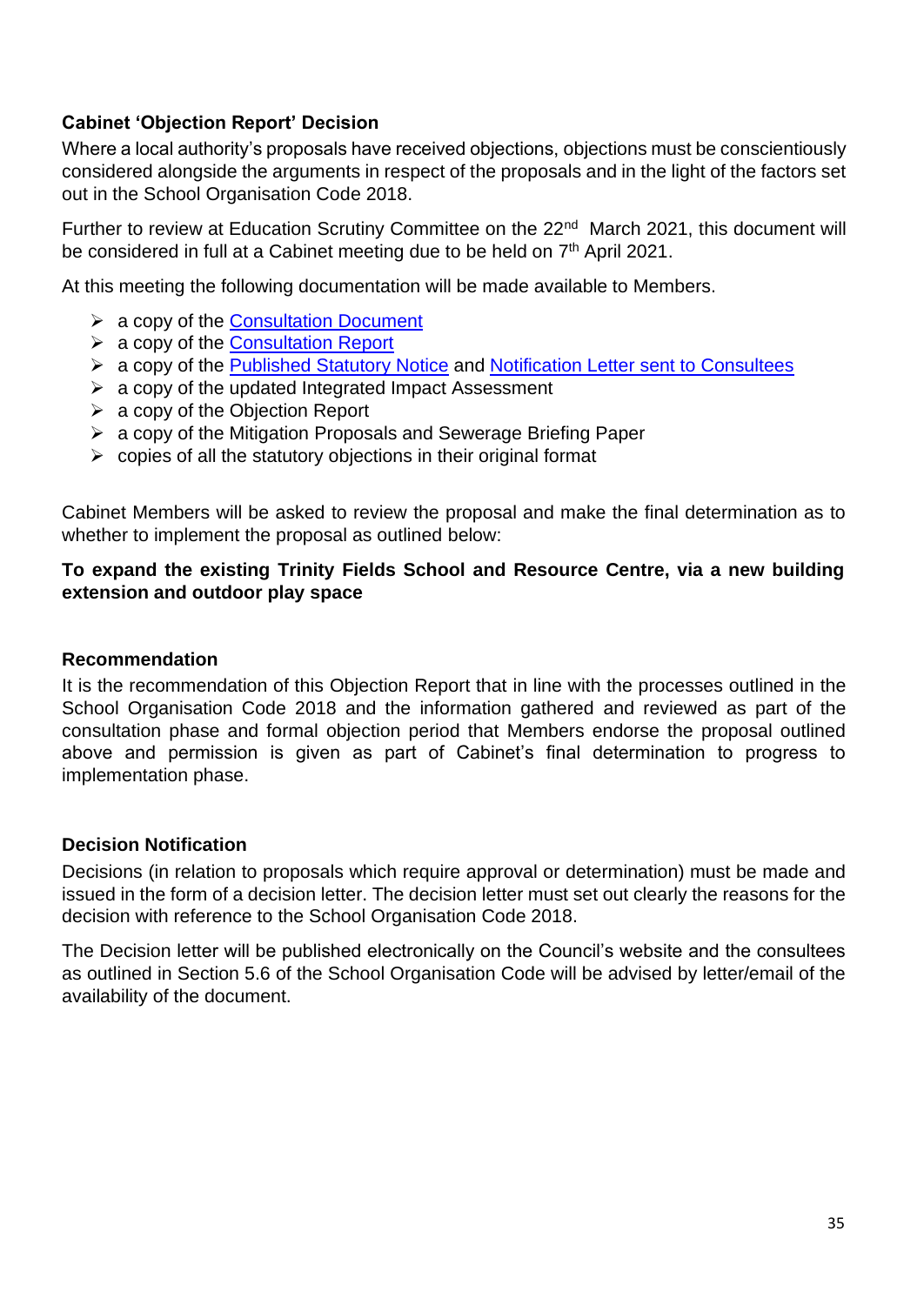#### <span id="page-34-0"></span>**Cabinet 'Objection Report' Decision**

Where a local authority's proposals have received objections, objections must be conscientiously considered alongside the arguments in respect of the proposals and in the light of the factors set out in the School Organisation Code 2018.

Further to review at Education Scrutiny Committee on the 22<sup>nd</sup> March 2021, this document will be considered in full at a Cabinet meeting due to be held on 7<sup>th</sup> April 2021.

At this meeting the following documentation will be made available to Members.

- $\triangleright$  a copy of the [Consultation Document](https://www.caerphilly.gov.uk/CaerphillyDocs/Consultations/Consultation-Document-2020-(Trinity-Fields).aspx)
- ➢ a copy of the [Consultation Report](https://www.caerphilly.gov.uk/CaerphillyDocs/Consultations/Trinity-Fields-Consultation-Report-2020.aspx)
- ➢ a copy of the [Published Statutory Notice](https://www.caerphilly.gov.uk/CaerphillyDocs/Consultations/Statutory-Notice-(Trinity-Fields).aspx) and [Notification Letter sent to Consultees](https://www.caerphilly.gov.uk/CaerphillyDocs/Consultations/Notification-Letter-Trinity-Fields.aspx)
- $\triangleright$  a copy of the updated Integrated Impact Assessment
- $\triangleright$  a copy of the Objection Report
- ➢ a copy of the Mitigation Proposals and Sewerage Briefing Paper
- $\triangleright$  copies of all the statutory objections in their original format

Cabinet Members will be asked to review the proposal and make the final determination as to whether to implement the proposal as outlined below:

#### **To expand the existing Trinity Fields School and Resource Centre, via a new building extension and outdoor play space**

#### **Recommendation**

It is the recommendation of this Objection Report that in line with the processes outlined in the School Organisation Code 2018 and the information gathered and reviewed as part of the consultation phase and formal objection period that Members endorse the proposal outlined above and permission is given as part of Cabinet's final determination to progress to implementation phase.

#### <span id="page-34-1"></span>**Decision Notification**

Decisions (in relation to proposals which require approval or determination) must be made and issued in the form of a decision letter. The decision letter must set out clearly the reasons for the decision with reference to the School Organisation Code 2018.

The Decision letter will be published electronically on the Council's website and the consultees as outlined in Section 5.6 of the School Organisation Code will be advised by letter/email of the availability of the document.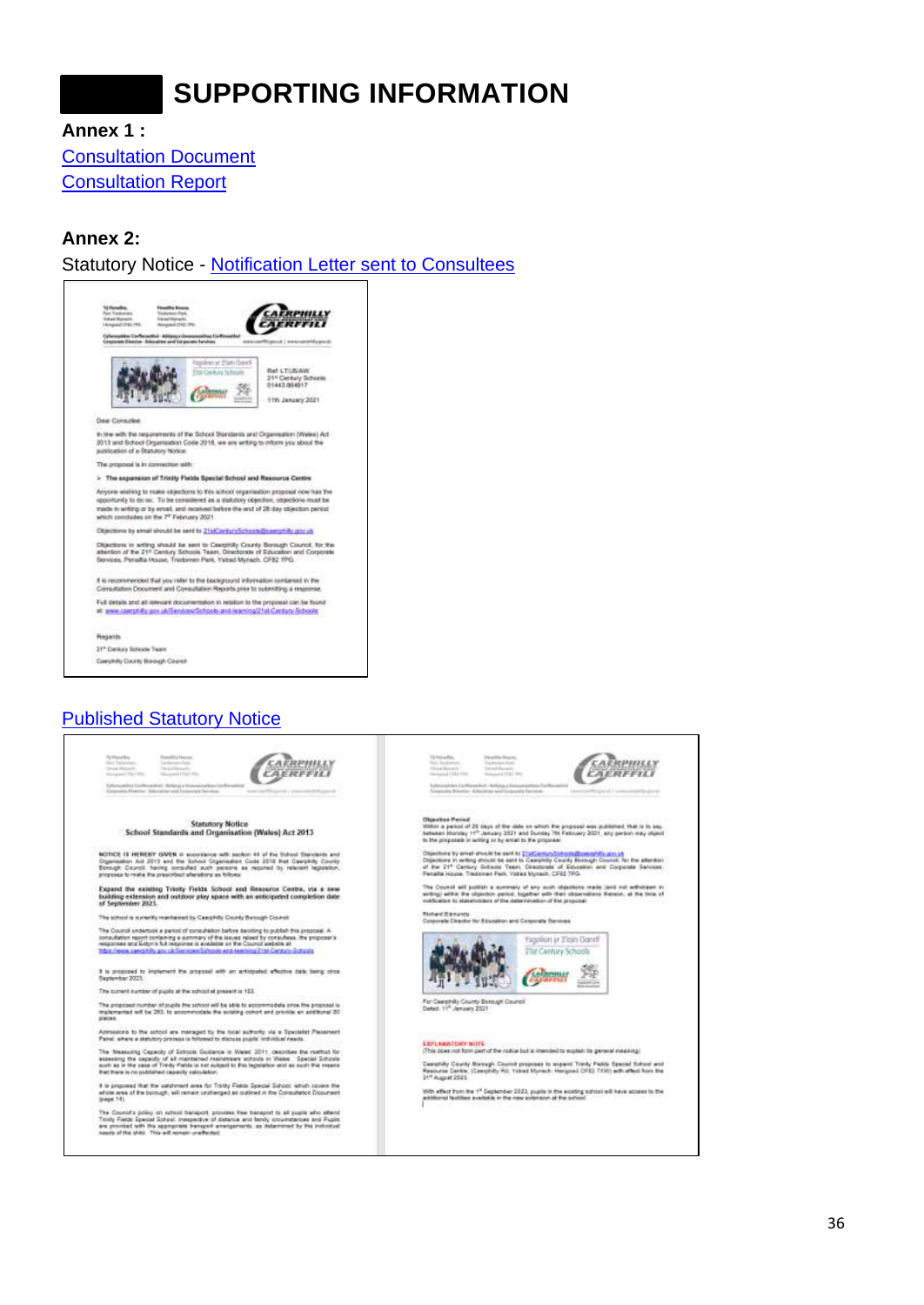### **SUPPORTING INFORMATION**

<span id="page-35-0"></span>**Annex 1 :**

[Consultation Document](https://www.caerphilly.gov.uk/CaerphillyDocs/Consultations/Consultation-Document-2020-(Trinity-Fields).aspx) [Consultation Report](https://www.caerphilly.gov.uk/CaerphillyDocs/Consultations/Trinity-Fields-Consultation-Report-2020.aspx)

#### <span id="page-35-1"></span>**Annex 2:**

Statutory Notice - [Notification Letter sent to Consultees](https://www.caerphilly.gov.uk/CaerphillyDocs/Consultations/Notification-Letter-Trinity-Fields.aspx)



#### **[Published Statutory Notice](https://www.caerphilly.gov.uk/CaerphillyDocs/Consultations/Statutory-Notice-(Trinity-Fields).aspx)**